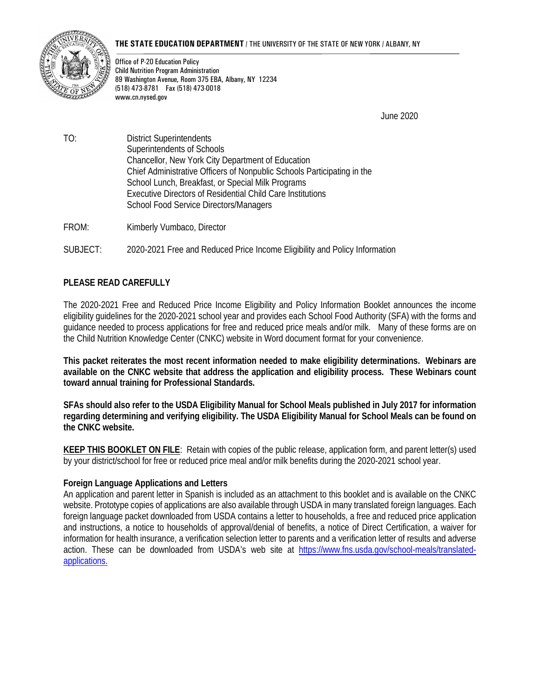#### **THE STATE EDUCATION DEPARTMENT** / THE UNIVERSITY OF THE STATE OF NEW YORK / ALBANY, NY



Office of P-20 Education Policy Child Nutrition Program Administration 89 Washington Avenue, Room 375 EBA, Albany, NY 12234 (518) 473-8781 Fax (518) 473-0018 www.cn.nysed.gov

June 2020

TO: District Superintendents Superintendents of Schools Chancellor, New York City Department of Education Chief Administrative Officers of Nonpublic Schools Participating in the School Lunch, Breakfast, or Special Milk Programs Executive Directors of Residential Child Care Institutions School Food Service Directors/Managers

FROM: Kimberly Vumbaco, Director

SUBJECT: 2020-2021 Free and Reduced Price Income Eligibility and Policy Information

# **PLEASE READ CAREFULLY**

The 2020-2021 Free and Reduced Price Income Eligibility and Policy Information Booklet announces the income eligibility guidelines for the 2020-2021 school year and provides each School Food Authority (SFA) with the forms and guidance needed to process applications for free and reduced price meals and/or milk. Many of these forms are on the Child Nutrition Knowledge Center (CNKC) website in Word document format for your convenience.

**This packet reiterates the most recent information needed to make eligibility determinations. Webinars are available on the CNKC website that address the application and eligibility process. These Webinars count toward annual training for Professional Standards.** 

**SFAs should also refer to the USDA Eligibility Manual for School Meals published in July 2017 for information regarding determining and verifying eligibility. The USDA Eligibility Manual for School Meals can be found on the CNKC website.**

**KEEP THIS BOOKLET ON FILE**: Retain with copies of the public release, application form, and parent letter(s) used by your district/school for free or reduced price meal and/or milk benefits during the 2020-2021 school year.

#### **Foreign Language Applications and Letters**

An application and parent letter in Spanish is included as an attachment to this booklet and is available on the CNKC website. Prototype copies of applications are also available through USDA in many translated foreign languages. Each foreign language packet downloaded from USDA contains a letter to households, a free and reduced price application and instructions, a notice to households of approval/denial of benefits, a notice of Direct Certification, a waiver for information for health insurance, a verification selection letter to parents and a verification letter of results and adverse action. These can be downloaded from USDA's web site at https://www.fns.usda.gov/school-meals/translatedapplications.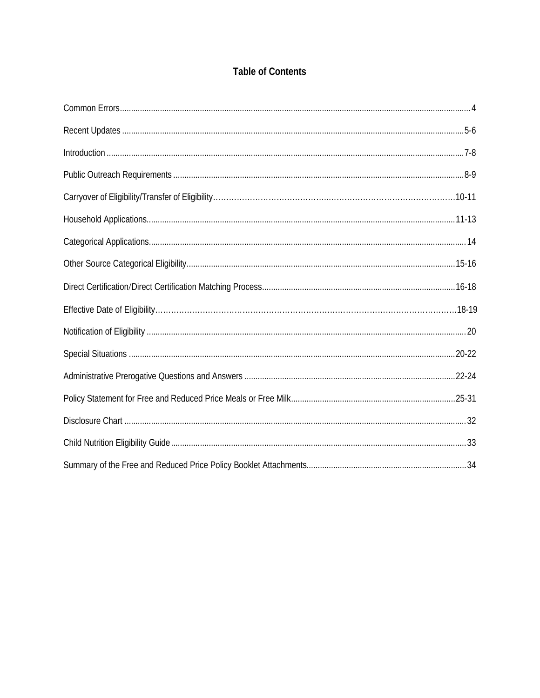# **Table of Contents**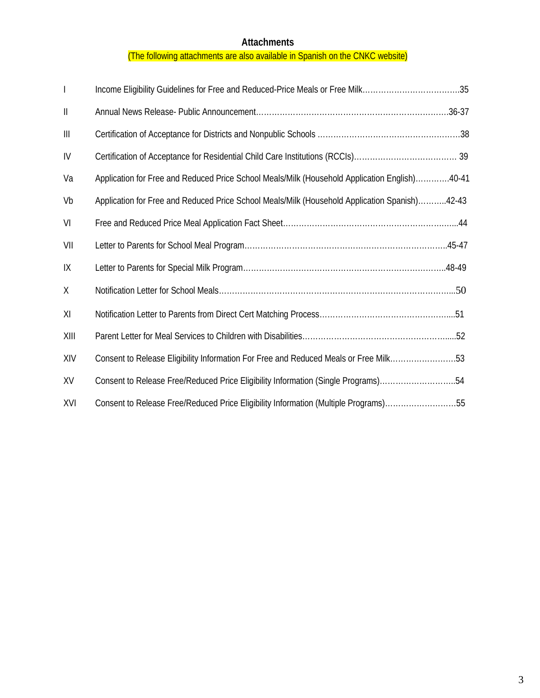# **Attachments**

# (The following attachments are also available in Spanish on the CNKC website)

| $\overline{\phantom{a}}$ | Income Eligibility Guidelines for Free and Reduced-Price Meals or Free Milk35                 |
|--------------------------|-----------------------------------------------------------------------------------------------|
| $\mathbf{  }$            |                                                                                               |
| Ш                        |                                                                                               |
| IV                       |                                                                                               |
| Va                       | Application for Free and Reduced Price School Meals/Milk (Household Application English)40-41 |
| Vb                       | Application for Free and Reduced Price School Meals/Milk (Household Application Spanish)42-43 |
| VI                       |                                                                                               |
| VII                      |                                                                                               |
| IX                       |                                                                                               |
| X                        |                                                                                               |
| XI                       |                                                                                               |
| XIII                     |                                                                                               |
| XIV                      | Consent to Release Eligibility Information For Free and Reduced Meals or Free Milk53          |
| XV                       | Consent to Release Free/Reduced Price Eligibility Information (Single Programs)54             |
| XVI                      | Consent to Release Free/Reduced Price Eligibility Information (Multiple Programs)55           |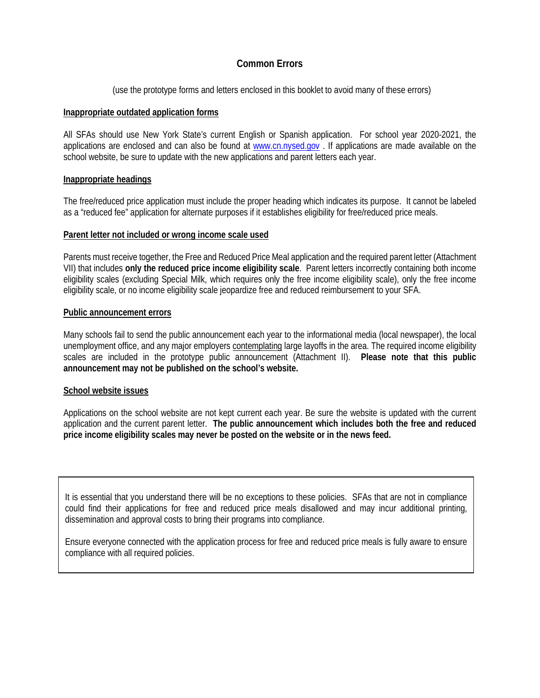# **Common Errors**

(use the prototype forms and letters enclosed in this booklet to avoid many of these errors)

### **Inappropriate outdated application forms**

All SFAs should use New York State's current English or Spanish application. For school year 2020-2021, the applications are enclosed and can also be found at [www.cn.nysed.gov](http://www.cn.nysed.gov/) . If applications are made available on the school website, be sure to update with the new applications and parent letters each year.

### **Inappropriate headings**

The free/reduced price application must include the proper heading which indicates its purpose. It cannot be labeled as a "reduced fee" application for alternate purposes if it establishes eligibility for free/reduced price meals.

### **Parent letter not included or wrong income scale used**

Parents must receive together, the Free and Reduced Price Meal application and the required parent letter (Attachment VII) that includes **only the reduced price income eligibility scale**. Parent letters incorrectly containing both income eligibility scales (excluding Special Milk, which requires only the free income eligibility scale), only the free income eligibility scale, or no income eligibility scale jeopardize free and reduced reimbursement to your SFA.

### **Public announcement errors**

Many schools fail to send the public announcement each year to the informational media (local newspaper), the local unemployment office, and any major employers contemplating large layoffs in the area. The required income eligibility scales are included in the prototype public announcement (Attachment II). **Please note that this public announcement may not be published on the school's website.**

# **School website issues**

Applications on the school website are not kept current each year. Be sure the website is updated with the current application and the current parent letter. **The public announcement which includes both the free and reduced price income eligibility scales may never be posted on the website or in the news feed.**

It is essential that you understand there will be no exceptions to these policies. SFAs that are not in compliance could find their applications for free and reduced price meals disallowed and may incur additional printing, dissemination and approval costs to bring their programs into compliance.

Ensure everyone connected with the application process for free and reduced price meals is fully aware to ensure compliance with all required policies.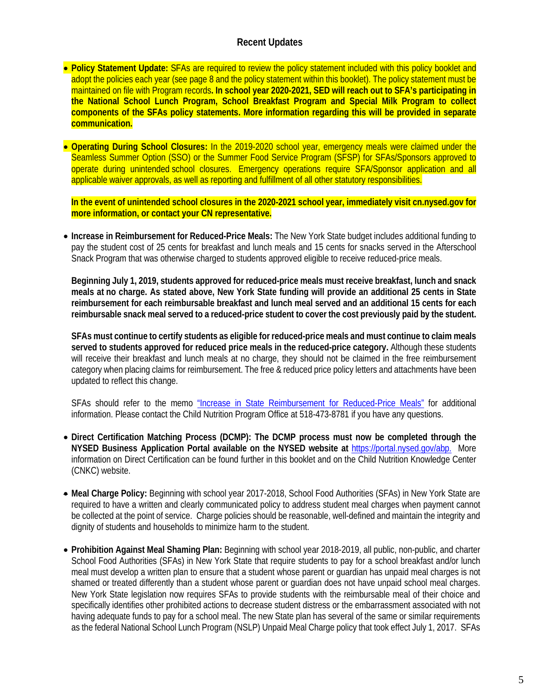# **Recent Updates**

- **Policy Statement Update:** SFAs are required to review the policy statement included with this policy booklet and adopt the policies each year (see page 8 and the policy statement within this booklet). The policy statement must be maintained on file with Program records**. In school year 2020-2021, SED will reach out to SFA's participating in the National School Lunch Program, School Breakfast Program and Special Milk Program to collect components of the SFAs policy statements. More information regarding this will be provided in separate communication.**
- **Operating During School Closures:** In the 2019-2020 school year, emergency meals were claimed under the Seamless Summer Option (SSO) or the Summer Food Service Program (SFSP) for SFAs/Sponsors approved to operate during unintended school closures. Emergency operations require SFA/Sponsor application and all applicable waiver approvals, as well as reporting and fulfillment of all other statutory responsibilities.

**In the event of unintended school closures in the 2020-2021 school year, immediately visit cn.nysed.gov for more information, or contact your CN representative.**

• **Increase in Reimbursement for Reduced-Price Meals:** The New York State budget includes additional funding to pay the student cost of 25 cents for breakfast and lunch meals and 15 cents for snacks served in the Afterschool Snack Program that was otherwise charged to students approved eligible to receive reduced-price meals.

**Beginning July 1, 2019, students approved for reduced-price meals must receive breakfast, lunch and snack meals at no charge. As stated above, New York State funding will provide an additional 25 cents in State reimbursement for each reimbursable breakfast and lunch meal served and an additional 15 cents for each reimbursable snack meal served to a reduced-price student to cover the cost previously paid by the student.**

**SFAs must continue to certify students as eligible for reduced-price meals and must continue to claim meals served to students approved for reduced price meals in the reduced-price category.** Although these students will receive their breakfast and lunch meals at no charge, they should not be claimed in the free reimbursement category when placing claims for reimbursement. The free & reduced price policy letters and attachments have been updated to reflect this change.

SFAs should refer to the memo ["Increase in State Reimbursement for Reduced-Price Meals"](http://www.cn.nysed.gov/content/increase-state-reimbursement-reduced-price-meals) for additional information. Please contact the Child Nutrition Program Office at 518-473-8781 if you have any questions.

- **Direct Certification Matching Process (DCMP): The DCMP process must now be completed through the NYSED Business Application Portal available on the NYSED website at** [https://portal.nysed.gov/abp.](https://portal.nysed.gov/abp)More information on Direct Certification can be found further in this booklet and on the Child Nutrition Knowledge Center (CNKC) website.
- **Meal Charge Policy:** Beginning with school year 2017-2018, School Food Authorities (SFAs) in New York State are required to have a written and clearly communicated policy to address student meal charges when payment cannot be collected at the point of service. Charge policies should be reasonable, well-defined and maintain the integrity and dignity of students and households to minimize harm to the student.
- **Prohibition Against Meal Shaming Plan:** Beginning with school year 2018-2019, all public, non-public, and charter School Food Authorities (SFAs) in New York State that require students to pay for a school breakfast and/or lunch meal must develop a written plan to ensure that a student whose parent or guardian has unpaid meal charges is not shamed or treated differently than a student whose parent or guardian does not have unpaid school meal charges. New York State legislation now requires SFAs to provide students with the reimbursable meal of their choice and specifically identifies other prohibited actions to decrease student distress or the embarrassment associated with not having adequate funds to pay for a school meal. The new State plan has several of the same or similar requirements as the federal National School Lunch Program (NSLP) Unpaid Meal Charge policy that took effect July 1, 2017. SFAs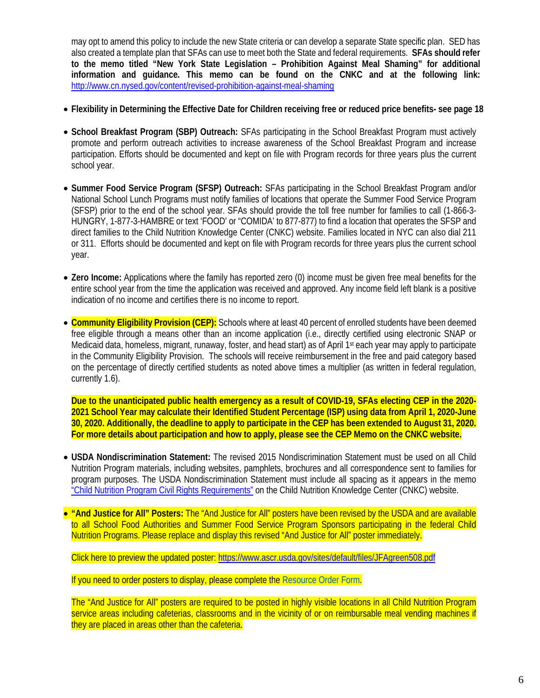may opt to amend this policy to include the new State criteria or can develop a separate State specific plan. SED has also created a template plan that SFAs can use to meet both the State and federal requirements. **SFAs should refer to the memo titled "New York State Legislation – Prohibition Against Meal Shaming" for additional information and guidance. This memo can be found on the CNKC and at the following link:**  http://www.cn.nysed.gov/content/revised-prohibition-against-meal-shaming

- **Flexibility in Determining the Effective Date for Children receiving free or reduced price benefits- see page 18**
- **School Breakfast Program (SBP) Outreach:** SFAs participating in the School Breakfast Program must actively promote and perform outreach activities to increase awareness of the School Breakfast Program and increase participation. Efforts should be documented and kept on file with Program records for three years plus the current school year.
- **Summer Food Service Program (SFSP) Outreach:** SFAs participating in the School Breakfast Program and/or National School Lunch Programs must notify families of locations that operate the Summer Food Service Program (SFSP) prior to the end of the school year. SFAs should provide the toll free number for families to call (1-866-3- HUNGRY, 1-877-3-HAMBRE or text 'FOOD' or "COMIDA' to 877-877) to find a location that operates the SFSP and direct families to the Child Nutrition Knowledge Center (CNKC) website. Families located in NYC can also dial 211 or 311. Efforts should be documented and kept on file with Program records for three years plus the current school year.
- **Zero Income:** Applications where the family has reported zero (0) income must be given free meal benefits for the entire school year from the time the application was received and approved. Any income field left blank is a positive indication of no income and certifies there is no income to report.
- **Community Eligibility Provision (CEP):** Schools where at least 40 percent of enrolled students have been deemed free eligible through a means other than an income application (i.e., directly certified using electronic SNAP or Medicaid data, homeless, migrant, runaway, foster, and head start) as of April 1st each year may apply to participate in the Community Eligibility Provision. The schools will receive reimbursement in the free and paid category based on the percentage of directly certified students as noted above times a multiplier (as written in federal regulation, currently 1.6).

**Due to the unanticipated public health emergency as a result of COVID-19, SFAs electing CEP in the 2020- 2021 School Year may calculate their Identified Student Percentage (ISP) using data from April 1, 2020-June 30, 2020. Additionally, the deadline to apply to participate in the CEP has been extended to August 31, 2020. For more details about participation and how to apply, please see the CEP Memo on the CNKC website.**

- **USDA Nondiscrimination Statement:** The revised 2015 Nondiscrimination Statement must be used on all Child Nutrition Program materials, including websites, pamphlets, brochures and all correspondence sent to families for program purposes. The USDA Nondiscrimination Statement must include all spacing as it appears in the memo ["Child Nutrition Program Civil Rights Requirements"](http://www.cn.nysed.gov/content/child-nutrition-program-civil-rights-requirements) on the Child Nutrition Knowledge Center (CNKC) website.
- **"And Justice for All" Posters:** The "And Justice for All" posters have been revised by the USDA and are available to all School Food Authorities and Summer Food Service Program Sponsors participating in the federal Child Nutrition Programs. Please replace and display this revised "And Justice for All" poster immediately.

Click here to preview the updated poster[: https://www.ascr.usda.gov/sites/default/files/JFAgreen508.pdf](https://www.ascr.usda.gov/sites/default/files/JFAgreen508.pdf)

If you need to order posters to display, please complete the [Resource Order Form.](http://www.cn.nysed.gov/form/resource-order-form)

The "And Justice for All" posters are required to be posted in highly visible locations in all Child Nutrition Program service areas including cafeterias, classrooms and in the vicinity of or on reimbursable meal vending machines if they are placed in areas other than the cafeteria.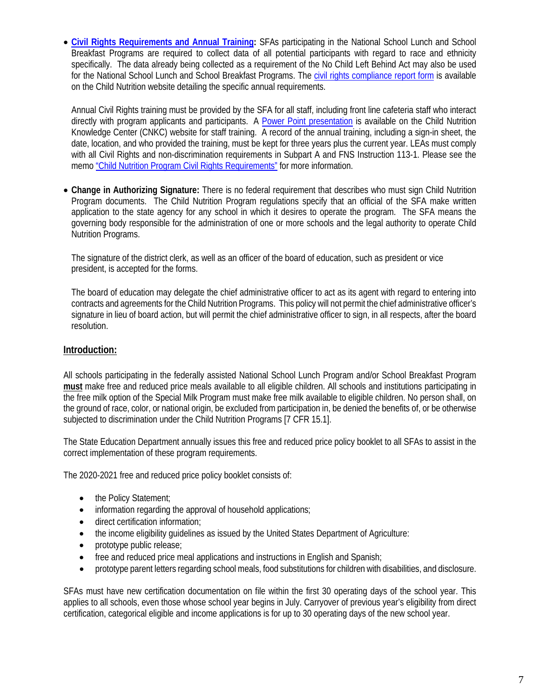• **[Civil Rights Requirements and Annual Training:](http://www.cn.nysed.gov/civilrights)** SFAs participating in the National School Lunch and School Breakfast Programs are required to collect data of all potential participants with regard to race and ethnicity specifically. The data already being collected as a requirement of the No Child Left Behind Act may also be used for the National School Lunch and School Breakfast Programs. The [civil rights compliance report form](http://www.cn.nysed.gov/common/cn/files/crcompliancereport_0.pdf) is available on the Child Nutrition website detailing the specific annual requirements.

Annual Civil Rights training must be provided by the SFA for all staff, including front line cafeteria staff who interact directly with program applicants and participants. A [Power Point presentation](http://www.cn.nysed.gov/common/cn/files/civilrightsppt.pdf) is available on the Child Nutrition Knowledge Center (CNKC) website for staff training. A record of the annual training, including a sign-in sheet, the date, location, and who provided the training, must be kept for three years plus the current year. LEAs must comply with all Civil Rights and non-discrimination requirements in Subpart A and FNS Instruction 113-1. Please see the mem[o "Child Nutrition Program Civil Rights Requirements"](http://www.cn.nysed.gov/content/child-nutrition-program-civil-rights-requirements) for more information.

• **Change in Authorizing Signature:** There is no federal requirement that describes who must sign Child Nutrition Program documents. The Child Nutrition Program regulations specify that an official of the SFA make written application to the state agency for any school in which it desires to operate the program. The SFA means the governing body responsible for the administration of one or more schools and the legal authority to operate Child Nutrition Programs.

The signature of the district clerk, as well as an officer of the board of education, such as president or vice president, is accepted for the forms.

The board of education may delegate the chief administrative officer to act as its agent with regard to entering into contracts and agreements for the Child Nutrition Programs. This policy will not permit the chief administrative officer's signature in lieu of board action, but will permit the chief administrative officer to sign, in all respects, after the board resolution.

# **Introduction:**

All schools participating in the federally assisted National School Lunch Program and/or School Breakfast Program **must** make free and reduced price meals available to all eligible children. All schools and institutions participating in the free milk option of the Special Milk Program must make free milk available to eligible children. No person shall, on the ground of race, color, or national origin, be excluded from participation in, be denied the benefits of, or be otherwise subjected to discrimination under the Child Nutrition Programs [7 CFR 15.1].

The State Education Department annually issues this free and reduced price policy booklet to all SFAs to assist in the correct implementation of these program requirements.

The 2020-2021 free and reduced price policy booklet consists of:

- the Policy Statement;
- information regarding the approval of household applications;
- direct certification information;
- the income eligibility guidelines as issued by the United States Department of Agriculture:
- prototype public release;
- free and reduced price meal applications and instructions in English and Spanish;
- prototype parent letters regarding school meals, food substitutions for children with disabilities, and disclosure.

SFAs must have new certification documentation on file within the first 30 operating days of the school year. This applies to all schools, even those whose school year begins in July. Carryover of previous year's eligibility from direct certification, categorical eligible and income applications is for up to 30 operating days of the new school year.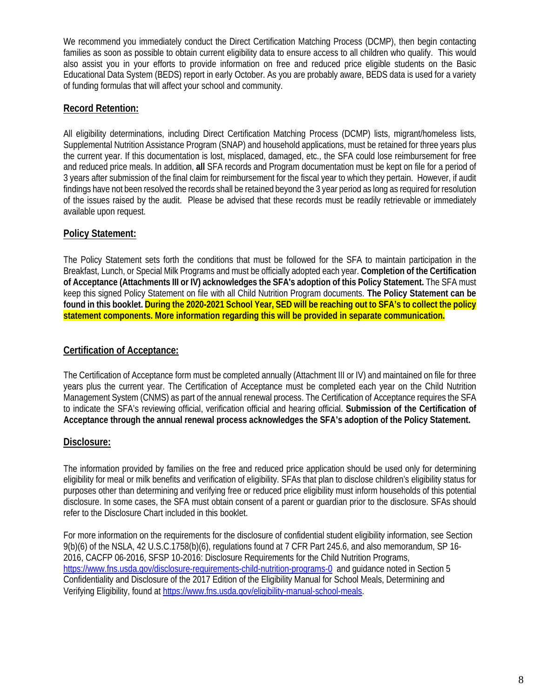We recommend you immediately conduct the Direct Certification Matching Process (DCMP), then begin contacting families as soon as possible to obtain current eligibility data to ensure access to all children who qualify. This would also assist you in your efforts to provide information on free and reduced price eligible students on the Basic Educational Data System (BEDS) report in early October. As you are probably aware, BEDS data is used for a variety of funding formulas that will affect your school and community.

# **Record Retention:**

All eligibility determinations, including Direct Certification Matching Process (DCMP) lists, migrant/homeless lists, Supplemental Nutrition Assistance Program (SNAP) and household applications, must be retained for three years plus the current year. If this documentation is lost, misplaced, damaged, etc., the SFA could lose reimbursement for free and reduced price meals. In addition, **all** SFA records and Program documentation must be kept on file for a period of 3 years after submission of the final claim for reimbursement for the fiscal year to which they pertain. However, if audit findings have not been resolved the records shall be retained beyond the 3 year period as long as required for resolution of the issues raised by the audit. Please be advised that these records must be readily retrievable or immediately available upon request.

# **Policy Statement:**

The Policy Statement sets forth the conditions that must be followed for the SFA to maintain participation in the Breakfast, Lunch, or Special Milk Programs and must be officially adopted each year. **Completion of the Certification of Acceptance (Attachments III or IV) acknowledges the SFA's adoption of this Policy Statement.** The SFA must keep this signed Policy Statement on file with all Child Nutrition Program documents. **The Policy Statement can be found in this booklet. During the 2020-2021 School Year, SED will be reaching out to SFA's to collect the policy statement components. More information regarding this will be provided in separate communication.**

# **Certification of Acceptance:**

The Certification of Acceptance form must be completed annually (Attachment III or IV) and maintained on file for three years plus the current year. The Certification of Acceptance must be completed each year on the Child Nutrition Management System (CNMS) as part of the annual renewal process. The Certification of Acceptance requires the SFA to indicate the SFA's reviewing official, verification official and hearing official. **Submission of the Certification of Acceptance through the annual renewal process acknowledges the SFA's adoption of the Policy Statement.** 

# **Disclosure:**

The information provided by families on the free and reduced price application should be used only for determining eligibility for meal or milk benefits and verification of eligibility. SFAs that plan to disclose children's eligibility status for purposes other than determining and verifying free or reduced price eligibility must inform households of this potential disclosure. In some cases, the SFA must obtain consent of a parent or guardian prior to the disclosure. SFAs should refer to the Disclosure Chart included in this booklet.

For more information on the requirements for the disclosure of confidential student eligibility information, see Section 9(b)(6) of the NSLA, 42 U.S.C.1758(b)(6), regulations found at 7 CFR Part 245.6, and also memorandum, SP 16- 2016, CACFP 06-2016, SFSP 10-2016: Disclosure Requirements for the Child Nutrition Programs, https://www.fns.usda.gov/disclosure-requirements-child-nutrition-programs-0 and guidance noted in Section 5 Confidentiality and Disclosure of the 2017 Edition of the Eligibility Manual for School Meals, Determining and Verifying Eligibility, found at https://www.fns.usda.gov/eligibility-manual-school-meals.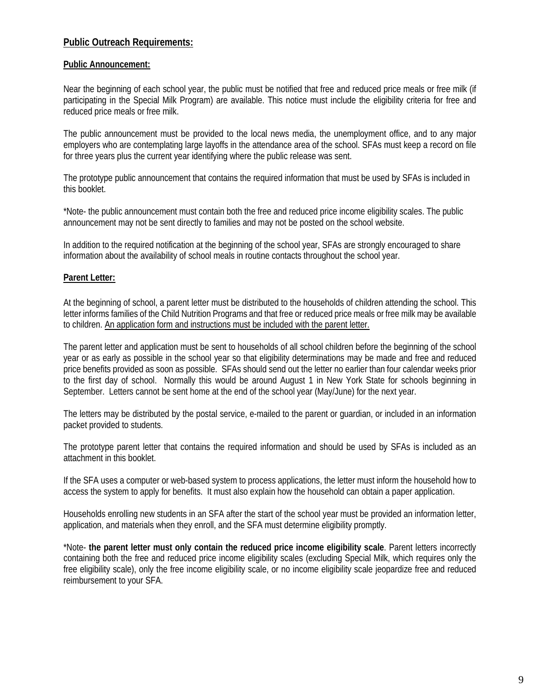# **Public Outreach Requirements:**

### **Public Announcement:**

Near the beginning of each school year, the public must be notified that free and reduced price meals or free milk (if participating in the Special Milk Program) are available. This notice must include the eligibility criteria for free and reduced price meals or free milk.

The public announcement must be provided to the local news media, the unemployment office, and to any major employers who are contemplating large layoffs in the attendance area of the school. SFAs must keep a record on file for three years plus the current year identifying where the public release was sent.

The prototype public announcement that contains the required information that must be used by SFAs is included in this booklet.

\*Note- the public announcement must contain both the free and reduced price income eligibility scales. The public announcement may not be sent directly to families and may not be posted on the school website.

In addition to the required notification at the beginning of the school year, SFAs are strongly encouraged to share information about the availability of school meals in routine contacts throughout the school year.

### **Parent Letter:**

At the beginning of school, a parent letter must be distributed to the households of children attending the school. This letter informs families of the Child Nutrition Programs and that free or reduced price meals or free milk may be available to children. An application form and instructions must be included with the parent letter.

The parent letter and application must be sent to households of all school children before the beginning of the school year or as early as possible in the school year so that eligibility determinations may be made and free and reduced price benefits provided as soon as possible. SFAs should send out the letter no earlier than four calendar weeks prior to the first day of school. Normally this would be around August 1 in New York State for schools beginning in September. Letters cannot be sent home at the end of the school year (May/June) for the next year.

The letters may be distributed by the postal service, e-mailed to the parent or guardian, or included in an information packet provided to students.

The prototype parent letter that contains the required information and should be used by SFAs is included as an attachment in this booklet.

If the SFA uses a computer or web-based system to process applications, the letter must inform the household how to access the system to apply for benefits. It must also explain how the household can obtain a paper application.

Households enrolling new students in an SFA after the start of the school year must be provided an information letter, application, and materials when they enroll, and the SFA must determine eligibility promptly.

\*Note- **the parent letter must only contain the reduced price income eligibility scale**. Parent letters incorrectly containing both the free and reduced price income eligibility scales (excluding Special Milk, which requires only the free eligibility scale), only the free income eligibility scale, or no income eligibility scale jeopardize free and reduced reimbursement to your SFA.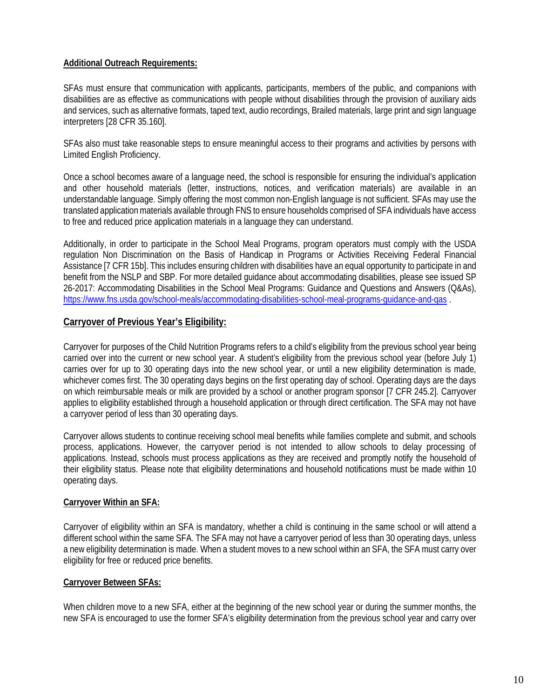# **Additional Outreach Requirements:**

SFAs must ensure that communication with applicants, participants, members of the public, and companions with disabilities are as effective as communications with people without disabilities through the provision of auxiliary aids and services, such as alternative formats, taped text, audio recordings, Brailed materials, large print and sign language interpreters [28 CFR 35.160].

SFAs also must take reasonable steps to ensure meaningful access to their programs and activities by persons with Limited English Proficiency.

Once a school becomes aware of a language need, the school is responsible for ensuring the individual's application and other household materials (letter, instructions, notices, and verification materials) are available in an understandable language. Simply offering the most common non-English language is not sufficient. SFAs may use the translated application materials available through FNS to ensure households comprised of SFA individuals have access to free and reduced price application materials in a language they can understand.

Additionally, in order to participate in the School Meal Programs, program operators must comply with the USDA regulation Non Discrimination on the Basis of Handicap in Programs or Activities Receiving Federal Financial Assistance [7 CFR 15b]. This includes ensuring children with disabilities have an equal opportunity to participate in and benefit from the NSLP and SBP. For more detailed guidance about accommodating disabilities, please see issued SP 26-2017: Accommodating Disabilities in the School Meal Programs: Guidance and Questions and Answers (Q&As), <https://www.fns.usda.gov/school-meals/accommodating-disabilities-school-meal-programs-guidance-and-qas> .

# **Carryover of Previous Year's Eligibility:**

Carryover for purposes of the Child Nutrition Programs refers to a child's eligibility from the previous school year being carried over into the current or new school year. A student's eligibility from the previous school year (before July 1) carries over for up to 30 operating days into the new school year, or until a new eligibility determination is made, whichever comes first. The 30 operating days begins on the first operating day of school. Operating days are the days on which reimbursable meals or milk are provided by a school or another program sponsor [7 CFR 245.2]. Carryover applies to eligibility established through a household application or through direct certification. The SFA may not have a carryover period of less than 30 operating days.

Carryover allows students to continue receiving school meal benefits while families complete and submit, and schools process, applications. However, the carryover period is not intended to allow schools to delay processing of applications. Instead, schools must process applications as they are received and promptly notify the household of their eligibility status. Please note that eligibility determinations and household notifications must be made within 10 operating days.

# **Carryover Within an SFA:**

Carryover of eligibility within an SFA is mandatory, whether a child is continuing in the same school or will attend a different school within the same SFA. The SFA may not have a carryover period of less than 30 operating days, unless a new eligibility determination is made. When a student moves to a new school within an SFA, the SFA must carry over eligibility for free or reduced price benefits.

# **Carryover Between SFAs:**

When children move to a new SFA, either at the beginning of the new school year or during the summer months, the new SFA is encouraged to use the former SFA's eligibility determination from the previous school year and carry over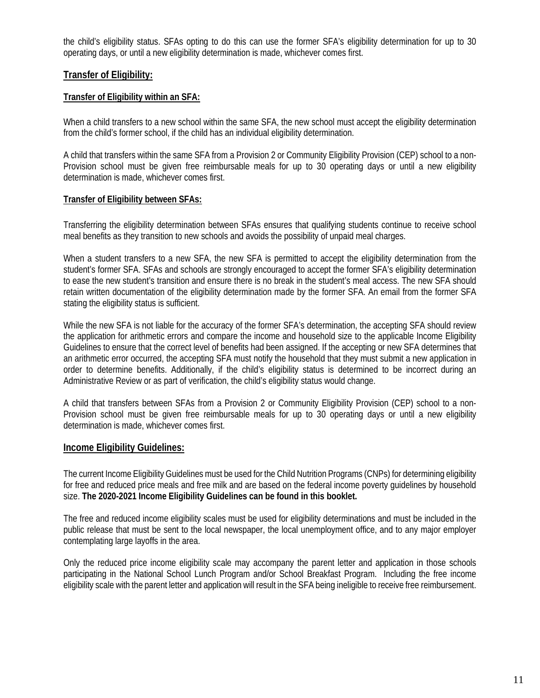the child's eligibility status. SFAs opting to do this can use the former SFA's eligibility determination for up to 30 operating days, or until a new eligibility determination is made, whichever comes first.

# **Transfer of Eligibility:**

### **Transfer of Eligibility within an SFA:**

When a child transfers to a new school within the same SFA, the new school must accept the eligibility determination from the child's former school, if the child has an individual eligibility determination.

A child that transfers within the same SFA from a Provision 2 or Community Eligibility Provision (CEP) school to a non-Provision school must be given free reimbursable meals for up to 30 operating days or until a new eligibility determination is made, whichever comes first.

### **Transfer of Eligibility between SFAs:**

Transferring the eligibility determination between SFAs ensures that qualifying students continue to receive school meal benefits as they transition to new schools and avoids the possibility of unpaid meal charges.

When a student transfers to a new SFA, the new SFA is permitted to accept the eligibility determination from the student's former SFA. SFAs and schools are strongly encouraged to accept the former SFA's eligibility determination to ease the new student's transition and ensure there is no break in the student's meal access. The new SFA should retain written documentation of the eligibility determination made by the former SFA. An email from the former SFA stating the eligibility status is sufficient.

While the new SFA is not liable for the accuracy of the former SFA's determination, the accepting SFA should review the application for arithmetic errors and compare the income and household size to the applicable Income Eligibility Guidelines to ensure that the correct level of benefits had been assigned. If the accepting or new SFA determines that an arithmetic error occurred, the accepting SFA must notify the household that they must submit a new application in order to determine benefits. Additionally, if the child's eligibility status is determined to be incorrect during an Administrative Review or as part of verification, the child's eligibility status would change.

A child that transfers between SFAs from a Provision 2 or Community Eligibility Provision (CEP) school to a non-Provision school must be given free reimbursable meals for up to 30 operating days or until a new eligibility determination is made, whichever comes first.

# **Income Eligibility Guidelines:**

The current Income Eligibility Guidelines must be used for the Child Nutrition Programs (CNPs) for determining eligibility for free and reduced price meals and free milk and are based on the federal income poverty guidelines by household size. **The 2020-2021 Income Eligibility Guidelines can be found in this booklet.**

The free and reduced income eligibility scales must be used for eligibility determinations and must be included in the public release that must be sent to the local newspaper, the local unemployment office, and to any major employer contemplating large layoffs in the area.

Only the reduced price income eligibility scale may accompany the parent letter and application in those schools participating in the National School Lunch Program and/or School Breakfast Program. Including the free income eligibility scale with the parent letter and application will result in the SFA being ineligible to receive free reimbursement.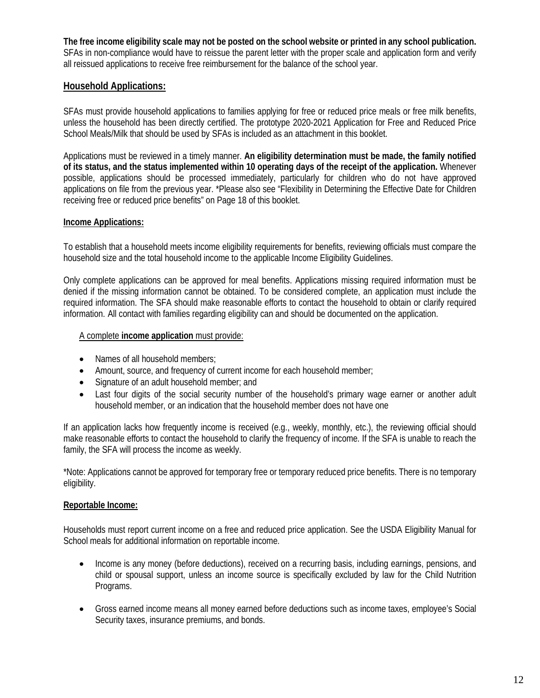**The free income eligibility scale may not be posted on the school website or printed in any school publication.** SFAs in non-compliance would have to reissue the parent letter with the proper scale and application form and verify all reissued applications to receive free reimbursement for the balance of the school year.

# **Household Applications:**

SFAs must provide household applications to families applying for free or reduced price meals or free milk benefits, unless the household has been directly certified. The prototype 2020-2021 Application for Free and Reduced Price School Meals/Milk that should be used by SFAs is included as an attachment in this booklet.

Applications must be reviewed in a timely manner. **An eligibility determination must be made, the family notified of its status, and the status implemented within 10 operating days of the receipt of the application.** Whenever possible, applications should be processed immediately, particularly for children who do not have approved applications on file from the previous year. \*Please also see "Flexibility in Determining the Effective Date for Children receiving free or reduced price benefits" on Page 18 of this booklet.

# **Income Applications:**

To establish that a household meets income eligibility requirements for benefits, reviewing officials must compare the household size and the total household income to the applicable Income Eligibility Guidelines.

Only complete applications can be approved for meal benefits. Applications missing required information must be denied if the missing information cannot be obtained. To be considered complete, an application must include the required information. The SFA should make reasonable efforts to contact the household to obtain or clarify required information. All contact with families regarding eligibility can and should be documented on the application.

### A complete **income application** must provide:

- Names of all household members;
- Amount, source, and frequency of current income for each household member;
- Signature of an adult household member; and
- Last four digits of the social security number of the household's primary wage earner or another adult household member, or an indication that the household member does not have one

If an application lacks how frequently income is received (e.g., weekly, monthly, etc.), the reviewing official should make reasonable efforts to contact the household to clarify the frequency of income. If the SFA is unable to reach the family, the SFA will process the income as weekly.

\*Note: Applications cannot be approved for temporary free or temporary reduced price benefits. There is no temporary eligibility.

# **Reportable Income:**

Households must report current income on a free and reduced price application. See the USDA Eligibility Manual for School meals for additional information on reportable income.

- Income is any money (before deductions), received on a recurring basis, including earnings, pensions, and child or spousal support, unless an income source is specifically excluded by law for the Child Nutrition Programs.
- Gross earned income means all money earned before deductions such as income taxes, employee's Social Security taxes, insurance premiums, and bonds.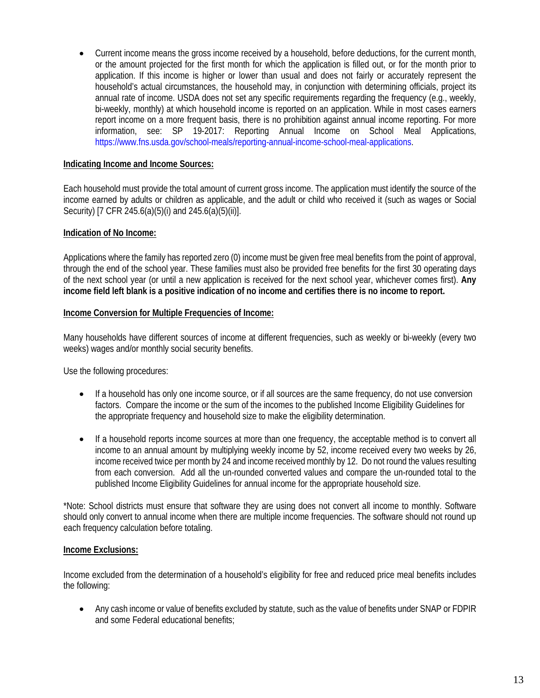• Current income means the gross income received by a household, before deductions, for the current month, or the amount projected for the first month for which the application is filled out, or for the month prior to application. If this income is higher or lower than usual and does not fairly or accurately represent the household's actual circumstances, the household may, in conjunction with determining officials, project its annual rate of income. USDA does not set any specific requirements regarding the frequency (e.g., weekly, bi-weekly, monthly) at which household income is reported on an application. While in most cases earners report income on a more frequent basis, there is no prohibition against annual income reporting. For more information, see: SP 19-2017: Reporting Annual Income on School Meal Applications, [https://www.fns.usda.gov/school-meals/reporting-annual-income-school-meal-applications.](https://www.fns.usda.gov/school-meals/reporting-annual-income-school-meal-applications)

### **Indicating Income and Income Sources:**

Each household must provide the total amount of current gross income. The application must identify the source of the income earned by adults or children as applicable, and the adult or child who received it (such as wages or Social Security) [7 CFR 245.6(a)(5)(i) and 245.6(a)(5)(ii)].

### **Indication of No Income:**

Applications where the family has reported zero (0) income must be given free meal benefits from the point of approval, through the end of the school year. These families must also be provided free benefits for the first 30 operating days of the next school year (or until a new application is received for the next school year, whichever comes first). **Any income field left blank is a positive indication of no income and certifies there is no income to report.**

#### **Income Conversion for Multiple Frequencies of Income:**

Many households have different sources of income at different frequencies, such as weekly or bi-weekly (every two weeks) wages and/or monthly social security benefits.

Use the following procedures:

- If a household has only one income source, or if all sources are the same frequency, do not use conversion factors. Compare the income or the sum of the incomes to the published Income Eligibility Guidelines for the appropriate frequency and household size to make the eligibility determination.
- If a household reports income sources at more than one frequency, the acceptable method is to convert all income to an annual amount by multiplying weekly income by 52, income received every two weeks by 26, income received twice per month by 24 and income received monthly by 12. Do not round the values resulting from each conversion. Add all the un-rounded converted values and compare the un-rounded total to the published Income Eligibility Guidelines for annual income for the appropriate household size.

\*Note: School districts must ensure that software they are using does not convert all income to monthly. Software should only convert to annual income when there are multiple income frequencies. The software should not round up each frequency calculation before totaling.

#### **Income Exclusions:**

Income excluded from the determination of a household's eligibility for free and reduced price meal benefits includes the following:

• Any cash income or value of benefits excluded by statute, such as the value of benefits under SNAP or FDPIR and some Federal educational benefits;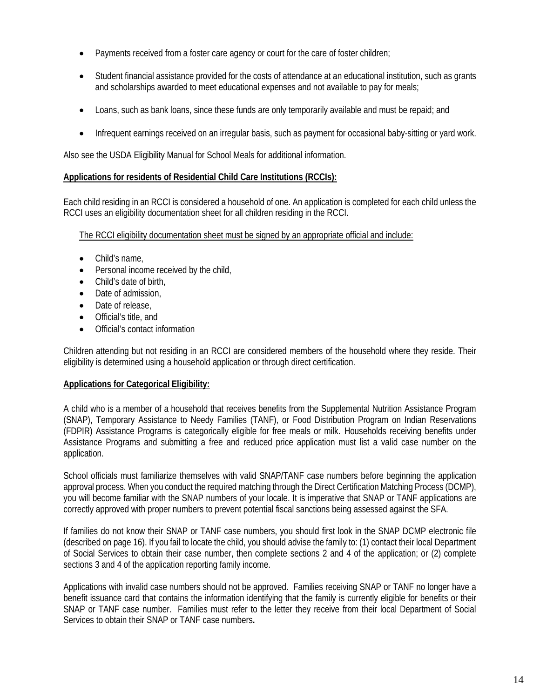- Payments received from a foster care agency or court for the care of foster children;
- Student financial assistance provided for the costs of attendance at an educational institution, such as grants and scholarships awarded to meet educational expenses and not available to pay for meals;
- Loans, such as bank loans, since these funds are only temporarily available and must be repaid; and
- Infrequent earnings received on an irregular basis, such as payment for occasional baby-sitting or yard work.

Also see the USDA Eligibility Manual for School Meals for additional information.

# **Applications for residents of Residential Child Care Institutions (RCCIs):**

Each child residing in an RCCI is considered a household of one. An application is completed for each child unless the RCCI uses an eligibility documentation sheet for all children residing in the RCCI.

The RCCI eligibility documentation sheet must be signed by an appropriate official and include:

- Child's name,
- Personal income received by the child,
- Child's date of birth,
- Date of admission,
- Date of release,
- Official's title, and
- Official's contact information

Children attending but not residing in an RCCI are considered members of the household where they reside. Their eligibility is determined using a household application or through direct certification.

# **Applications for Categorical Eligibility:**

A child who is a member of a household that receives benefits from the Supplemental Nutrition Assistance Program (SNAP), Temporary Assistance to Needy Families (TANF), or Food Distribution Program on Indian Reservations (FDPIR) Assistance Programs is categorically eligible for free meals or milk. Households receiving benefits under Assistance Programs and submitting a free and reduced price application must list a valid case number on the application.

School officials must familiarize themselves with valid SNAP/TANF case numbers before beginning the application approval process. When you conduct the required matching through the Direct Certification Matching Process (DCMP), you will become familiar with the SNAP numbers of your locale. It is imperative that SNAP or TANF applications are correctly approved with proper numbers to prevent potential fiscal sanctions being assessed against the SFA.

If families do not know their SNAP or TANF case numbers, you should first look in the SNAP DCMP electronic file (described on page 16). If you fail to locate the child, you should advise the family to: (1) contact their local Department of Social Services to obtain their case number, then complete sections 2 and 4 of the application; or (2) complete sections 3 and 4 of the application reporting family income.

Applications with invalid case numbers should not be approved. Families receiving SNAP or TANF no longer have a benefit issuance card that contains the information identifying that the family is currently eligible for benefits or their SNAP or TANF case number. Families must refer to the letter they receive from their local Department of Social Services to obtain their SNAP or TANF case numbers**.**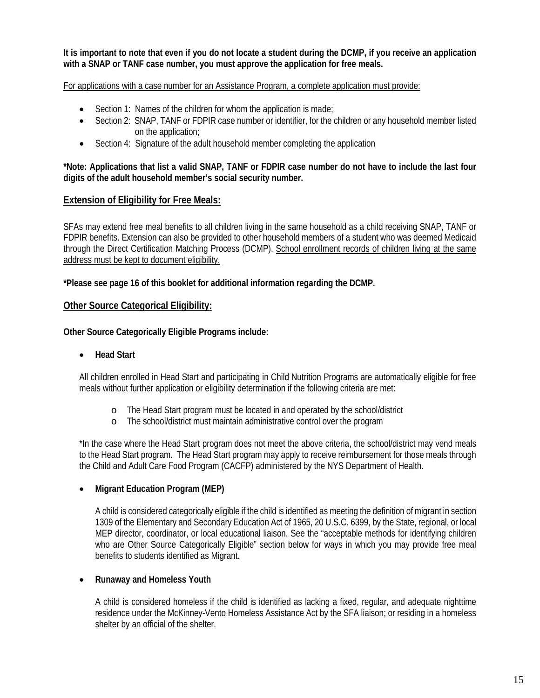**It is important to note that even if you do not locate a student during the DCMP, if you receive an application with a SNAP or TANF case number, you must approve the application for free meals.**

For applications with a case number for an Assistance Program, a complete application must provide:

- Section 1: Names of the children for whom the application is made;
- Section 2: SNAP, TANF or FDPIR case number or identifier, for the children or any household member listed on the application;
- Section 4: Signature of the adult household member completing the application

**\*Note: Applications that list a valid SNAP, TANF or FDPIR case number do not have to include the last four digits of the adult household member's social security number.** 

# **Extension of Eligibility for Free Meals:**

SFAs may extend free meal benefits to all children living in the same household as a child receiving SNAP, TANF or FDPIR benefits. Extension can also be provided to other household members of a student who was deemed Medicaid through the Direct Certification Matching Process (DCMP). School enrollment records of children living at the same address must be kept to document eligibility.

**\*Please see page 16 of this booklet for additional information regarding the DCMP.**

# **Other Source Categorical Eligibility:**

**Other Source Categorically Eligible Programs include:**

#### • **Head Start**

All children enrolled in Head Start and participating in Child Nutrition Programs are automatically eligible for free meals without further application or eligibility determination if the following criteria are met:

- o The Head Start program must be located in and operated by the school/district
- o The school/district must maintain administrative control over the program

\*In the case where the Head Start program does not meet the above criteria, the school/district may vend meals to the Head Start program. The Head Start program may apply to receive reimbursement for those meals through the Child and Adult Care Food Program (CACFP) administered by the NYS Department of Health.

# • **Migrant Education Program (MEP)**

A child is considered categorically eligible if the child is identified as meeting the definition of migrant in section 1309 of the Elementary and Secondary Education Act of 1965, 20 U.S.C. 6399, by the State, regional, or local MEP director, coordinator, or local educational liaison. See the "acceptable methods for identifying children who are Other Source Categorically Eligible" section below for ways in which you may provide free meal benefits to students identified as Migrant.

#### • **Runaway and Homeless Youth**

A child is considered homeless if the child is identified as lacking a fixed, regular, and adequate nighttime residence under the McKinney-Vento Homeless Assistance Act by the SFA liaison; or residing in a homeless shelter by an official of the shelter.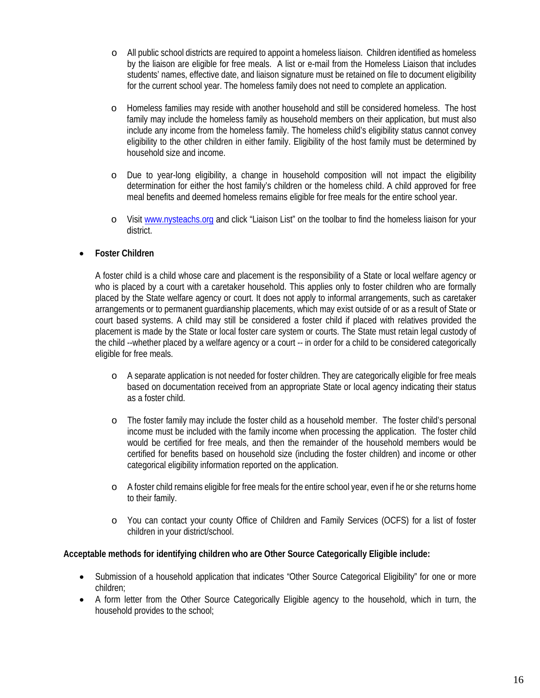- o All public school districts are required to appoint a homeless liaison. Children identified as homeless by the liaison are eligible for free meals. A list or e-mail from the Homeless Liaison that includes students' names, effective date, and liaison signature must be retained on file to document eligibility for the current school year. The homeless family does not need to complete an application.
- o Homeless families may reside with another household and still be considered homeless. The host family may include the homeless family as household members on their application, but must also include any income from the homeless family. The homeless child's eligibility status cannot convey eligibility to the other children in either family. Eligibility of the host family must be determined by household size and income.
- o Due to year-long eligibility, a change in household composition will not impact the eligibility determination for either the host family's children or the homeless child. A child approved for free meal benefits and deemed homeless remains eligible for free meals for the entire school year.
- o Visit [www.nysteachs.org](http://www.nysteachs.org/) and click "Liaison List" on the toolbar to find the homeless liaison for your district.

# • **Foster Children**

A foster child is a child whose care and placement is the responsibility of a State or local welfare agency or who is placed by a court with a caretaker household. This applies only to foster children who are formally placed by the State welfare agency or court. It does not apply to informal arrangements, such as caretaker arrangements or to permanent guardianship placements, which may exist outside of or as a result of State or court based systems. A child may still be considered a foster child if placed with relatives provided the placement is made by the State or local foster care system or courts. The State must retain legal custody of the child --whether placed by a welfare agency or a court -- in order for a child to be considered categorically eligible for free meals.

- o A separate application is not needed for foster children. They are categorically eligible for free meals based on documentation received from an appropriate State or local agency indicating their status as a foster child.
- o The foster family may include the foster child as a household member. The foster child's personal income must be included with the family income when processing the application. The foster child would be certified for free meals, and then the remainder of the household members would be certified for benefits based on household size (including the foster children) and income or other categorical eligibility information reported on the application.
- o A foster child remains eligible for free meals for the entire school year, even if he or she returns home to their family.
- o You can contact your county Office of Children and Family Services (OCFS) for a list of foster children in your district/school.

#### **Acceptable methods for identifying children who are Other Source Categorically Eligible include:**

- Submission of a household application that indicates "Other Source Categorical Eligibility" for one or more children;
- A form letter from the Other Source Categorically Eligible agency to the household, which in turn, the household provides to the school;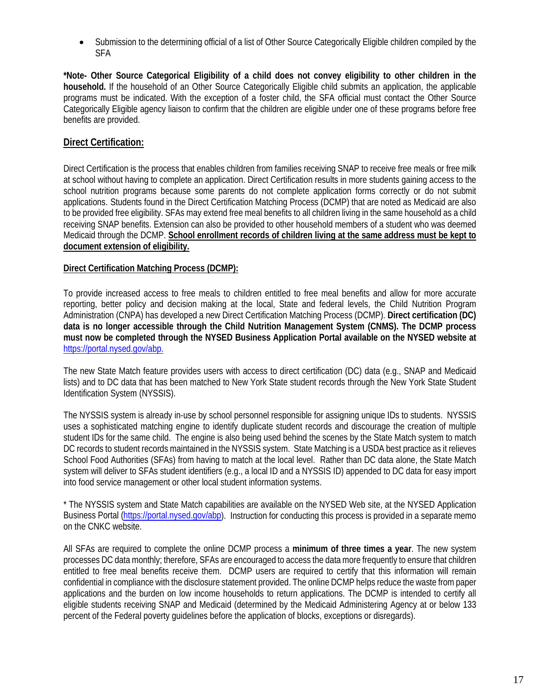• Submission to the determining official of a list of Other Source Categorically Eligible children compiled by the SFA

**\*Note- Other Source Categorical Eligibility of a child does not convey eligibility to other children in the household.** If the household of an Other Source Categorically Eligible child submits an application, the applicable programs must be indicated. With the exception of a foster child, the SFA official must contact the Other Source Categorically Eligible agency liaison to confirm that the children are eligible under one of these programs before free benefits are provided.

# **Direct Certification:**

Direct Certification is the process that enables children from families receiving SNAP to receive free meals or free milk at school without having to complete an application. Direct Certification results in more students gaining access to the school nutrition programs because some parents do not complete application forms correctly or do not submit applications. Students found in the Direct Certification Matching Process (DCMP) that are noted as Medicaid are also to be provided free eligibility. SFAs may extend free meal benefits to all children living in the same household as a child receiving SNAP benefits. Extension can also be provided to other household members of a student who was deemed Medicaid through the DCMP. **School enrollment records of children living at the same address must be kept to document extension of eligibility.**

# **Direct Certification Matching Process (DCMP):**

To provide increased access to free meals to children entitled to free meal benefits and allow for more accurate reporting, better policy and decision making at the local, State and federal levels, the Child Nutrition Program Administration (CNPA) has developed a new Direct Certification Matching Process (DCMP). **Direct certification (DC) data is no longer accessible through the Child Nutrition Management System (CNMS). The DCMP process must now be completed through the NYSED Business Application Portal available on the NYSED website at**  [https://portal.nysed.gov/abp.](https://portal.nysed.gov/abp)

The new State Match feature provides users with access to direct certification (DC) data (e.g., SNAP and Medicaid lists) and to DC data that has been matched to New York State student records through the New York State Student Identification System (NYSSIS).

The NYSSIS system is already in-use by school personnel responsible for assigning unique IDs to students. NYSSIS uses a sophisticated matching engine to identify duplicate student records and discourage the creation of multiple student IDs for the same child. The engine is also being used behind the scenes by the State Match system to match DC records to student records maintained in the NYSSIS system. State Matching is a USDA best practice as it relieves School Food Authorities (SFAs) from having to match at the local level. Rather than DC data alone, the State Match system will deliver to SFAs student identifiers (e.g., a local ID and a NYSSIS ID) appended to DC data for easy import into food service management or other local student information systems.

\* The NYSSIS system and State Match capabilities are available on the NYSED Web site, at the NYSED Application Business Portal [\(https://portal.nysed.gov/abp\)](https://portal.nysed.gov/abp). Instruction for conducting this process is provided in a separate memo on the CNKC website.

All SFAs are required to complete the online DCMP process a **minimum of three times a year**. The new system processes DC data monthly; therefore, SFAs are encouraged to access the data more frequently to ensure that children entitled to free meal benefits receive them. DCMP users are required to certify that this information will remain confidential in compliance with the disclosure statement provided. The online DCMP helps reduce the waste from paper applications and the burden on low income households to return applications. The DCMP is intended to certify all eligible students receiving SNAP and Medicaid (determined by the Medicaid Administering Agency at or below 133 percent of the Federal poverty guidelines before the application of blocks, exceptions or disregards).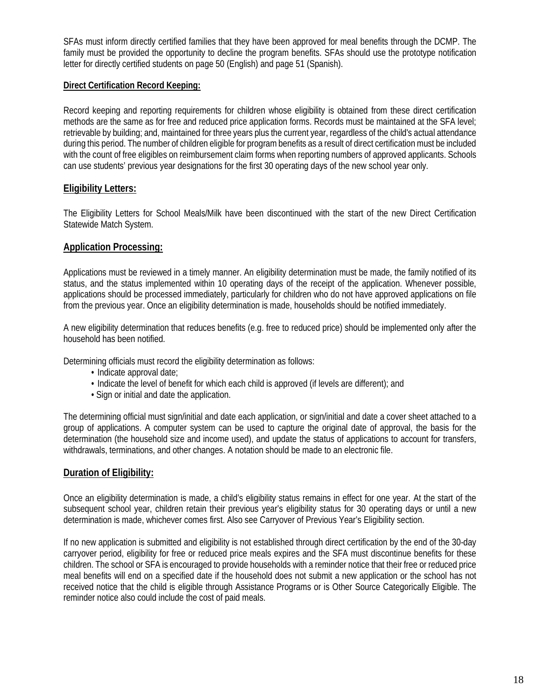SFAs must inform directly certified families that they have been approved for meal benefits through the DCMP. The family must be provided the opportunity to decline the program benefits. SFAs should use the prototype notification letter for directly certified students on page 50 (English) and page 51 (Spanish).

### **Direct Certification Record Keeping:**

Record keeping and reporting requirements for children whose eligibility is obtained from these direct certification methods are the same as for free and reduced price application forms. Records must be maintained at the SFA level; retrievable by building; and, maintained for three years plus the current year, regardless of the child's actual attendance during this period. The number of children eligible for program benefits as a result of direct certification must be included with the count of free eligibles on reimbursement claim forms when reporting numbers of approved applicants. Schools can use students' previous year designations for the first 30 operating days of the new school year only.

# **Eligibility Letters:**

The Eligibility Letters for School Meals/Milk have been discontinued with the start of the new Direct Certification Statewide Match System.

# **Application Processing:**

Applications must be reviewed in a timely manner. An eligibility determination must be made, the family notified of its status, and the status implemented within 10 operating days of the receipt of the application. Whenever possible, applications should be processed immediately, particularly for children who do not have approved applications on file from the previous year. Once an eligibility determination is made, households should be notified immediately.

A new eligibility determination that reduces benefits (e.g. free to reduced price) should be implemented only after the household has been notified.

Determining officials must record the eligibility determination as follows:

- Indicate approval date;
- Indicate the level of benefit for which each child is approved (if levels are different); and
- Sign or initial and date the application.

The determining official must sign/initial and date each application, or sign/initial and date a cover sheet attached to a group of applications. A computer system can be used to capture the original date of approval, the basis for the determination (the household size and income used), and update the status of applications to account for transfers, withdrawals, terminations, and other changes. A notation should be made to an electronic file.

# **Duration of Eligibility:**

Once an eligibility determination is made, a child's eligibility status remains in effect for one year. At the start of the subsequent school year, children retain their previous year's eligibility status for 30 operating days or until a new determination is made, whichever comes first. Also see Carryover of Previous Year's Eligibility section.

If no new application is submitted and eligibility is not established through direct certification by the end of the 30-day carryover period, eligibility for free or reduced price meals expires and the SFA must discontinue benefits for these children. The school or SFA is encouraged to provide households with a reminder notice that their free or reduced price meal benefits will end on a specified date if the household does not submit a new application or the school has not received notice that the child is eligible through Assistance Programs or is Other Source Categorically Eligible. The reminder notice also could include the cost of paid meals.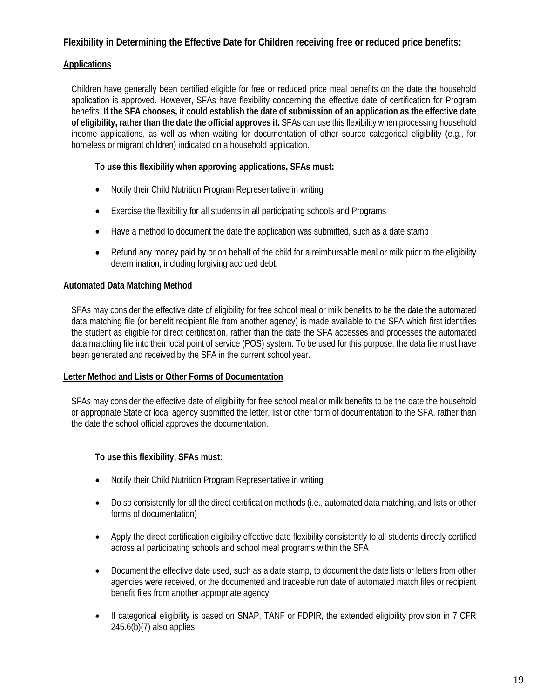# **Flexibility in Determining the Effective Date for Children receiving free or reduced price benefits:**

# **Applications**

Children have generally been certified eligible for free or reduced price meal benefits on the date the household application is approved. However, SFAs have flexibility concerning the effective date of certification for Program benefits. **If the SFA chooses, it could establish the date of submission of an application as the effective date of eligibility, rather than the date the official approves it.** SFAs can use this flexibility when processing household income applications, as well as when waiting for documentation of other source categorical eligibility (e.g., for homeless or migrant children) indicated on a household application.

# **To use this flexibility when approving applications, SFAs must:**

- Notify their Child Nutrition Program Representative in writing
- Exercise the flexibility for all students in all participating schools and Programs
- Have a method to document the date the application was submitted, such as a date stamp
- Refund any money paid by or on behalf of the child for a reimbursable meal or milk prior to the eligibility determination, including forgiving accrued debt.

# **Automated Data Matching Method**

SFAs may consider the effective date of eligibility for free school meal or milk benefits to be the date the automated data matching file (or benefit recipient file from another agency) is made available to the SFA which first identifies the student as eligible for direct certification, rather than the date the SFA accesses and processes the automated data matching file into their local point of service (POS) system. To be used for this purpose, the data file must have been generated and received by the SFA in the current school year.

# **Letter Method and Lists or Other Forms of Documentation**

SFAs may consider the effective date of eligibility for free school meal or milk benefits to be the date the household or appropriate State or local agency submitted the letter, list or other form of documentation to the SFA, rather than the date the school official approves the documentation.

# **To use this flexibility, SFAs must:**

- Notify their Child Nutrition Program Representative in writing
- Do so consistently for all the direct certification methods (i.e., automated data matching, and lists or other forms of documentation)
- Apply the direct certification eligibility effective date flexibility consistently to all students directly certified across all participating schools and school meal programs within the SFA
- Document the effective date used, such as a date stamp, to document the date lists or letters from other agencies were received, or the documented and traceable run date of automated match files or recipient benefit files from another appropriate agency
- If categorical eligibility is based on SNAP, TANF or FDPIR, the extended eligibility provision in 7 CFR  $245.6(b)(7)$  also applies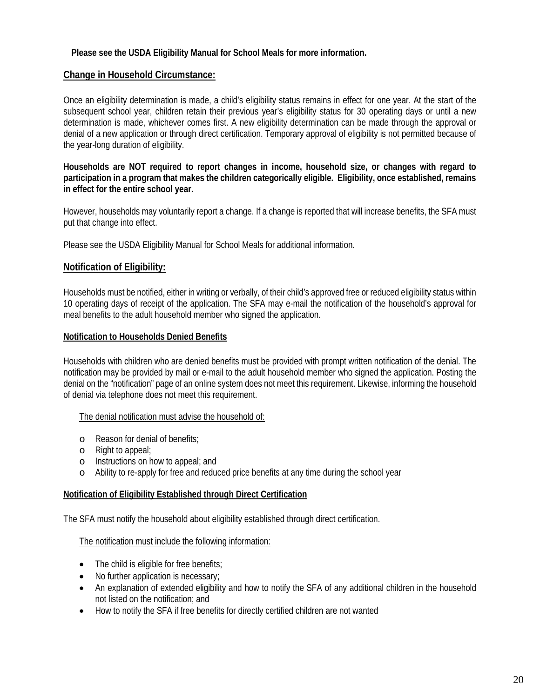# **Please see the USDA Eligibility Manual for School Meals for more information.**

# **Change in Household Circumstance:**

Once an eligibility determination is made, a child's eligibility status remains in effect for one year. At the start of the subsequent school year, children retain their previous year's eligibility status for 30 operating days or until a new determination is made, whichever comes first. A new eligibility determination can be made through the approval or denial of a new application or through direct certification. Temporary approval of eligibility is not permitted because of the year-long duration of eligibility.

#### **Households are NOT required to report changes in income, household size, or changes with regard to participation in a program that makes the children categorically eligible. Eligibility, once established, remains in effect for the entire school year.**

However, households may voluntarily report a change. If a change is reported that will increase benefits, the SFA must put that change into effect.

Please see the USDA Eligibility Manual for School Meals for additional information.

# **Notification of Eligibility:**

Households must be notified, either in writing or verbally, of their child's approved free or reduced eligibility status within 10 operating days of receipt of the application. The SFA may e-mail the notification of the household's approval for meal benefits to the adult household member who signed the application.

### **Notification to Households Denied Benefits**

Households with children who are denied benefits must be provided with prompt written notification of the denial. The notification may be provided by mail or e-mail to the adult household member who signed the application. Posting the denial on the "notification" page of an online system does not meet this requirement. Likewise, informing the household of denial via telephone does not meet this requirement.

#### The denial notification must advise the household of:

- o Reason for denial of benefits;
- o Right to appeal;
- o Instructions on how to appeal; and
- o Ability to re-apply for free and reduced price benefits at any time during the school year

#### **Notification of Eligibility Established through Direct Certification**

The SFA must notify the household about eligibility established through direct certification.

#### The notification must include the following information:

- The child is eligible for free benefits;
- No further application is necessary;
- An explanation of extended eligibility and how to notify the SFA of any additional children in the household not listed on the notification; and
- How to notify the SFA if free benefits for directly certified children are not wanted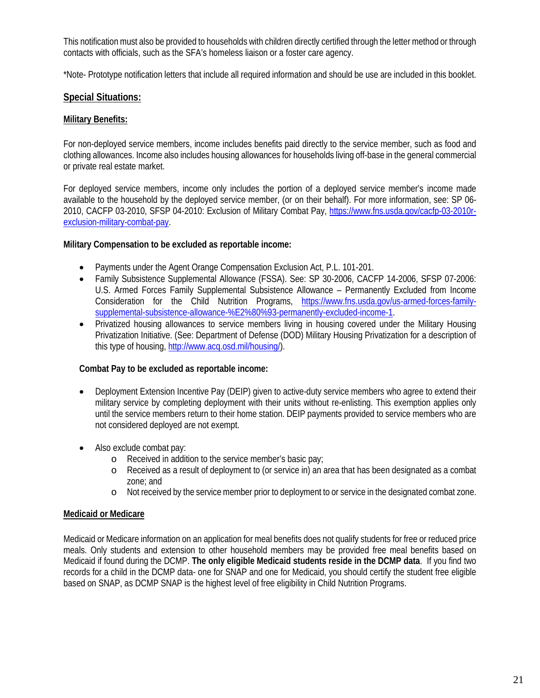This notification must also be provided to households with children directly certified through the letter method or through contacts with officials, such as the SFA's homeless liaison or a foster care agency.

\*Note- Prototype notification letters that include all required information and should be use are included in this booklet.

# **Special Situations:**

# **Military Benefits:**

For non-deployed service members, income includes benefits paid directly to the service member, such as food and clothing allowances. Income also includes housing allowances for households living off-base in the general commercial or private real estate market.

For deployed service members, income only includes the portion of a deployed service member's income made available to the household by the deployed service member, (or on their behalf). For more information, see: SP 06- 2010, CACFP 03-2010, SFSP 04-2010: Exclusion of Military Combat Pay, [https://www.fns.usda.gov/cacfp-03-2010r](https://www.fns.usda.gov/cacfp-03-2010r-exclusion-military-combat-pay)[exclusion-military-combat-pay.](https://www.fns.usda.gov/cacfp-03-2010r-exclusion-military-combat-pay)

# **Military Compensation to be excluded as reportable income:**

- Payments under the Agent Orange Compensation Exclusion Act, P.L. 101-201.
- Family Subsistence Supplemental Allowance (FSSA). See: SP 30-2006, CACFP 14-2006, SFSP 07-2006: U.S. Armed Forces Family Supplemental Subsistence Allowance – Permanently Excluded from Income Consideration for the Child Nutrition Programs, [https://www.fns.usda.gov/us-armed-forces-family](https://www.fns.usda.gov/us-armed-forces-family-supplemental-subsistence-allowance-%E2%80%93-permanently-excluded-income-1)[supplemental-subsistence-allowance-%E2%80%93-permanently-excluded-income-1.](https://www.fns.usda.gov/us-armed-forces-family-supplemental-subsistence-allowance-%E2%80%93-permanently-excluded-income-1)
- Privatized housing allowances to service members living in housing covered under the Military Housing Privatization Initiative. (See: Department of Defense (DOD) Military Housing Privatization for a description of this type of housing, [http://www.acq.osd.mil/housing/\)](http://www.acq.osd.mil/housing/).

# **Combat Pay to be excluded as reportable income:**

- Deployment Extension Incentive Pay (DEIP) given to active-duty service members who agree to extend their military service by completing deployment with their units without re-enlisting. This exemption applies only until the service members return to their home station. DEIP payments provided to service members who are not considered deployed are not exempt.
- Also exclude combat pay:
	- o Received in addition to the service member's basic pay;
	- o Received as a result of deployment to (or service in) an area that has been designated as a combat zone; and
	- o Not received by the service member prior to deployment to or service in the designated combat zone.

# **Medicaid or Medicare**

Medicaid or Medicare information on an application for meal benefits does not qualify students for free or reduced price meals. Only students and extension to other household members may be provided free meal benefits based on Medicaid if found during the DCMP. **The only eligible Medicaid students reside in the DCMP data**. If you find two records for a child in the DCMP data- one for SNAP and one for Medicaid, you should certify the student free eligible based on SNAP, as DCMP SNAP is the highest level of free eligibility in Child Nutrition Programs.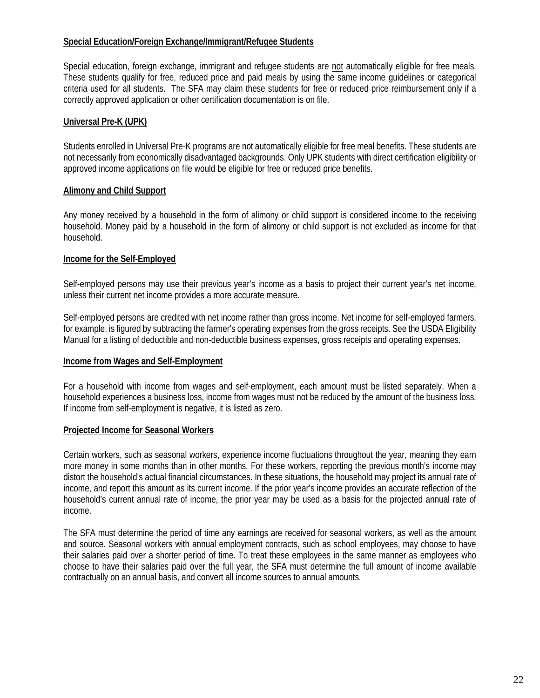# **Special Education/Foreign Exchange/Immigrant/Refugee Students**

Special education, foreign exchange, immigrant and refugee students are not automatically eligible for free meals. These students qualify for free, reduced price and paid meals by using the same income guidelines or categorical criteria used for all students. The SFA may claim these students for free or reduced price reimbursement only if a correctly approved application or other certification documentation is on file.

#### **Universal Pre-K (UPK)**

Students enrolled in Universal Pre-K programs are not automatically eligible for free meal benefits. These students are not necessarily from economically disadvantaged backgrounds. Only UPK students with direct certification eligibility or approved income applications on file would be eligible for free or reduced price benefits.

#### **Alimony and Child Support**

Any money received by a household in the form of alimony or child support is considered income to the receiving household. Money paid by a household in the form of alimony or child support is not excluded as income for that household.

### **Income for the Self-Employed**

Self-employed persons may use their previous year's income as a basis to project their current year's net income, unless their current net income provides a more accurate measure.

Self-employed persons are credited with net income rather than gross income. Net income for self-employed farmers, for example, is figured by subtracting the farmer's operating expenses from the gross receipts. See the USDA Eligibility Manual for a listing of deductible and non-deductible business expenses, gross receipts and operating expenses.

#### **Income from Wages and Self-Employment**

For a household with income from wages and self-employment, each amount must be listed separately. When a household experiences a business loss, income from wages must not be reduced by the amount of the business loss. If income from self-employment is negative, it is listed as zero.

#### **Projected Income for Seasonal Workers**

Certain workers, such as seasonal workers, experience income fluctuations throughout the year, meaning they earn more money in some months than in other months. For these workers, reporting the previous month's income may distort the household's actual financial circumstances. In these situations, the household may project its annual rate of income, and report this amount as its current income. If the prior year's income provides an accurate reflection of the household's current annual rate of income, the prior year may be used as a basis for the projected annual rate of income.

The SFA must determine the period of time any earnings are received for seasonal workers, as well as the amount and source. Seasonal workers with annual employment contracts, such as school employees, may choose to have their salaries paid over a shorter period of time. To treat these employees in the same manner as employees who choose to have their salaries paid over the full year, the SFA must determine the full amount of income available contractually on an annual basis, and convert all income sources to annual amounts.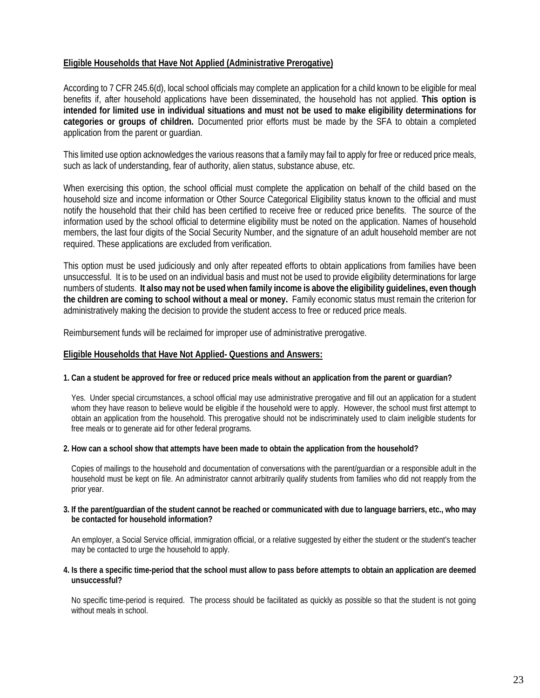### **Eligible Households that Have Not Applied (Administrative Prerogative)**

According to 7 CFR 245.6(d), local school officials may complete an application for a child known to be eligible for meal benefits if, after household applications have been disseminated, the household has not applied. **This option is intended for limited use in individual situations and must not be used to make eligibility determinations for categories or groups of children.** Documented prior efforts must be made by the SFA to obtain a completed application from the parent or guardian.

This limited use option acknowledges the various reasons that a family may fail to apply for free or reduced price meals, such as lack of understanding, fear of authority, alien status, substance abuse, etc.

When exercising this option, the school official must complete the application on behalf of the child based on the household size and income information or Other Source Categorical Eligibility status known to the official and must notify the household that their child has been certified to receive free or reduced price benefits. The source of the information used by the school official to determine eligibility must be noted on the application. Names of household members, the last four digits of the Social Security Number, and the signature of an adult household member are not required. These applications are excluded from verification.

This option must be used judiciously and only after repeated efforts to obtain applications from families have been unsuccessful. It is to be used on an individual basis and must not be used to provide eligibility determinations for large numbers of students. **It also may not be used when family income is above the eligibility guidelines, even though the children are coming to school without a meal or money.** Family economic status must remain the criterion for administratively making the decision to provide the student access to free or reduced price meals.

Reimbursement funds will be reclaimed for improper use of administrative prerogative.

#### **Eligible Households that Have Not Applied- Questions and Answers:**

#### **1. Can a student be approved for free or reduced price meals without an application from the parent or guardian?**

Yes. Under special circumstances, a school official may use administrative prerogative and fill out an application for a student whom they have reason to believe would be eligible if the household were to apply. However, the school must first attempt to obtain an application from the household. This prerogative should not be indiscriminately used to claim ineligible students for free meals or to generate aid for other federal programs.

#### **2. How can a school show that attempts have been made to obtain the application from the household?**

Copies of mailings to the household and documentation of conversations with the parent/guardian or a responsible adult in the household must be kept on file. An administrator cannot arbitrarily qualify students from families who did not reapply from the prior year.

#### **3. If the parent/guardian of the student cannot be reached or communicated with due to language barriers, etc., who may be contacted for household information?**

An employer, a Social Service official, immigration official, or a relative suggested by either the student or the student's teacher may be contacted to urge the household to apply.

#### **4. Is there a specific time-period that the school must allow to pass before attempts to obtain an application are deemed unsuccessful?**

No specific time-period is required. The process should be facilitated as quickly as possible so that the student is not going without meals in school.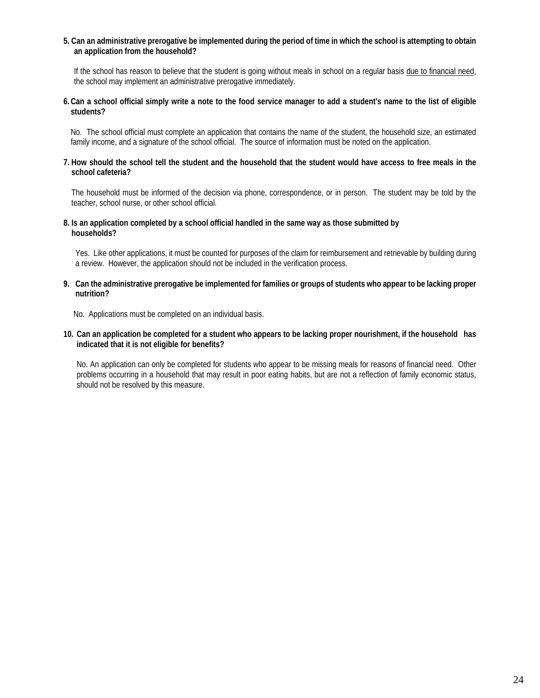#### **5. Can an administrative prerogative be implemented during the period of time in which the school is attempting to obtain an application from the household?**

If the school has reason to believe that the student is going without meals in school on a regular basis due to financial need, the school may implement an administrative prerogative immediately.

#### **6.Can a school official simply write a note to the food service manager to add a student's name to the list of eligible students?**

No. The school official must complete an application that contains the name of the student, the household size, an estimated family income, and a signature of the school official. The source of information must be noted on the application.

#### **7. How should the school tell the student and the household that the student would have access to free meals in the school cafeteria?**

The household must be informed of the decision via phone, correspondence, or in person. The student may be told by the teacher, school nurse, or other school official.

#### **8. Is an application completed by a school official handled in the same way as those submitted by households?**

Yes. Like other applications, it must be counted for purposes of the claim for reimbursement and retrievable by building during a review. However, the application should not be included in the verification process.

#### **9. Can the administrative prerogative be implemented for families or groups of students who appear to be lacking proper nutrition?**

No. Applications must be completed on an individual basis.

#### **10. Can an application be completed for a student who appears to be lacking proper nourishment, if the household has indicated that it is not eligible for benefits?**

No. An application can only be completed for students who appear to be missing meals for reasons of financial need. Other problems occurring in a household that may result in poor eating habits, but are not a reflection of family economic status, should not be resolved by this measure.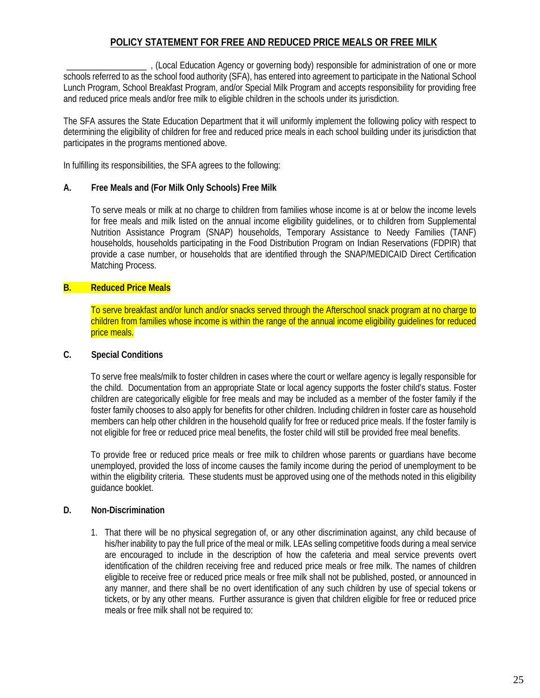# **POLICY STATEMENT FOR FREE AND REDUCED PRICE MEALS OR FREE MILK**

\_\_\_\_\_\_\_\_\_\_\_\_\_\_\_\_\_\_ , (Local Education Agency or governing body) responsible for administration of one or more schools referred to as the school food authority (SFA), has entered into agreement to participate in the National School Lunch Program, School Breakfast Program, and/or Special Milk Program and accepts responsibility for providing free and reduced price meals and/or free milk to eligible children in the schools under its jurisdiction.

The SFA assures the State Education Department that it will uniformly implement the following policy with respect to determining the eligibility of children for free and reduced price meals in each school building under its jurisdiction that participates in the programs mentioned above.

In fulfilling its responsibilities, the SFA agrees to the following:

### **A. Free Meals and (For Milk Only Schools) Free Milk**

To serve meals or milk at no charge to children from families whose income is at or below the income levels for free meals and milk listed on the annual income eligibility guidelines, or to children from Supplemental Nutrition Assistance Program (SNAP) households, Temporary Assistance to Needy Families (TANF) households, households participating in the Food Distribution Program on Indian Reservations (FDPIR) that provide a case number, or households that are identified through the SNAP/MEDICAID Direct Certification Matching Process.

# **B. Reduced Price Meals**

To serve breakfast and/or lunch and/or snacks served through the Afterschool snack program at no charge to children from families whose income is within the range of the annual income eligibility guidelines for reduced price meals.

# **C. Special Conditions**

To serve free meals/milk to foster children in cases where the court or welfare agency is legally responsible for the child. Documentation from an appropriate State or local agency supports the foster child's status. Foster children are categorically eligible for free meals and may be included as a member of the foster family if the foster family chooses to also apply for benefits for other children. Including children in foster care as household members can help other children in the household qualify for free or reduced price meals. If the foster family is not eligible for free or reduced price meal benefits, the foster child will still be provided free meal benefits.

To provide free or reduced price meals or free milk to children whose parents or guardians have become unemployed, provided the loss of income causes the family income during the period of unemployment to be within the eligibility criteria. These students must be approved using one of the methods noted in this eligibility guidance booklet.

# **D. Non-Discrimination**

1. That there will be no physical segregation of, or any other discrimination against, any child because of his/her inability to pay the full price of the meal or milk. LEAs selling competitive foods during a meal service are encouraged to include in the description of how the cafeteria and meal service prevents overt identification of the children receiving free and reduced price meals or free milk. The names of children eligible to receive free or reduced price meals or free milk shall not be published, posted, or announced in any manner, and there shall be no overt identification of any such children by use of special tokens or tickets, or by any other means. Further assurance is given that children eligible for free or reduced price meals or free milk shall not be required to: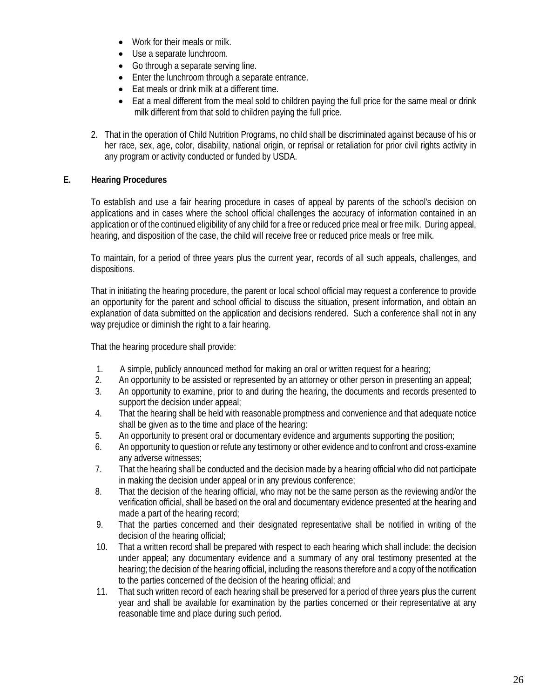- Work for their meals or milk.
- Use a separate lunchroom.
- Go through a separate serving line.
- Enter the lunchroom through a separate entrance.
- Eat meals or drink milk at a different time.
- Eat a meal different from the meal sold to children paying the full price for the same meal or drink milk different from that sold to children paying the full price.
- 2. That in the operation of Child Nutrition Programs, no child shall be discriminated against because of his or her race, sex, age, color, disability, national origin, or reprisal or retaliation for prior civil rights activity in any program or activity conducted or funded by USDA.

# **E. Hearing Procedures**

To establish and use a fair hearing procedure in cases of appeal by parents of the school's decision on applications and in cases where the school official challenges the accuracy of information contained in an application or of the continued eligibility of any child for a free or reduced price meal or free milk. During appeal, hearing, and disposition of the case, the child will receive free or reduced price meals or free milk.

To maintain, for a period of three years plus the current year, records of all such appeals, challenges, and dispositions.

That in initiating the hearing procedure, the parent or local school official may request a conference to provide an opportunity for the parent and school official to discuss the situation, present information, and obtain an explanation of data submitted on the application and decisions rendered. Such a conference shall not in any way prejudice or diminish the right to a fair hearing.

That the hearing procedure shall provide:

- 1. A simple, publicly announced method for making an oral or written request for a hearing;
- 2. An opportunity to be assisted or represented by an attorney or other person in presenting an appeal;
- 3. An opportunity to examine, prior to and during the hearing, the documents and records presented to support the decision under appeal;
- 4. That the hearing shall be held with reasonable promptness and convenience and that adequate notice shall be given as to the time and place of the hearing:
- 5. An opportunity to present oral or documentary evidence and arguments supporting the position;
- 6. An opportunity to question or refute any testimony or other evidence and to confront and cross-examine any adverse witnesses;
- 7. That the hearing shall be conducted and the decision made by a hearing official who did not participate in making the decision under appeal or in any previous conference;
- 8. That the decision of the hearing official, who may not be the same person as the reviewing and/or the verification official, shall be based on the oral and documentary evidence presented at the hearing and made a part of the hearing record;
- 9. That the parties concerned and their designated representative shall be notified in writing of the decision of the hearing official;
- 10. That a written record shall be prepared with respect to each hearing which shall include: the decision under appeal; any documentary evidence and a summary of any oral testimony presented at the hearing; the decision of the hearing official, including the reasons therefore and a copy of the notification to the parties concerned of the decision of the hearing official; and
- 11. That such written record of each hearing shall be preserved for a period of three years plus the current year and shall be available for examination by the parties concerned or their representative at any reasonable time and place during such period.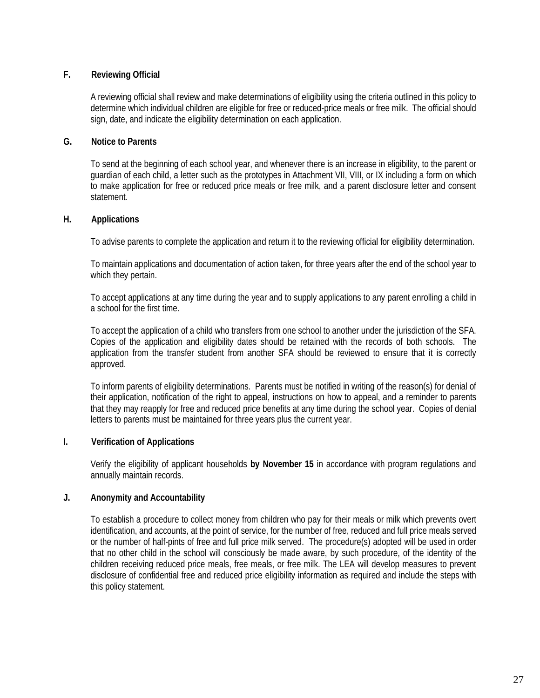# **F. Reviewing Official**

A reviewing official shall review and make determinations of eligibility using the criteria outlined in this policy to determine which individual children are eligible for free or reduced-price meals or free milk. The official should sign, date, and indicate the eligibility determination on each application.

### **G. Notice to Parents**

To send at the beginning of each school year, and whenever there is an increase in eligibility, to the parent or guardian of each child, a letter such as the prototypes in Attachment VII, VIII, or IX including a form on which to make application for free or reduced price meals or free milk, and a parent disclosure letter and consent statement.

### **H. Applications**

To advise parents to complete the application and return it to the reviewing official for eligibility determination.

To maintain applications and documentation of action taken, for three years after the end of the school year to which they pertain.

To accept applications at any time during the year and to supply applications to any parent enrolling a child in a school for the first time.

To accept the application of a child who transfers from one school to another under the jurisdiction of the SFA. Copies of the application and eligibility dates should be retained with the records of both schools. The application from the transfer student from another SFA should be reviewed to ensure that it is correctly approved.

To inform parents of eligibility determinations. Parents must be notified in writing of the reason(s) for denial of their application, notification of the right to appeal, instructions on how to appeal, and a reminder to parents that they may reapply for free and reduced price benefits at any time during the school year. Copies of denial letters to parents must be maintained for three years plus the current year.

# **I. Verification of Applications**

Verify the eligibility of applicant households **by November 15** in accordance with program regulations and annually maintain records.

# **J. Anonymity and Accountability**

To establish a procedure to collect money from children who pay for their meals or milk which prevents overt identification, and accounts, at the point of service, for the number of free, reduced and full price meals served or the number of half-pints of free and full price milk served. The procedure(s) adopted will be used in order that no other child in the school will consciously be made aware, by such procedure, of the identity of the children receiving reduced price meals, free meals, or free milk. The LEA will develop measures to prevent disclosure of confidential free and reduced price eligibility information as required and include the steps with this policy statement.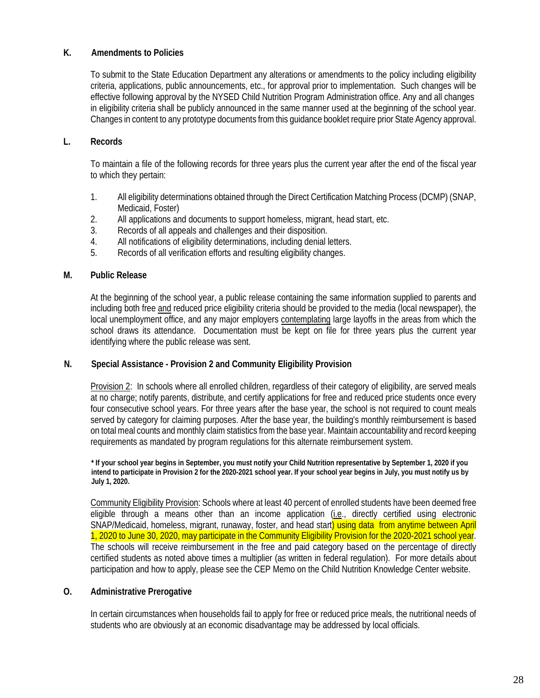# **K. Amendments to Policies**

To submit to the State Education Department any alterations or amendments to the policy including eligibility criteria, applications, public announcements, etc., for approval prior to implementation. Such changes will be effective following approval by the NYSED Child Nutrition Program Administration office. Any and all changes in eligibility criteria shall be publicly announced in the same manner used at the beginning of the school year. Changes in content to any prototype documents from this guidance booklet require prior State Agency approval.

# **L. Records**

To maintain a file of the following records for three years plus the current year after the end of the fiscal year to which they pertain:

- 1. All eligibility determinations obtained through the Direct Certification Matching Process (DCMP) (SNAP, Medicaid, Foster)
- 2. All applications and documents to support homeless, migrant, head start, etc.
- 3. Records of all appeals and challenges and their disposition.
- 4. All notifications of eligibility determinations, including denial letters.
- 5. Records of all verification efforts and resulting eligibility changes.

# **M. Public Release**

At the beginning of the school year, a public release containing the same information supplied to parents and including both free and reduced price eligibility criteria should be provided to the media (local newspaper), the local unemployment office, and any major employers contemplating large layoffs in the areas from which the school draws its attendance. Documentation must be kept on file for three years plus the current year identifying where the public release was sent.

# **N. Special Assistance - Provision 2 and Community Eligibility Provision**

Provision 2: In schools where all enrolled children, regardless of their category of eligibility, are served meals at no charge; notify parents, distribute, and certify applications for free and reduced price students once every four consecutive school years. For three years after the base year, the school is not required to count meals served by category for claiming purposes. After the base year, the building's monthly reimbursement is based on total meal counts and monthly claim statistics from the base year. Maintain accountability and record keeping requirements as mandated by program regulations for this alternate reimbursement system.

**\* If your school year begins in September, you must notify your Child Nutrition representative by September 1, 2020 if you intend to participate in Provision 2 for the 2020-2021 school year. If your school year begins in July, you must notify us by July 1, 2020.**

Community Eligibility Provision: Schools where at least 40 percent of enrolled students have been deemed free eligible through a means other than an income application (i.e., directly certified using electronic SNAP/Medicaid, homeless, migrant, runaway, foster, and head start) using data from anytime between April 1, 2020 to June 30, 2020, may participate in the Community Eligibility Provision for the 2020-2021 school year. The schools will receive reimbursement in the free and paid category based on the percentage of directly certified students as noted above times a multiplier (as written in federal regulation). For more details about participation and how to apply, please see the CEP Memo on the Child Nutrition Knowledge Center website.

# **O. Administrative Prerogative**

In certain circumstances when households fail to apply for free or reduced price meals, the nutritional needs of students who are obviously at an economic disadvantage may be addressed by local officials.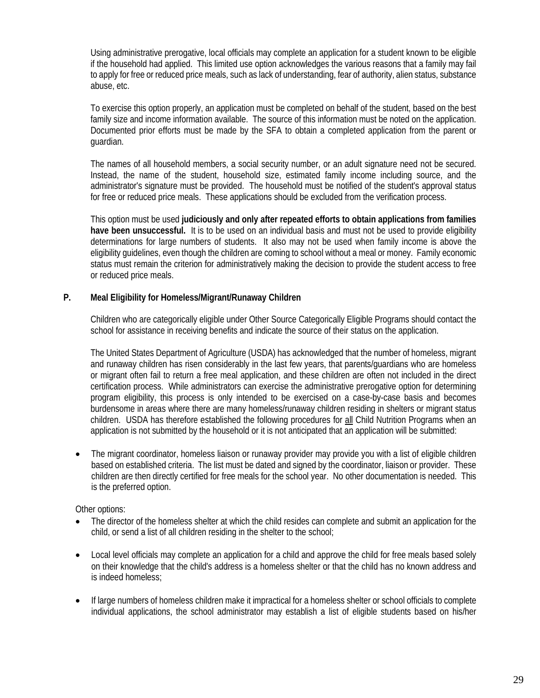Using administrative prerogative, local officials may complete an application for a student known to be eligible if the household had applied. This limited use option acknowledges the various reasons that a family may fail to apply for free or reduced price meals, such as lack of understanding, fear of authority, alien status, substance abuse, etc.

To exercise this option properly, an application must be completed on behalf of the student, based on the best family size and income information available. The source of this information must be noted on the application. Documented prior efforts must be made by the SFA to obtain a completed application from the parent or guardian.

The names of all household members, a social security number, or an adult signature need not be secured. Instead, the name of the student, household size, estimated family income including source, and the administrator's signature must be provided. The household must be notified of the student's approval status for free or reduced price meals. These applications should be excluded from the verification process.

This option must be used **judiciously and only after repeated efforts to obtain applications from families have been unsuccessful.** It is to be used on an individual basis and must not be used to provide eligibility determinations for large numbers of students. It also may not be used when family income is above the eligibility guidelines, even though the children are coming to school without a meal or money. Family economic status must remain the criterion for administratively making the decision to provide the student access to free or reduced price meals.

# **P. Meal Eligibility for Homeless/Migrant/Runaway Children**

Children who are categorically eligible under Other Source Categorically Eligible Programs should contact the school for assistance in receiving benefits and indicate the source of their status on the application.

The United States Department of Agriculture (USDA) has acknowledged that the number of homeless, migrant and runaway children has risen considerably in the last few years, that parents/guardians who are homeless or migrant often fail to return a free meal application, and these children are often not included in the direct certification process. While administrators can exercise the administrative prerogative option for determining program eligibility, this process is only intended to be exercised on a case-by-case basis and becomes burdensome in areas where there are many homeless/runaway children residing in shelters or migrant status children. USDA has therefore established the following procedures for all Child Nutrition Programs when an application is not submitted by the household or it is not anticipated that an application will be submitted:

• The migrant coordinator, homeless liaison or runaway provider may provide you with a list of eligible children based on established criteria. The list must be dated and signed by the coordinator, liaison or provider. These children are then directly certified for free meals for the school year. No other documentation is needed. This is the preferred option.

Other options:

- The director of the homeless shelter at which the child resides can complete and submit an application for the child, or send a list of all children residing in the shelter to the school;
- Local level officials may complete an application for a child and approve the child for free meals based solely on their knowledge that the child's address is a homeless shelter or that the child has no known address and is indeed homeless;
- If large numbers of homeless children make it impractical for a homeless shelter or school officials to complete individual applications, the school administrator may establish a list of eligible students based on his/her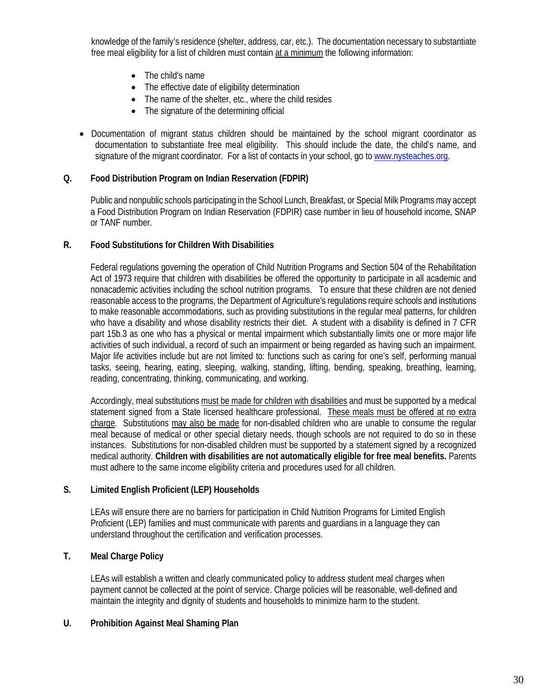knowledge of the family's residence (shelter, address, car, etc.). The documentation necessary to substantiate free meal eligibility for a list of children must contain at a minimum the following information:

- The child's name
- The effective date of eligibility determination
- The name of the shelter, etc., where the child resides
- The signature of the determining official
- Documentation of migrant status children should be maintained by the school migrant coordinator as documentation to substantiate free meal eligibility. This should include the date, the child's name, and signature of the migrant coordinator. For a list of contacts in your school, go t[o www.nysteaches.org.](http://www.nysteaches.org/)

# **Q. Food Distribution Program on Indian Reservation (FDPIR)**

Public and nonpublic schools participating in the School Lunch, Breakfast, or Special Milk Programs may accept a Food Distribution Program on Indian Reservation (FDPIR) case number in lieu of household income, SNAP or TANF number.

### **R. Food Substitutions for Children With Disabilities**

Federal regulations governing the operation of Child Nutrition Programs and Section 504 of the Rehabilitation Act of 1973 require that children with disabilities be offered the opportunity to participate in all academic and nonacademic activities including the school nutrition programs. To ensure that these children are not denied reasonable access to the programs, the Department of Agriculture's regulations require schools and institutions to make reasonable accommodations, such as providing substitutions in the regular meal patterns, for children who have a disability and whose disability restricts their diet. A student with a disability is defined in 7 CFR part 15b.3 as one who has a physical or mental impairment which substantially limits one or more major life activities of such individual, a record of such an impairment or being regarded as having such an impairment. Major life activities include but are not limited to: functions such as caring for one's self, performing manual tasks, seeing, hearing, eating, sleeping, walking, standing, lifting, bending, speaking, breathing, learning, reading, concentrating, thinking, communicating, and working.

Accordingly, meal substitutions must be made for children with disabilities and must be supported by a medical statement signed from a State licensed healthcare professional. These meals must be offered at no extra charge. Substitutions may also be made for non-disabled children who are unable to consume the regular meal because of medical or other special dietary needs, though schools are not required to do so in these instances. Substitutions for non-disabled children must be supported by a statement signed by a recognized medical authority. **Children with disabilities are not automatically eligible for free meal benefits.** Parents must adhere to the same income eligibility criteria and procedures used for all children.

# **S. Limited English Proficient (LEP) Households**

LEAs will ensure there are no barriers for participation in Child Nutrition Programs for Limited English Proficient (LEP) families and must communicate with parents and guardians in a language they can understand throughout the certification and verification processes.

# **T. Meal Charge Policy**

LEAs will establish a written and clearly communicated policy to address student meal charges when payment cannot be collected at the point of service. Charge policies will be reasonable, well-defined and maintain the integrity and dignity of students and households to minimize harm to the student.

# **U. Prohibition Against Meal Shaming Plan**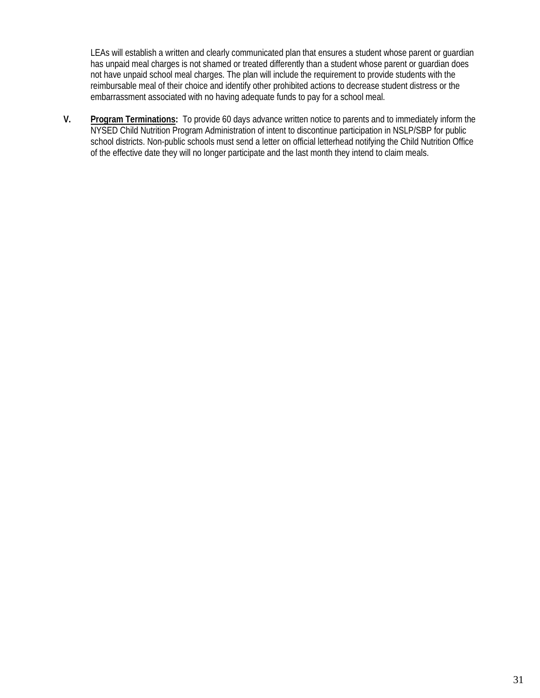LEAs will establish a written and clearly communicated plan that ensures a student whose parent or guardian has unpaid meal charges is not shamed or treated differently than a student whose parent or guardian does not have unpaid school meal charges. The plan will include the requirement to provide students with the reimbursable meal of their choice and identify other prohibited actions to decrease student distress or the embarrassment associated with no having adequate funds to pay for a school meal.

**V. Program Terminations:** To provide 60 days advance written notice to parents and to immediately inform the NYSED Child Nutrition Program Administration of intent to discontinue participation in NSLP/SBP for public school districts. Non-public schools must send a letter on official letterhead notifying the Child Nutrition Office of the effective date they will no longer participate and the last month they intend to claim meals.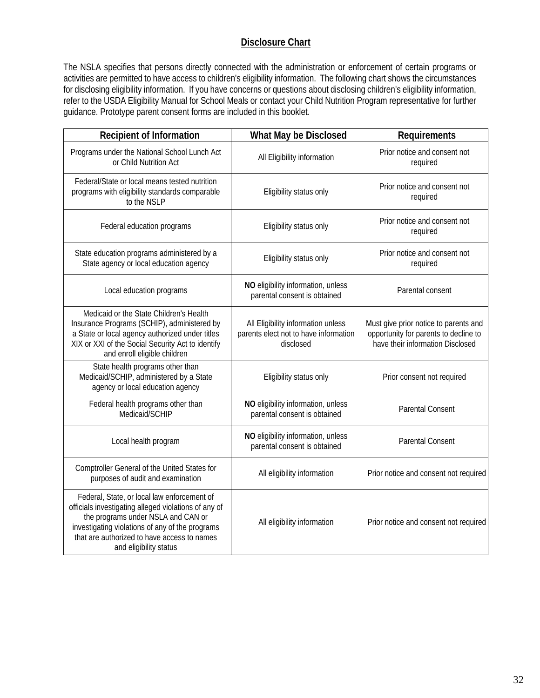# **Disclosure Chart**

The NSLA specifies that persons directly connected with the administration or enforcement of certain programs or activities are permitted to have access to children's eligibility information. The following chart shows the circumstances for disclosing eligibility information. If you have concerns or questions about disclosing children's eligibility information, refer to the USDA Eligibility Manual for School Meals or contact your Child Nutrition Program representative for further guidance. Prototype parent consent forms are included in this booklet.

| <b>Recipient of Information</b>                                                                                                                                                                                                                                       | What May be Disclosed                                                                    | Requirements                                                                                                       |  |
|-----------------------------------------------------------------------------------------------------------------------------------------------------------------------------------------------------------------------------------------------------------------------|------------------------------------------------------------------------------------------|--------------------------------------------------------------------------------------------------------------------|--|
| Programs under the National School Lunch Act<br>or Child Nutrition Act                                                                                                                                                                                                | All Eligibility information                                                              | Prior notice and consent not<br>required                                                                           |  |
| Federal/State or local means tested nutrition<br>programs with eligibility standards comparable<br>to the NSLP                                                                                                                                                        | Eligibility status only                                                                  | Prior notice and consent not<br>required                                                                           |  |
| Federal education programs                                                                                                                                                                                                                                            | Eligibility status only                                                                  | Prior notice and consent not<br>required                                                                           |  |
| State education programs administered by a<br>State agency or local education agency                                                                                                                                                                                  | Eligibility status only                                                                  | Prior notice and consent not<br>required                                                                           |  |
| Local education programs                                                                                                                                                                                                                                              | NO eligibility information, unless<br>parental consent is obtained                       | Parental consent                                                                                                   |  |
| Medicaid or the State Children's Health<br>Insurance Programs (SCHIP), administered by<br>a State or local agency authorized under titles<br>XIX or XXI of the Social Security Act to identify<br>and enroll eligible children                                        | All Eligibility information unless<br>parents elect not to have information<br>disclosed | Must give prior notice to parents and<br>opportunity for parents to decline to<br>have their information Disclosed |  |
| State health programs other than<br>Medicaid/SCHIP, administered by a State<br>agency or local education agency                                                                                                                                                       | Eligibility status only                                                                  | Prior consent not required                                                                                         |  |
| Federal health programs other than<br>Medicaid/SCHIP                                                                                                                                                                                                                  | NO eligibility information, unless<br>parental consent is obtained                       | <b>Parental Consent</b>                                                                                            |  |
| Local health program                                                                                                                                                                                                                                                  | NO eligibility information, unless<br>parental consent is obtained                       | <b>Parental Consent</b>                                                                                            |  |
| Comptroller General of the United States for<br>purposes of audit and examination                                                                                                                                                                                     | All eligibility information                                                              | Prior notice and consent not required                                                                              |  |
| Federal, State, or local law enforcement of<br>officials investigating alleged violations of any of<br>the programs under NSLA and CAN or<br>investigating violations of any of the programs<br>that are authorized to have access to names<br>and eligibility status | All eligibility information                                                              | Prior notice and consent not required                                                                              |  |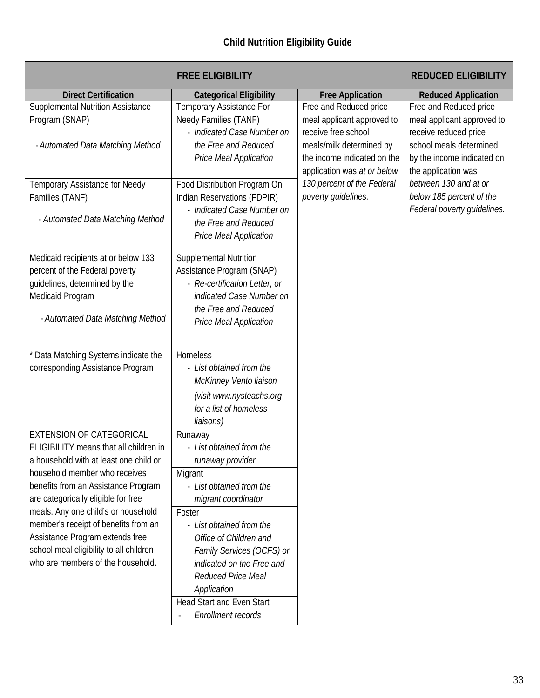|                                         | <b>FREE ELIGIBILITY</b>                                                      |                                                                                                               | <b>REDUCED ELIGIBILITY</b>                                                                            |
|-----------------------------------------|------------------------------------------------------------------------------|---------------------------------------------------------------------------------------------------------------|-------------------------------------------------------------------------------------------------------|
| <b>Direct Certification</b>             | <b>Categorical Eligibility</b>                                               | <b>Free Application</b>                                                                                       | <b>Reduced Application</b>                                                                            |
| Supplemental Nutrition Assistance       | Temporary Assistance For                                                     | Free and Reduced price                                                                                        | Free and Reduced price                                                                                |
| Program (SNAP)                          | Needy Families (TANF)                                                        | meal applicant approved to                                                                                    | meal applicant approved to                                                                            |
| - Automated Data Matching Method        | - Indicated Case Number on<br>the Free and Reduced<br>Price Meal Application | receive free school<br>meals/milk determined by<br>the income indicated on the<br>application was at or below | receive reduced price<br>school meals determined<br>by the income indicated on<br>the application was |
| Temporary Assistance for Needy          | Food Distribution Program On                                                 | 130 percent of the Federal                                                                                    | between 130 and at or                                                                                 |
| Families (TANF)                         | Indian Reservations (FDPIR)                                                  | poverty guidelines.                                                                                           | below 185 percent of the                                                                              |
| - Automated Data Matching Method        | - Indicated Case Number on<br>the Free and Reduced<br>Price Meal Application |                                                                                                               | Federal poverty guidelines.                                                                           |
| Medicaid recipients at or below 133     | <b>Supplemental Nutrition</b>                                                |                                                                                                               |                                                                                                       |
| percent of the Federal poverty          | Assistance Program (SNAP)                                                    |                                                                                                               |                                                                                                       |
| guidelines, determined by the           | - Re-certification Letter, or                                                |                                                                                                               |                                                                                                       |
| Medicaid Program                        | indicated Case Number on                                                     |                                                                                                               |                                                                                                       |
|                                         | the Free and Reduced                                                         |                                                                                                               |                                                                                                       |
| - Automated Data Matching Method        | Price Meal Application                                                       |                                                                                                               |                                                                                                       |
|                                         |                                                                              |                                                                                                               |                                                                                                       |
| * Data Matching Systems indicate the    | Homeless                                                                     |                                                                                                               |                                                                                                       |
| corresponding Assistance Program        | - List obtained from the                                                     |                                                                                                               |                                                                                                       |
|                                         | McKinney Vento liaison                                                       |                                                                                                               |                                                                                                       |
|                                         | (visit www.nysteachs.org                                                     |                                                                                                               |                                                                                                       |
|                                         | for a list of homeless                                                       |                                                                                                               |                                                                                                       |
|                                         | liaisons)                                                                    |                                                                                                               |                                                                                                       |
| <b>EXTENSION OF CATEGORICAL</b>         | Runaway                                                                      |                                                                                                               |                                                                                                       |
| ELIGIBILITY means that all children in  | - List obtained from the                                                     |                                                                                                               |                                                                                                       |
| a household with at least one child or  | runaway provider                                                             |                                                                                                               |                                                                                                       |
| household member who receives           | Migrant                                                                      |                                                                                                               |                                                                                                       |
| benefits from an Assistance Program     | - List obtained from the                                                     |                                                                                                               |                                                                                                       |
| are categorically eligible for free     | migrant coordinator                                                          |                                                                                                               |                                                                                                       |
| meals. Any one child's or household     | Foster                                                                       |                                                                                                               |                                                                                                       |
| member's receipt of benefits from an    | - List obtained from the                                                     |                                                                                                               |                                                                                                       |
| Assistance Program extends free         | Office of Children and                                                       |                                                                                                               |                                                                                                       |
| school meal eligibility to all children | Family Services (OCFS) or                                                    |                                                                                                               |                                                                                                       |
| who are members of the household.       | indicated on the Free and                                                    |                                                                                                               |                                                                                                       |
|                                         | Reduced Price Meal                                                           |                                                                                                               |                                                                                                       |
|                                         | Application                                                                  |                                                                                                               |                                                                                                       |
|                                         | Head Start and Even Start                                                    |                                                                                                               |                                                                                                       |
|                                         | Enrollment records                                                           |                                                                                                               |                                                                                                       |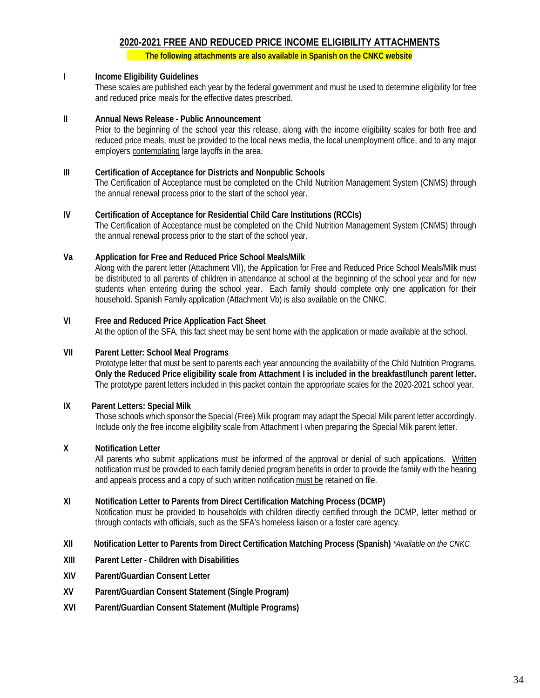# **2020-2021 FREE AND REDUCED PRICE INCOME ELIGIBILITY ATTACHMENTS**

 **The following attachments are also available in Spanish on the CNKC website**

#### **I Income Eligibility Guidelines**

These scales are published each year by the federal government and must be used to determine eligibility for free and reduced price meals for the effective dates prescribed.

#### **II Annual News Release - Public Announcement**

Prior to the beginning of the school year this release, along with the income eligibility scales for both free and reduced price meals, must be provided to the local news media, the local unemployment office, and to any major employers contemplating large layoffs in the area.

#### **III Certification of Acceptance for Districts and Nonpublic Schools**

The Certification of Acceptance must be completed on the Child Nutrition Management System (CNMS) through the annual renewal process prior to the start of the school year.

#### **IV Certification of Acceptance for Residential Child Care Institutions (RCCIs)**

The Certification of Acceptance must be completed on the Child Nutrition Management System (CNMS) through the annual renewal process prior to the start of the school year.

#### **Va Application for Free and Reduced Price School Meals/Milk**

Along with the parent letter (Attachment VII), the Application for Free and Reduced Price School Meals/Milk must be distributed to all parents of children in attendance at school at the beginning of the school year and for new students when entering during the school year. Each family should complete only one application for their household. Spanish Family application (Attachment Vb) is also available on the CNKC.

# **VI Free and Reduced Price Application Fact Sheet**

At the option of the SFA, this fact sheet may be sent home with the application or made available at the school.

#### **VII Parent Letter: School Meal Programs**

Prototype letter that must be sent to parents each year announcing the availability of the Child Nutrition Programs. **Only the Reduced Price eligibility scale from Attachment I is included in the breakfast/lunch parent letter.** The prototype parent letters included in this packet contain the appropriate scales for the 2020-2021 school year.

#### **IX Parent Letters: Special Milk**

Those schools which sponsor the Special (Free) Milk program may adapt the Special Milk parent letter accordingly. Include only the free income eligibility scale from Attachment I when preparing the Special Milk parent letter.

#### **X Notification Letter**

All parents who submit applications must be informed of the approval or denial of such applications. Written notification must be provided to each family denied program benefits in order to provide the family with the hearing and appeals process and a copy of such written notification must be retained on file.

#### **XI Notification Letter to Parents from Direct Certification Matching Process (DCMP)**

Notification must be provided to households with children directly certified through the DCMP, letter method or through contacts with officials, such as the SFA's homeless liaison or a foster care agency.

#### **XII Notification Letter to Parents from Direct Certification Matching Process (Spanish)** *\*Available on the CNKC*

- **XIII Parent Letter - Children with Disabilities**
- **XIV Parent/Guardian Consent Letter**
- **XV Parent/Guardian Consent Statement (Single Program)**
- **XVI Parent/Guardian Consent Statement (Multiple Programs)**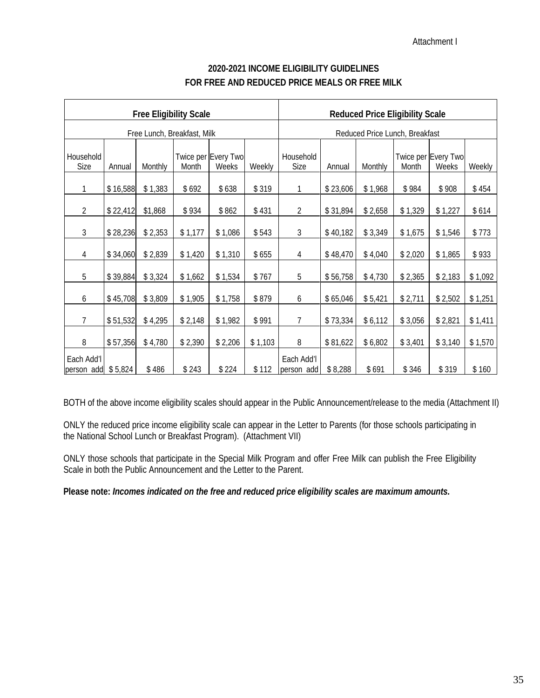Attachment I

| <b>Free Eligibility Scale</b>     |          |         |         |                              |                                |                          | <b>Reduced Price Eligibility Scale</b> |         |         |                              |         |
|-----------------------------------|----------|---------|---------|------------------------------|--------------------------------|--------------------------|----------------------------------------|---------|---------|------------------------------|---------|
| Free Lunch, Breakfast, Milk       |          |         |         |                              | Reduced Price Lunch, Breakfast |                          |                                        |         |         |                              |         |
| Household<br>Size                 | Annual   | Monthly | Month   | Twice per Every Two<br>Weeks | Weekly                         | Household<br>Size        | Annual                                 | Monthly | Month   | Twice per Every Two<br>Weeks | Weekly  |
| 1                                 | \$16,588 | \$1,383 | \$692   | \$638                        | \$319                          | 1                        | \$23,606                               | \$1,968 | \$984   | \$908                        | \$454   |
| $\overline{2}$                    | \$22,412 | \$1,868 | \$934   | \$862                        | \$431                          | $\overline{2}$           | \$31,894                               | \$2,658 | \$1,329 | \$1,227                      | \$614   |
| $\mathfrak{Z}$                    | \$28,236 | \$2,353 | \$1,177 | \$1,086                      | \$543                          | $\sqrt{3}$               | \$40,182                               | \$3,349 | \$1,675 | \$1,546                      | \$773   |
| 4                                 | \$34,060 | \$2,839 | \$1,420 | \$1,310                      | \$655                          | 4                        | \$48,470                               | \$4,040 | \$2,020 | \$1,865                      | \$933   |
| 5                                 | \$39,884 | \$3,324 | \$1,662 | \$1,534                      | \$767                          | 5                        | \$56,758                               | \$4,730 | \$2,365 | \$2,183                      | \$1,092 |
| 6                                 | \$45,708 | \$3,809 | \$1,905 | \$1,758                      | \$879                          | 6                        | \$65,046                               | \$5,421 | \$2,711 | \$2,502                      | \$1,251 |
| 7                                 | \$51,532 | \$4,295 | \$2,148 | \$1,982                      | \$991                          | $\overline{7}$           | \$73,334                               | \$6,112 | \$3,056 | \$2,821                      | \$1,411 |
| 8                                 | \$57,356 | \$4,780 | \$2,390 | \$2,206                      | \$1,103                        | 8                        | \$81,622                               | \$6,802 | \$3,401 | \$3,140                      | \$1,570 |
| Each Add'l<br>person add $$5,824$ |          | \$486   | \$243   | \$224                        | \$112                          | Each Add'l<br>person add | \$8,288                                | \$691   | \$346   | \$319                        | \$160   |

# **2020-2021 INCOME ELIGIBILITY GUIDELINES FOR FREE AND REDUCED PRICE MEALS OR FREE MILK**

BOTH of the above income eligibility scales should appear in the Public Announcement/release to the media (Attachment II)

ONLY the reduced price income eligibility scale can appear in the Letter to Parents (for those schools participating in the National School Lunch or Breakfast Program). (Attachment VII)

ONLY those schools that participate in the Special Milk Program and offer Free Milk can publish the Free Eligibility Scale in both the Public Announcement and the Letter to the Parent.

**Please note:** *Incomes indicated on the free and reduced price eligibility scales are maximum amounts.*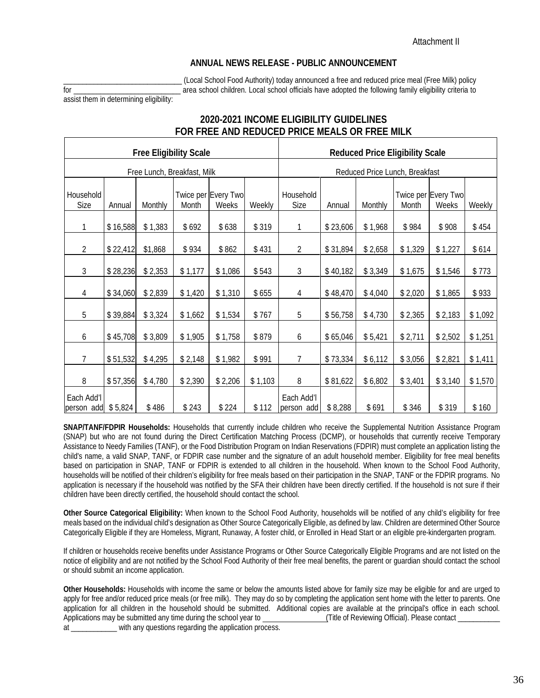#### **ANNUAL NEWS RELEASE - PUBLIC ANNOUNCEMENT**

\_\_\_\_\_\_\_\_\_\_\_\_\_\_\_\_\_\_\_\_\_\_\_\_\_\_\_\_\_\_\_ (Local School Food Authority) today announced a free and reduced price meal (Free Milk) policy for \_\_\_\_\_\_\_\_\_\_\_\_\_\_\_\_\_\_\_\_\_\_\_\_\_\_\_\_ area school children. Local school officials have adopted the following family eligibility criteria to

assist them in determining eligibility:

# **2020-2021 INCOME ELIGIBILITY GUIDELINES FOR FREE AND REDUCED PRICE MEALS OR FREE MILK**

| <b>Free Eligibility Scale</b>     |                             |         |         |                              | <b>Reduced Price Eligibility Scale</b> |                                |          |         |         |                              |         |
|-----------------------------------|-----------------------------|---------|---------|------------------------------|----------------------------------------|--------------------------------|----------|---------|---------|------------------------------|---------|
|                                   | Free Lunch, Breakfast, Milk |         |         |                              |                                        | Reduced Price Lunch, Breakfast |          |         |         |                              |         |
| Household<br>Size                 | Annual                      | Monthly | Month   | Twice per Every Two<br>Weeks | Weekly                                 | Household<br>Size              | Annual   | Monthly | Month   | Twice per Every Two<br>Weeks | Weekly  |
| 1                                 | \$16,588                    | \$1,383 | \$692   | \$638                        | \$319                                  | 1                              | \$23,606 | \$1,968 | \$984   | \$908                        | \$454   |
| 2                                 | \$22,412                    | \$1,868 | \$934   | \$862                        | \$431                                  | $\overline{2}$                 | \$31,894 | \$2,658 | \$1,329 | \$1,227                      | \$614   |
| 3                                 | \$28,236                    | \$2,353 | \$1,177 | \$1,086                      | \$543                                  | $\sqrt{3}$                     | \$40,182 | \$3,349 | \$1,675 | \$1,546                      | \$773   |
| 4                                 | \$34,060                    | \$2,839 | \$1,420 | \$1,310                      | \$655                                  | 4                              | \$48,470 | \$4,040 | \$2,020 | \$1,865                      | \$933   |
| 5                                 | \$39,884                    | \$3,324 | \$1,662 | \$1,534                      | \$767                                  | 5                              | \$56,758 | \$4,730 | \$2,365 | \$2,183                      | \$1,092 |
| 6                                 | \$45,708                    | \$3,809 | \$1,905 | \$1,758                      | \$879                                  | 6                              | \$65,046 | \$5,421 | \$2,711 | \$2,502                      | \$1,251 |
| $\overline{7}$                    | \$51,532                    | \$4,295 | \$2,148 | \$1,982                      | \$991                                  | 7                              | \$73,334 | \$6,112 | \$3,056 | \$2,821                      | \$1,411 |
| 8                                 | \$57,356                    | \$4,780 | \$2,390 | \$2,206                      | \$1,103                                | 8                              | \$81,622 | \$6,802 | \$3,401 | \$3,140                      | \$1,570 |
| Each Add'l<br>person add $$5,824$ |                             | \$486   | \$243   | \$224                        | \$112                                  | Each Add'l<br>person add       | \$8,288  | \$691   | \$346   | \$319                        | \$160   |

**SNAP/TANF/FDPIR Households:** Households that currently include children who receive the Supplemental Nutrition Assistance Program (SNAP) but who are not found during the Direct Certification Matching Process (DCMP), or households that currently receive Temporary Assistance to Needy Families (TANF), or the Food Distribution Program on Indian Reservations (FDPIR) must complete an application listing the child's name, a valid SNAP, TANF, or FDPIR case number and the signature of an adult household member. Eligibility for free meal benefits based on participation in SNAP, TANF or FDPIR is extended to all children in the household. When known to the School Food Authority, households will be notified of their children's eligibility for free meals based on their participation in the SNAP, TANF or the FDPIR programs. No application is necessary if the household was notified by the SFA their children have been directly certified. If the household is not sure if their children have been directly certified, the household should contact the school.

**Other Source Categorical Eligibility:** When known to the School Food Authority, households will be notified of any child's eligibility for free meals based on the individual child's designation as Other Source Categorically Eligible, as defined by law. Children are determined Other Source Categorically Eligible if they are Homeless, Migrant, Runaway, A foster child, or Enrolled in Head Start or an eligible pre-kindergarten program.

If children or households receive benefits under Assistance Programs or Other Source Categorically Eligible Programs and are not listed on the notice of eligibility and are not notified by the School Food Authority of their free meal benefits, the parent or guardian should contact the school or should submit an income application.

**Other Households:** Households with income the same or below the amounts listed above for family size may be eligible for and are urged to apply for free and/or reduced price meals (or free milk). They may do so by completing the application sent home with the letter to parents. One application for all children in the household should be submitted. Additional copies are available at the principal's office in each school. Applications may be submitted any time during the school year to **Calculation** (Title of Reviewing Official). Please contact \_ at \_\_\_\_\_\_\_\_\_\_\_\_ with any questions regarding the application process.

36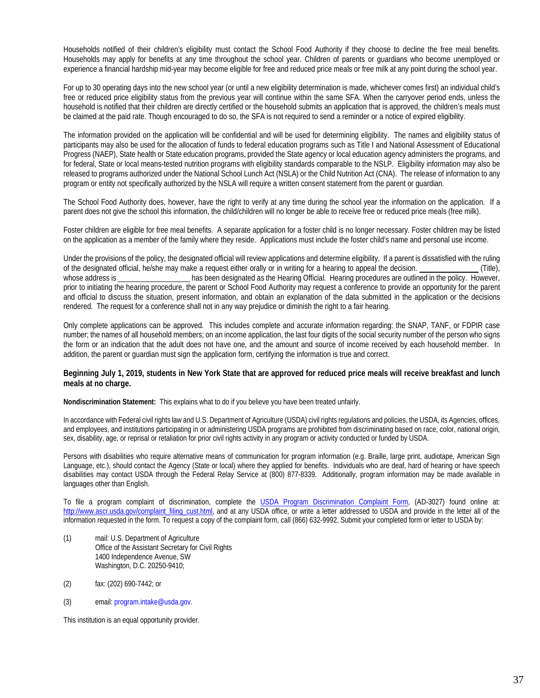Households notified of their children's eligibility must contact the School Food Authority if they choose to decline the free meal benefits. Households may apply for benefits at any time throughout the school year. Children of parents or guardians who become unemployed or experience a financial hardship mid-year may become eligible for free and reduced price meals or free milk at any point during the school year.

For up to 30 operating days into the new school year (or until a new eligibility determination is made, whichever comes first) an individual child's free or reduced price eligibility status from the previous year will continue within the same SFA. When the carryover period ends, unless the household is notified that their children are directly certified or the household submits an application that is approved, the children's meals must be claimed at the paid rate. Though encouraged to do so, the SFA is not required to send a reminder or a notice of expired eligibility.

The information provided on the application will be confidential and will be used for determining eligibility. The names and eligibility status of participants may also be used for the allocation of funds to federal education programs such as Title I and National Assessment of Educational Progress (NAEP), State health or State education programs, provided the State agency or local education agency administers the programs, and for federal, State or local means-tested nutrition programs with eligibility standards comparable to the NSLP. Eligibility information may also be released to programs authorized under the National School Lunch Act (NSLA) or the Child Nutrition Act (CNA). The release of information to any program or entity not specifically authorized by the NSLA will require a written consent statement from the parent or guardian.

The School Food Authority does, however, have the right to verify at any time during the school year the information on the application. If a parent does not give the school this information, the child/children will no longer be able to receive free or reduced price meals (free milk).

Foster children are eligible for free meal benefits. A separate application for a foster child is no longer necessary. Foster children may be listed on the application as a member of the family where they reside. Applications must include the foster child's name and personal use income.

Under the provisions of the policy, the designated official will review applications and determine eligibility. If a parent is dissatisfied with the ruling of the designated official, he/she may make a request either orally or in writing for a hearing to appeal the decision. (Title), whose address is has been designated as the Hearing Official. Hearing procedures are outlined in the policy. However, prior to initiating the hearing procedure, the parent or School Food Authority may request a conference to provide an opportunity for the parent and official to discuss the situation, present information, and obtain an explanation of the data submitted in the application or the decisions rendered. The request for a conference shall not in any way prejudice or diminish the right to a fair hearing.

Only complete applications can be approved. This includes complete and accurate information regarding: the SNAP, TANF, or FDPIR case number; the names of all household members; on an income application, the last four digits of the social security number of the person who signs the form or an indication that the adult does not have one, and the amount and source of income received by each household member. In addition, the parent or guardian must sign the application form, certifying the information is true and correct.

#### **Beginning July 1, 2019, students in New York State that are approved for reduced price meals will receive breakfast and lunch meals at no charge.**

**Nondiscrimination Statement:** This explains what to do if you believe you have been treated unfairly.

In accordance with Federal civil rights law and U.S. Department of Agriculture (USDA) civil rights regulations and policies, the USDA, its Agencies, offices, and employees, and institutions participating in or administering USDA programs are prohibited from discriminating based on race, color, national origin, sex, disability, age, or reprisal or retaliation for prior civil rights activity in any program or activity conducted or funded by USDA.

Persons with disabilities who require alternative means of communication for program information (e.g. Braille, large print, audiotape, American Sign Language, etc.), should contact the Agency (State or local) where they applied for benefits. Individuals who are deaf, hard of hearing or have speech disabilities may contact USDA through the Federal Relay Service at (800) 877-8339. Additionally, program information may be made available in languages other than English.

To file a program complaint of discrimination, complete the [USDA Program Discrimination Complaint Form,](http://www.ocio.usda.gov/sites/default/files/docs/2012/Complain_combined_6_8_12.pdf) (AD-3027) found online at: http://www.ascr.usda.gov/complaint filing cust.html, and at any USDA office, or write a letter addressed to USDA and provide in the letter all of the information requested in the form. To request a copy of the complaint form, call (866) 632-9992. Submit your completed form or letter to USDA by:

- (1) mail: U.S. Department of Agriculture Office of the Assistant Secretary for Civil Rights 1400 Independence Avenue, SW Washington, D.C. 20250-9410;
- (2) fax: (202) 690-7442; or
- (3) email: program.intake@usda.gov.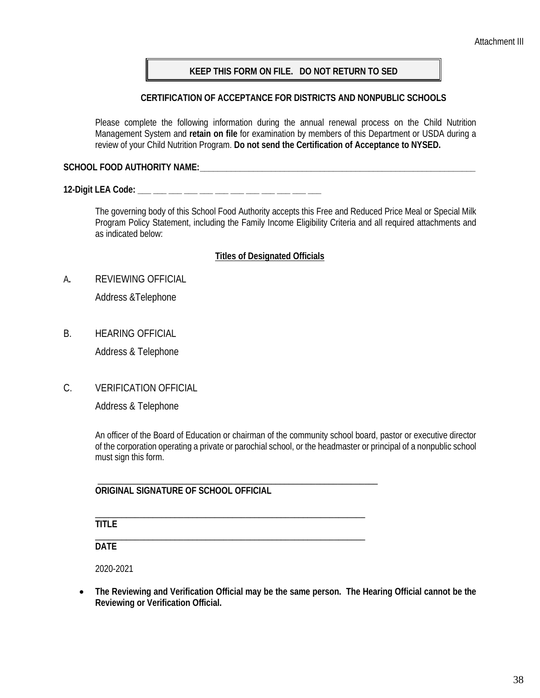# **KEEP THIS FORM ON FILE. DO NOT RETURN TO SED**

### **CERTIFICATION OF ACCEPTANCE FOR DISTRICTS AND NONPUBLIC SCHOOLS**

Please complete the following information during the annual renewal process on the Child Nutrition Management System and **retain on file** for examination by members of this Department or USDA during a review of your Child Nutrition Program. **Do not send the Certification of Acceptance to NYSED.**

### **SCHOOL FOOD AUTHORITY NAME:\_\_\_\_\_\_\_\_\_\_\_\_\_\_\_\_\_\_\_\_\_\_\_\_\_\_\_\_\_\_\_\_\_\_\_\_\_\_\_\_\_\_\_\_\_\_\_\_\_\_\_\_\_\_\_\_\_\_\_\_\_\_**

**12-Digit LEA Code: \_\_\_ \_\_\_ \_\_\_ \_\_\_ \_\_\_ \_\_\_ \_\_\_ \_\_\_ \_\_\_ \_\_\_ \_\_\_ \_\_\_**

The governing body of this School Food Authority accepts this Free and Reduced Price Meal or Special Milk Program Policy Statement, including the Family Income Eligibility Criteria and all required attachments and as indicated below:

### **Titles of Designated Officials**

A**.** REVIEWING OFFICIAL

Address &Telephone

B. HEARING OFFICIAL

Address & Telephone

C. VERIFICATION OFFICIAL

Address & Telephone

An officer of the Board of Education or chairman of the community school board, pastor or executive director of the corporation operating a private or parochial school, or the headmaster or principal of a nonpublic school must sign this form.

\_\_\_\_\_\_\_\_\_\_\_\_\_\_\_\_\_\_\_\_\_\_\_\_\_\_\_\_\_\_\_\_\_\_\_\_\_\_\_\_\_\_\_\_\_\_\_\_\_\_\_\_\_\_\_\_\_\_\_\_\_\_\_ **ORIGINAL SIGNATURE OF SCHOOL OFFICIAL**

\_\_\_\_\_\_\_\_\_\_\_\_\_\_\_\_\_\_\_\_\_\_\_\_\_\_\_\_\_\_\_\_\_\_\_\_\_\_\_\_\_\_\_\_\_\_\_\_\_\_\_\_\_\_\_\_\_\_\_\_\_

**TITLE**

\_\_\_\_\_\_\_\_\_\_\_\_\_\_\_\_\_\_\_\_\_\_\_\_\_\_\_\_\_\_\_\_\_\_\_\_\_\_\_\_\_\_\_\_\_\_\_\_\_\_\_\_\_\_\_\_\_\_\_\_\_ **DATE**

2020-2021

• **The Reviewing and Verification Official may be the same person. The Hearing Official cannot be the Reviewing or Verification Official.**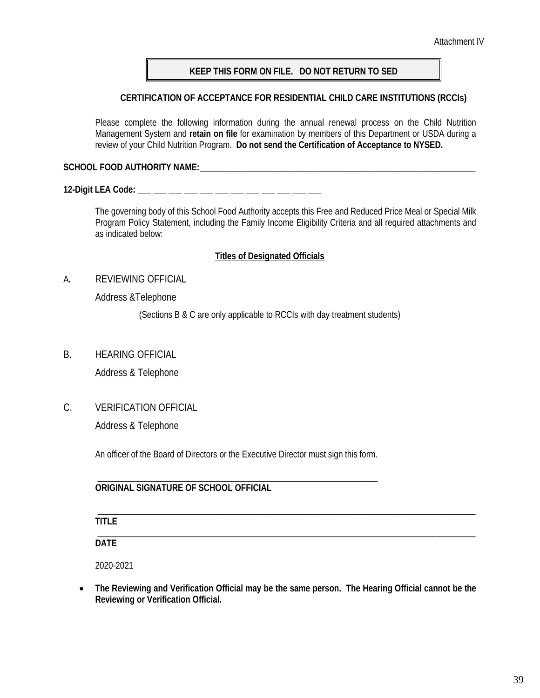Attachment IV

# **KEEP THIS FORM ON FILE. DO NOT RETURN TO SED**

# **CERTIFICATION OF ACCEPTANCE FOR RESIDENTIAL CHILD CARE INSTITUTIONS (RCCIs)**

Please complete the following information during the annual renewal process on the Child Nutrition Management System and **retain on file** for examination by members of this Department or USDA during a review of your Child Nutrition Program. **Do not send the Certification of Acceptance to NYSED.**

**SCHOOL FOOD AUTHORITY NAME:\_\_\_\_\_\_\_\_\_\_\_\_\_\_\_\_\_\_\_\_\_\_\_\_\_\_\_\_\_\_\_\_\_\_\_\_\_\_\_\_\_\_\_\_\_\_\_\_\_\_\_\_\_\_\_\_\_\_\_\_\_\_**

**12-Digit LEA Code: \_\_\_ \_\_\_ \_\_\_ \_\_\_ \_\_\_ \_\_\_ \_\_\_ \_\_\_ \_\_\_ \_\_\_ \_\_\_ \_\_\_**

The governing body of this School Food Authority accepts this Free and Reduced Price Meal or Special Milk Program Policy Statement, including the Family Income Eligibility Criteria and all required attachments and as indicated below:

### **Titles of Designated Officials**

A**.** REVIEWING OFFICIAL

Address &Telephone

(Sections B & C are only applicable to RCCIs with day treatment students)

B. HEARING OFFICIAL

Address & Telephone

C. VERIFICATION OFFICIAL

Address & Telephone

An officer of the Board of Directors or the Executive Director must sign this form.

\_\_\_\_\_\_\_\_\_\_\_\_\_\_\_\_\_\_\_\_\_\_\_\_\_\_\_\_\_\_\_\_\_\_\_\_\_\_\_\_\_\_\_\_\_\_\_\_\_\_\_\_\_\_\_\_\_\_\_\_\_\_\_

### **ORIGINAL SIGNATURE OF SCHOOL OFFICIAL**

\_\_\_\_\_\_\_\_\_\_\_\_\_\_\_\_\_\_\_\_\_\_\_\_\_\_\_\_\_\_\_\_\_\_\_\_\_\_\_\_\_\_\_\_\_\_\_\_\_\_\_\_\_\_\_\_\_\_\_\_\_\_\_\_\_\_\_\_\_\_\_\_\_\_\_\_\_\_\_\_\_\_\_\_\_ **TITLE**

\_\_\_\_\_\_\_\_\_\_\_\_\_\_\_\_\_\_\_\_\_\_\_\_\_\_\_\_\_\_\_\_\_\_\_\_\_\_\_\_\_\_\_\_\_\_\_\_\_\_\_\_\_\_\_\_\_\_\_\_\_\_\_\_\_\_\_\_\_\_\_\_\_\_\_\_\_\_\_\_\_\_\_\_\_ **DATE**

2020-2021

• **The Reviewing and Verification Official may be the same person. The Hearing Official cannot be the Reviewing or Verification Official.**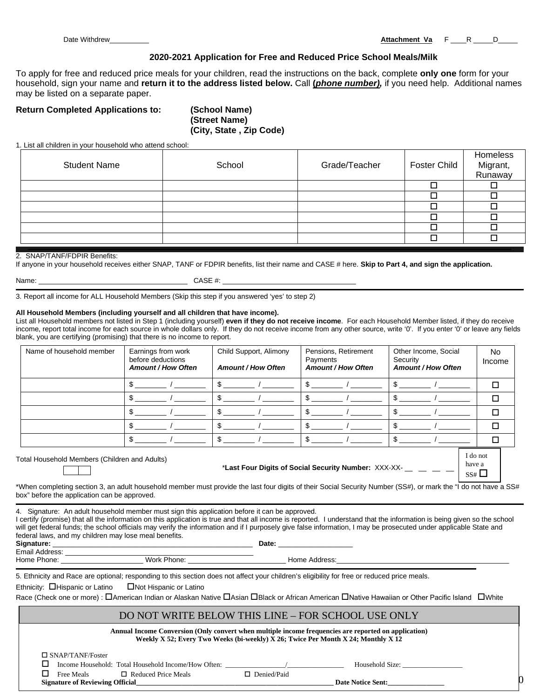Date Withdrew\_\_\_\_\_\_\_\_\_\_ **Attachment Va** F \_\_\_\_R \_\_\_\_\_D\_\_\_\_\_

#### **2020-2021 Application for Free and Reduced Price School Meals/Milk**

To apply for free and reduced price meals for your children, read the instructions on the back, complete **only one** form for your household, sign your name and **return it to the address listed below.** Call **(***phone number),* if you need help. Additional names may be listed on a separate paper.

#### **Return Completed Applications to: (School Name)**

**(Street Name) (City, State , Zip Code)**

1. List all children in your household who attend school:

| <b>Student Name</b> | School | Grade/Teacher | <b>Foster Child</b> | Homeless<br>Migrant,<br>Runaway |
|---------------------|--------|---------------|---------------------|---------------------------------|
|                     |        |               |                     |                                 |
|                     |        |               |                     |                                 |
|                     |        |               |                     |                                 |
|                     |        |               |                     |                                 |
|                     |        |               |                     |                                 |
|                     |        |               |                     |                                 |

#### 2. SNAP/TANF/FDPIR Benefits:

If anyone in your household receives either SNAP, TANF or FDPIR benefits, list their name and CASE # here. **Skip to Part 4, and sign the application.**

| ∙arı |  |
|------|--|
|      |  |

Name: \_\_\_\_\_\_\_\_\_\_\_\_\_\_\_\_\_\_\_\_\_\_\_\_\_\_\_\_\_\_\_\_\_\_\_\_\_\_ CASE #: \_\_\_\_\_\_\_\_\_\_\_\_\_\_\_\_\_\_\_\_\_\_\_\_\_\_\_\_\_\_\_\_\_\_

3. Report all income for ALL Household Members (Skip this step if you answered 'yes' to step 2)

#### **All Household Members (including yourself and all children that have income).**

List all Household members not listed in Step 1 (including yourself) **even if they do not receive income**. For each Household Member listed, if they do receive income, report total income for each source in whole dollars only. If they do not receive income from any other source, write '0'. If you enter '0' or leave any fields blank, you are certifying (promising) that there is no income to report.

| Name of household member   | Earnings from work<br>before deductions<br><b>Amount / How Often</b> | Child Support, Alimony<br><b>Amount / How Often</b> | Pensions, Retirement<br>Payments<br><b>Amount / How Often</b> | Other Income, Social<br>Security<br><b>Amount / How Often</b> | No.<br>Income |
|----------------------------|----------------------------------------------------------------------|-----------------------------------------------------|---------------------------------------------------------------|---------------------------------------------------------------|---------------|
|                            |                                                                      |                                                     |                                                               |                                                               | П             |
|                            |                                                                      |                                                     |                                                               |                                                               | п             |
|                            |                                                                      |                                                     |                                                               |                                                               | ⊓             |
|                            |                                                                      |                                                     |                                                               |                                                               | П             |
|                            |                                                                      |                                                     |                                                               |                                                               |               |
| Total Linear ball is 1.100 |                                                                      |                                                     |                                                               |                                                               | I do not      |

Total Household Members (Children and Adults)

\*Last Four Digits of Social Security Number: XXX-XX-

have a  $SS#$ 

<sub>0</sub>

\*When completing section 3, an adult household member must provide the last four digits of their Social Security Number (SS#), or mark the "I do not have a SS# box" before the application can be approved.

4. Signature: An adult household member must sign this application before it can be approved.

I certify (promise) that all the information on this application is true and that all income is reported. I understand that the information is being given so the school will get federal funds; the school officials may verify the information and if I purposely give false information, I may be prosecuted under applicable State and federal laws, and my children may lose meal benefits.

| Signature:                          | −ate: |
|-------------------------------------|-------|
| $T_{\text{model}}$ $\Delta$ ddragos |       |

Email Address: \_\_\_\_\_\_\_\_\_\_\_\_\_\_\_\_\_\_\_\_\_\_\_\_\_\_\_\_\_\_\_\_\_\_\_\_\_\_\_\_\_\_\_\_\_\_\_\_

Home Phone: \_\_\_\_\_\_\_\_\_\_\_\_\_\_\_\_\_\_\_\_\_ Work Phone: \_\_\_\_\_\_\_\_\_\_\_\_\_\_\_\_\_\_\_\_\_\_\_\_\_ Home Address:\_\_\_\_\_\_\_\_\_\_\_\_\_\_\_\_\_\_\_\_\_\_\_\_\_\_\_\_\_\_\_\_\_\_\_\_\_\_\_\_\_\_\_\_

5. Ethnicity and Race are optional; responding to this section does not affect your children's eligibility for free or reduced price meals.

Ethnicity:  $\Box$  Hispanic or Latino  $\Box$  Not Hispanic or Latino

Race (Check one or more) :  $\Box$ American Indian or Alaskan Native  $\Box$ Asian  $\Box$ Black or African American  $\Box$ Native Hawaiian or Other Pacific Island  $\Box$ White

# DO NOT WRITE BELOW THIS LINE – FOR SCHOOL USE ONLY

**Annual Income Conversion (Only convert when multiple income frequencies are reported on application) Weekly X 52; Every Two Weeks (bi-weekly) X 26; Twice Per Month X 24; Monthly X 12** SNAP/TANF/Foster

| Free Meals | Income Household: Total Household Income/How Often:<br>□ Reduced Price Meals | Denied/Paid | Household Size:          |
|------------|------------------------------------------------------------------------------|-------------|--------------------------|
|            | <b>Signature of Reviewing Official</b>                                       |             | <b>Date Notice Sent:</b> |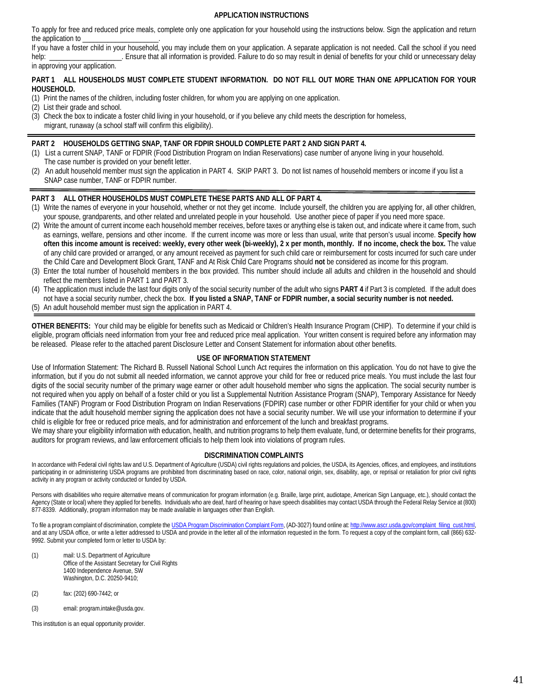#### **APPLICATION INSTRUCTIONS**

To apply for free and reduced price meals, complete only one application for your household using the instructions below. Sign the application and return the application to

If you have a foster child in your household, you may include them on your application. A separate application is not needed. Call the school if you need help: Ensure that all information is provided. Failure to do so may result in denial of benefits for your child or unnecessary delay

in approving your application.

#### **PART 1 ALL HOUSEHOLDS MUST COMPLETE STUDENT INFORMATION. DO NOT FILL OUT MORE THAN ONE APPLICATION FOR YOUR HOUSEHOLD.**

- (1) Print the names of the children, including foster children, for whom you are applying on one application.
- (2) List their grade and school.
- (3) Check the box to indicate a foster child living in your household, or if you believe any child meets the description for homeless, migrant, runaway (a school staff will confirm this eligibility).

#### **PART 2 HOUSEHOLDS GETTING SNAP, TANF OR FDPIR SHOULD COMPLETE PART 2 AND SIGN PART 4.**

- (1) List a current SNAP, TANF or FDPIR (Food Distribution Program on Indian Reservations) case number of anyone living in your household. The case number is provided on your benefit letter.
- (2) An adult household member must sign the application in PART 4. SKIP PART 3. Do not list names of household members or income if you list a SNAP case number, TANF or FDPIR number.

#### **PART 3 ALL OTHER HOUSEHOLDS MUST COMPLETE THESE PARTS AND ALL OF PART 4.**

- (1) Write the names of everyone in your household, whether or not they get income. Include yourself, the children you are applying for, all other children, your spouse, grandparents, and other related and unrelated people in your household. Use another piece of paper if you need more space.
- (2) Write the amount of current income each household member receives, before taxes or anything else is taken out, and indicate where it came from, such as earnings, welfare, pensions and other income. If the current income was more or less than usual, write that person's usual income. **Specify how often this income amount is received: weekly, every other week (bi-weekly), 2 x per month, monthly. If no income, check the box.** The value of any child care provided or arranged, or any amount received as payment for such child care or reimbursement for costs incurred for such care under the Child Care and Development Block Grant, TANF and At Risk Child Care Programs should **not** be considered as income for this program.
- (3) Enter the total number of household members in the box provided. This number should include all adults and children in the household and should reflect the members listed in PART 1 and PART 3.
- (4) The application must include the last four digits only of the social security number of the adult who signs **PART 4** if Part 3 is completed. If the adult does not have a social security number, check the box. **If you listed a SNAP, TANF or FDPIR number, a social security number is not needed.**
- (5) An adult household member must sign the application in PART 4.

**OTHER BENEFITS:** Your child may be eligible for benefits such as Medicaid or Children's Health Insurance Program (CHIP). To determine if your child is eligible, program officials need information from your free and reduced price meal application. Your written consent is required before any information may be released. Please refer to the attached parent Disclosure Letter and Consent Statement for information about other benefits.

#### **USE OF INFORMATION STATEMENT**

Use of Information Statement: The Richard B. Russell National School Lunch Act requires the information on this application. You do not have to give the information, but if you do not submit all needed information, we cannot approve your child for free or reduced price meals. You must include the last four digits of the social security number of the primary wage earner or other adult household member who signs the application. The social security number is not required when you apply on behalf of a foster child or you list a Supplemental Nutrition Assistance Program (SNAP), Temporary Assistance for Needy Families (TANF) Program or Food Distribution Program on Indian Reservations (FDPIR) case number or other FDPIR identifier for your child or when you indicate that the adult household member signing the application does not have a social security number. We will use your information to determine if your child is eligible for free or reduced price meals, and for administration and enforcement of the lunch and breakfast programs.

We may share your eligibility information with education, health, and nutrition programs to help them evaluate, fund, or determine benefits for their programs, auditors for program reviews, and law enforcement officials to help them look into violations of program rules.

#### **DISCRIMINATION COMPLAINTS**

In accordance with Federal civil rights law and U.S. Department of Agriculture (USDA) civil rights regulations and policies, the USDA, its Agencies, offices, and employees, and institutions participating in or administering USDA programs are prohibited from discriminating based on race, color, national origin, sex, disability, age, or reprisal or retaliation for prior civil rights activity in any program or activity conducted or funded by USDA.

Persons with disabilities who require alternative means of communication for program information (e.g. Braille, large print, audiotape, American Sign Language, etc.), should contact the Agency (State or local) where they applied for benefits. Individuals who are deaf, hard of hearing or have speech disabilities may contact USDA through the Federal Relay Service at (800) 877-8339. Additionally, program information may be made available in languages other than English.

To file a program complaint of discrimination, complete th[e USDA Program Discrimination Complaint Form,](http://www.ocio.usda.gov/sites/default/files/docs/2012/Complain_combined_6_8_12.pdf) (AD-3027) found online at: http://www.ascr.usda.gov/complaint\_filing\_cust.html, and at any USDA office, or write a letter addressed to USDA and provide in the letter all of the information requested in the form. To request a copy of the complaint form, call (866) 632-9992. Submit your completed form or letter to USDA by:

- (1) mail: U.S. Department of Agriculture Office of the Assistant Secretary for Civil Rights 1400 Independence Avenue, SW Washington, D.C. 20250-9410;
- (2) fax: (202) 690-7442; or
- (3) email: program.intake@usda.gov.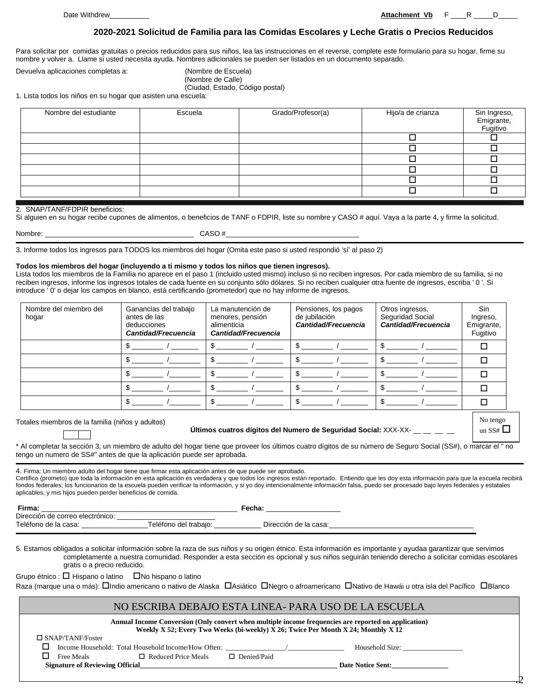Date Withdrew\_\_\_\_\_\_\_\_\_\_ **Attachment Vb** F \_\_\_\_R \_\_\_\_\_D\_\_\_\_\_

#### **2020-2021 Solicitud de Familia para las Comidas Escolares y Leche Gratis o Precios Reducidos**

Para solicitar por comidas gratuitas o precios reducidos para sus niños, lea las instrucciones en el reverse, complete este formulario para su hogar, firme su nombre y volver a. Llame si usted necesita ayuda. Nombres adicionales se pueden ser listados en un documento separado.

Devuelva aplicaciones completas a: (Nombre de Escuela)

(Nombre de Calle)

(Ciudad, Estado, Código postal)

1. Lista todos los niños en su hogar que asisten una escuela:

| Grado/Profesor(a) | Hijo/a de crianza | Sin Ingreso,<br>Emigrante,<br>Fugitivo |
|-------------------|-------------------|----------------------------------------|
|                   |                   |                                        |
|                   |                   |                                        |
|                   |                   |                                        |
|                   |                   |                                        |
|                   |                   |                                        |
|                   |                   |                                        |
|                   |                   |                                        |

#### 2. SNAP/TANF/FDPIR beneficios:

Si alguien en su hogar recibe cupones de alimentos, o beneficios de TANF o FDPIR, liste su nombre y CASO # aquí. Vaya a la parte 4, y firme la solicitud.

|  |  | Nombre: |  |
|--|--|---------|--|
|  |  |         |  |

Nombre: \_\_\_\_\_\_\_\_\_\_\_\_\_\_\_\_\_\_\_\_\_\_\_\_\_\_\_\_\_\_\_\_\_\_\_\_\_\_ CASO #\_\_\_\_\_\_\_\_\_\_\_\_\_\_\_\_\_\_\_\_\_\_\_\_\_\_\_\_\_\_\_\_\_\_

3. Informe todos los ingresos para TODOS los miembros del hogar (Omita este paso si usted respondió 'sí' al paso 2)

#### **Todos los miembros del hogar (incluyendo a ti mismo y todos los niños que tienen ingresos).**

Lista todos los miembros de la Familia no aparece en el paso 1 (incluido usted mismo) incluso si no reciben ingresos. Por cada miembro de su familia, si no reciben ingresos, informe los ingresos totales de cada fuente en su conjunto sólo dólares. Si no reciben cualquier otra fuente de ingresos, escriba ' 0 '. Si introduce ' 0' o dejar los campos en blanco, está certificando (prometedor) que no hay informe de ingresos.

| Nombre del miembro del<br>hogar | Ganancias del trabajo<br>antes de las<br>deducciones<br>Cantidad/Frecuencia | La manutención de<br>menores, pensión<br>alimenticia<br>Cantidad/Frecuencia | Pensiones, los pagos<br>de jubilación<br><b>Cantidad/Frecuencia</b> | Otros ingresos,<br>Seguridad Social<br>Cantidad/Frecuencia | Sin<br>Ingreso,<br>Emigrante,<br>Fugitivo |
|---------------------------------|-----------------------------------------------------------------------------|-----------------------------------------------------------------------------|---------------------------------------------------------------------|------------------------------------------------------------|-------------------------------------------|
|                                 |                                                                             |                                                                             |                                                                     |                                                            |                                           |
|                                 |                                                                             |                                                                             |                                                                     |                                                            |                                           |
|                                 |                                                                             |                                                                             |                                                                     |                                                            |                                           |
|                                 |                                                                             |                                                                             |                                                                     |                                                            |                                           |
|                                 |                                                                             |                                                                             |                                                                     |                                                            |                                           |

Totales miembros de la familia (niños y adultos)

**Últimos cuatros dígitos del Numero de Seguridad Social:** XXX-XX- \_\_ \_\_ \_\_ \_\_

| No tengo |
|----------|
| un SS#   |

 $\frac{1}{2}$ 

\* Al completar la sección 3, un miembro de adulto del hogar tiene que proveer los últimos cuatro dígitos de su número de Seguro Social (SS#), o marcar el " no tengo un numero de SS#" antes de que la aplicación puede ser aprobada.

4. Firma: Un miembro adulto del hogar tiene que firmar esta aplicación antes de que puede ser aprobado.

Certifico (prometo) que toda la información en esta aplicación es verdadera y que todos los ingresos están reportado. Entiendo que les doy esta información para que la escuela recibirá fondos federales; los funcionarios de la escuela pueden verificar la información, y si yo doy intencionalmente información falsa, puedo ser procesado bajo leyes federales y estatales aplicables, y mis hijos pueden perder beneficios de comida.

| Firma:                           |                       | Fecha:                |
|----------------------------------|-----------------------|-----------------------|
| Dirección de correo electrónico: |                       |                       |
| Teléfono de la casa:             | Teléfono del trabaio: | Dirección de la casa: |

5. Estamos obligados a solicitar información sobre la raza de sus niños y su origen étnico. Esta información es importante y ayudaa garantizar que servimos completamente a nuestra comunidad. Responder a esta sección es opcional y sus niños seguirán teniendo derecho a solicitar comidas escolares gratis o a precio reducido.

Grupo étnico :  $\Box$  Hispano o latino  $\Box$  No hispano o latino

Raza (marque una o más): Dindio americano o nativo de Alaska DAsiático DNegro o afroamericano DNativo de Hawái u otra isla del Pacífico DBlanco

#### NO ESCRIBA DEBAJO ESTA LINEA- PARA USO DE LA ESCUELA

| $\Box$ SNAP/TANF/Foster<br>Income Household: Total Household Income/How Often:<br>Household Size: | Annual Income Conversion (Only convert when multiple income frequencies are reported on application)<br>Weekly X 52; Every Two Weeks (bi-weekly) X 26; Twice Per Month X 24; Monthly X 12 |                            |                    |  |  |  |
|---------------------------------------------------------------------------------------------------|-------------------------------------------------------------------------------------------------------------------------------------------------------------------------------------------|----------------------------|--------------------|--|--|--|
|                                                                                                   |                                                                                                                                                                                           |                            |                    |  |  |  |
|                                                                                                   |                                                                                                                                                                                           |                            |                    |  |  |  |
|                                                                                                   | Free Meals                                                                                                                                                                                | $\Box$ Reduced Price Meals | $\Box$ Denied/Paid |  |  |  |
| <b>Signature of Reviewing Official</b><br><b>Date Notice Sent:</b>                                |                                                                                                                                                                                           |                            |                    |  |  |  |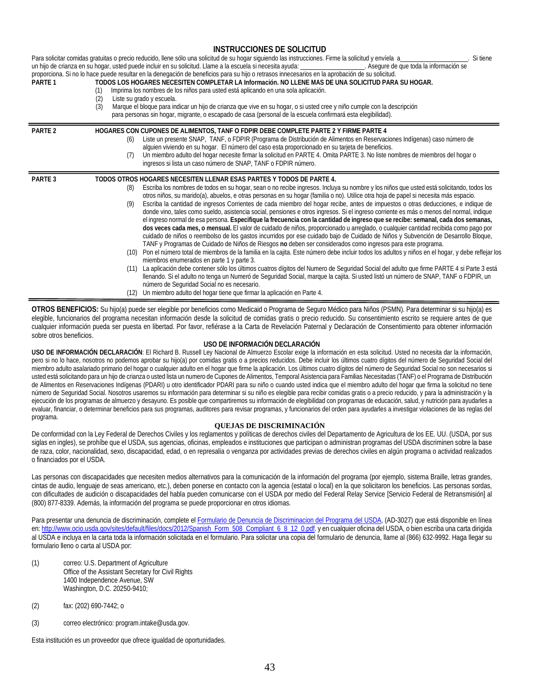#### **INSTRUCCIONES DE SOLICITUD**

| PARTE <sub>1</sub> | (1)<br>Liste su grado y escuela.<br>(2)<br>(3) | Para solicitar comidas gratuitas o precio reducido, llene sólo una solicitud de su hogar siguiendo las instrucciones. Firme la solicitud y envíela a_<br>Si tiene<br>un hijo de crianza en su hogar, usted puede incluir en su solicitud. Llame a la escuela si necesita ayuda: ___________________. Asequre de que toda la información se<br>proporciona. Si no lo hace puede resultar en la denegación de beneficios para su hijo o retrasos innecesarios en la aprobación de su solicitud.<br>TODOS LOS HOGARES NECESITEN COMPLETAR LA Información. NO LLENE MAS DE UNA SOLICITUD PARA SU HOGAR.<br>Imprima los nombres de los niños para usted está aplicando en una sola aplicación.<br>Marque el bloque para indicar un hijo de crianza que vive en su hogar, o si usted cree y niño cumple con la descripción<br>para personas sin hogar, migrante, o escapado de casa (personal de la escuela confirmará esta elegibilidad).                                                                                                                                                                                                                                                                                                                                                                                                                                                                                                                                                                                                                                                                                                                                                                                                                                                 |
|--------------------|------------------------------------------------|--------------------------------------------------------------------------------------------------------------------------------------------------------------------------------------------------------------------------------------------------------------------------------------------------------------------------------------------------------------------------------------------------------------------------------------------------------------------------------------------------------------------------------------------------------------------------------------------------------------------------------------------------------------------------------------------------------------------------------------------------------------------------------------------------------------------------------------------------------------------------------------------------------------------------------------------------------------------------------------------------------------------------------------------------------------------------------------------------------------------------------------------------------------------------------------------------------------------------------------------------------------------------------------------------------------------------------------------------------------------------------------------------------------------------------------------------------------------------------------------------------------------------------------------------------------------------------------------------------------------------------------------------------------------------------------------------------------------------------------------------------------------------------------|
| <b>PARTE 2</b>     | (6)<br>(7)                                     | HOGARES CON CUPONES DE ALIMENTOS, TANF O FDPIR DEBE COMPLETE PARTE 2 Y FIRME PARTE 4<br>Liste un presente SNAP, TANF, o FDPIR (Programa de Distribución de Alimentos en Reservaciones Indígenas) caso número de<br>alguien viviendo en su hogar. El número del caso esta proporcionado en su tarjeta de beneficios.<br>Un miembro adulto del hogar necesite firmar la solicitud en PARTE 4. Omita PARTE 3. No liste nombres de miembros del hogar o<br>ingresos si lista un caso número de SNAP, TANF o FDPIR número.                                                                                                                                                                                                                                                                                                                                                                                                                                                                                                                                                                                                                                                                                                                                                                                                                                                                                                                                                                                                                                                                                                                                                                                                                                                                |
| PARTE <sub>3</sub> | (8)<br>(9)<br>(10)<br>(11)<br>(12)             | TODOS OTROS HOGARES NECESITEN LLENAR ESAS PARTES Y TODOS DE PARTE 4.<br>Escriba los nombres de todos en su hogar, sean o no recibe ingresos. Incluya su nombre y los niños que usted está solicitando, todos los<br>otros niños, su marido(a), abuelos, e otras personas en su hogar (familia o no). Utilice otra hoja de papel si necesita más espacio.<br>Escriba la cantidad de ingresos Corrientes de cada miembro del hogar recibe, antes de impuestos o otras deducciones, e indique de<br>donde vino, tales como sueldo, asistencia social, pensiones e otros ingresos. Si el ingreso corriente es más o menos del normal, indique<br>el ingreso normal de esa persona. Especifique la frecuencia con la cantidad de ingreso que se recibe: semanal, cada dos semanas,<br>dos veces cada mes, o mensual. El valor de cuidado de niños, proporcionado u arreglado, o cualquier cantidad recibida como pago por<br>cuidado de niños o reembolso de los gastos incurridos por ese cuidado bajo de Cuidado de Niños y Subvención de Desarrollo Bloque,<br>TANF y Programas de Cuidado de Niños de Riesgos no deben ser considerados como ingresos para este programa.<br>Pon el número total de miembros de la familia en la cajita. Este número debe incluir todos los adultos y niños en el hogar, y debe reflejar los<br>miembros enumerados en parte 1 y parte 3.<br>La aplicación debe contener sólo los últimos cuatros dígitos del Numero de Seguridad Social del adulto que firme PARTE 4 si Parte 3 está<br>Ilenando. Si el adulto no tenga un Numeró de Seguridad Social, marque la cajita. Si usted listó un número de SNAP, TANF o FDPIR, un<br>número de Seguridad Social no es necesario.<br>Un miembro adulto del hogar tiene que firmar la aplicación en Parte 4. |

**OTROS BENEFICIOS:** Su hijo(a) puede ser elegible por beneficios como Medicaid o Programa de Seguro Médico para Niños (PSMN). Para determinar si su hijo(a) es elegible, funcionarios del programa necesitan información desde la solicitud de comidas gratis o precio reducido. Su consentimiento escrito se requiere antes de que cualquier información pueda ser puesta en libertad. Por favor, refiérase a la Carta de Revelación Paternal y Declaración de Consentimiento para obtener información sobre otros beneficios.

#### **USO DE INFORMACIÓN DECLARACIÓN**

**USO DE INFORMACIÓN DECLARACIÓN**: El Richard B. Russell Ley Nacional de Almuerzo Escolar exige la información en esta solicitud. Usted no necesita dar la información, pero si no lo hace, nosotros no podemos aprobar su hijo(a) por comidas gratis o a precios reducidos. Debe incluir los últimos cuatro dígitos del número de Seguridad Social del miembro adulto asalariado primario del hogar o cualquier adulto en el hogar que firme la aplicación. Los últimos cuatro dígitos del número de Seguridad Social no son necesarios si usted está solicitando para un hijo de crianza o usted lista un numero de Cupones de Alimentos, Temporal Asistencia para Familias Necesitadas (TANF) o el Programa de Distribución de Alimentos en Reservaciones Indígenas (PDARI) u otro identificador PDARI para su niño o cuando usted indica que el miembro adulto del hogar que firma la solicitud no tiene número de Seguridad Social. Nosotros usaremos su información para determinar si su niño es elegible para recibir comidas gratis o a precio reducido, y para la administración y la ejecución de los programas de almuerzo y desayuno. Es posible que compartiremos su información de elegibilidad con programas de educación, salud, y nutrición para ayudarles a evaluar, financiar, o determinar beneficios para sus programas, auditores para revisar programas, y funcionarios del orden para ayudarles a investigar violaciones de las reglas del programa.

#### **QUEJAS DE DISCRIMINACIÓN**

De conformidad con la Ley Federal de Derechos Civiles y los reglamentos y políticas de derechos civiles del Departamento de Agricultura de los EE. UU. (USDA, por sus siglas en ingles), se prohíbe que el USDA, sus agencias, oficinas, empleados e instituciones que participan o administran programas del USDA discriminen sobre la base de raza, color, nacionalidad, sexo, discapacidad, edad, o en represalia o venganza por actividades previas de derechos civiles en algún programa o actividad realizados o financiados por el USDA.

Las personas con discapacidades que necesiten medios alternativos para la comunicación de la información del programa (por ejemplo, sistema Braille, letras grandes, cintas de audio, lenguaje de seas americano, etc.), deben ponerse en contacto con la agencia (estatal o local) en la que solicitaron los beneficios. Las personas sordas, con dificultades de audición o discapacidades del habla pueden comunicarse con el USDA por medio del Federal Relay Service [Servicio Federal de Retransmisión] al (800) 877-8339. Además, la información del programa se puede proporcionar en otros idiomas.

Para presentar una denuncia de discriminación, complete el [Formulario de Denuncia de Discriminacion del Programa del USDA,](http://www.ocio.usda.gov/sites/default/files/docs/2012/Complain_combined_6_8_12.pdf) (AD-3027) que está disponible en línea en[: http://www.ocio.usda.gov/sites/default/files/docs/2012/Spanish\\_Form\\_508\\_Compliant\\_6\\_8\\_12\\_0.pdf.](http://www.ocio.usda.gov/sites/default/files/docs/2012/Spanish_Form_508_Compliant_6_8_12_0.pdf) y en cualquier oficina del USDA, o bien escriba una carta dirigida al USDA e incluya en la carta toda la información solicitada en el formulario. Para solicitar una copia del formulario de denuncia, llame al (866) 632-9992. Haga llegar su formulario lleno o carta al USDA por:

- (1) correo: U.S. Department of Agriculture Office of the Assistant Secretary for Civil Rights 1400 Independence Avenue, SW Washington, D.C. 20250-9410;
- (2) fax: (202) 690-7442; o
- (3) correo electrónico: program.intake@usda.gov.

Esta institución es un proveedor que ofrece igualdad de oportunidades.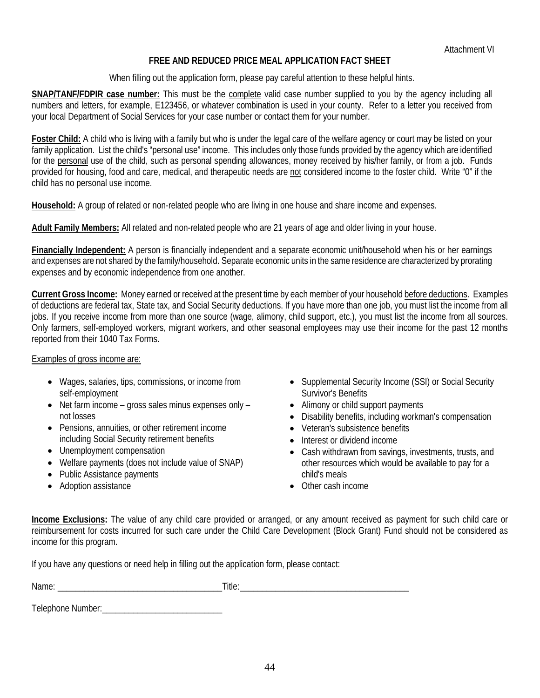# **FREE AND REDUCED PRICE MEAL APPLICATION FACT SHEET**

When filling out the application form, please pay careful attention to these helpful hints.

**SNAP/TANF/FDPIR case number:** This must be the complete valid case number supplied to you by the agency including all numbers and letters, for example, E123456, or whatever combination is used in your county. Refer to a letter you received from your local Department of Social Services for your case number or contact them for your number.

**Foster Child:** A child who is living with a family but who is under the legal care of the welfare agency or court may be listed on your family application. List the child's "personal use" income. This includes only those funds provided by the agency which are identified for the personal use of the child, such as personal spending allowances, money received by his/her family, or from a job. Funds provided for housing, food and care, medical, and therapeutic needs are not considered income to the foster child. Write "0" if the child has no personal use income.

**Household:** A group of related or non-related people who are living in one house and share income and expenses.

**Adult Family Members:** All related and non-related people who are 21 years of age and older living in your house.

**Financially Independent:** A person is financially independent and a separate economic unit/household when his or her earnings and expenses are not shared by the family/household. Separate economic units in the same residence are characterized by prorating expenses and by economic independence from one another.

**Current Gross Income:** Money earned or received at the present time by each member of your household before deductions. Examples of deductions are federal tax, State tax, and Social Security deductions. If you have more than one job, you must list the income from all jobs. If you receive income from more than one source (wage, alimony, child support, etc.), you must list the income from all sources. Only farmers, self-employed workers, migrant workers, and other seasonal employees may use their income for the past 12 months reported from their 1040 Tax Forms.

#### Examples of gross income are:

- Wages, salaries, tips, commissions, or income from self-employment
- Net farm income gross sales minus expenses only not losses
- Pensions, annuities, or other retirement income including Social Security retirement benefits
- Unemployment compensation
- Welfare payments (does not include value of SNAP)
- Public Assistance payments
- Adoption assistance
- Supplemental Security Income (SSI) or Social Security Survivor's Benefits
- Alimony or child support payments
- Disability benefits, including workman's compensation
- Veteran's subsistence benefits
- Interest or dividend income
- Cash withdrawn from savings, investments, trusts, and other resources which would be available to pay for a child's meals
- Other cash income

**Income Exclusions:** The value of any child care provided or arranged, or any amount received as payment for such child care or reimbursement for costs incurred for such care under the Child Care Development (Block Grant) Fund should not be considered as income for this program.

If you have any questions or need help in filling out the application form, please contact:

Name: \_\_\_\_\_\_\_\_\_\_\_\_\_\_\_\_\_\_\_\_\_\_\_\_\_\_\_\_\_\_\_\_\_\_\_\_\_Title:\_\_\_\_\_\_\_\_\_\_\_\_\_\_\_\_\_\_\_\_\_\_\_\_\_\_\_\_\_\_\_\_\_\_\_\_\_\_

Telephone Number:\_\_\_\_\_\_\_\_\_\_\_\_\_\_\_\_\_\_\_\_\_\_\_\_\_\_\_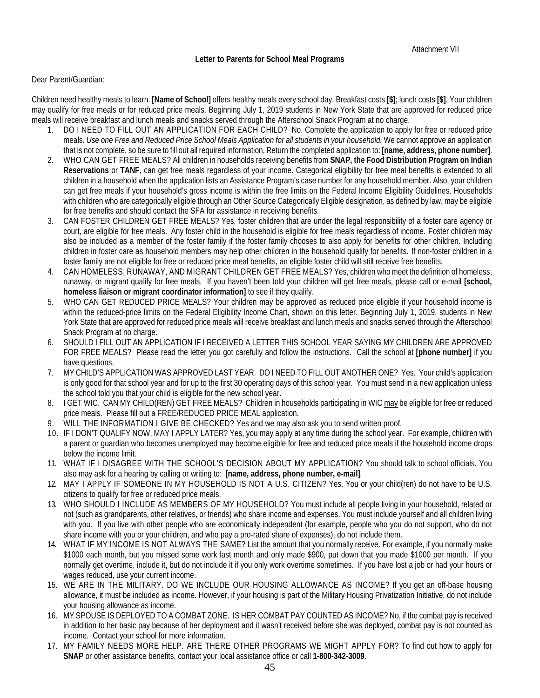#### Dear Parent/Guardian:

Children need healthy meals to learn. **[Name of School]** offers healthy meals every school day. Breakfast costs **[\$]**; lunch costs **[\$]**. Your children may qualify for free meals or for reduced price meals. Beginning July 1, 2019 students in New York State that are approved for reduced price meals will receive breakfast and lunch meals and snacks served through the Afterschool Snack Program at no charge.

- 1. DO I NEED TO FILL OUT AN APPLICATION FOR EACH CHILD? No. Complete the application to apply for free or reduced price meals. *Use one Free and Reduced Price School Meals Application for all students in your household.* We cannot approve an application that is not complete, so be sure to fill out all required information. Return the completed application to: **[name, address, phone number]**.
- 2. WHO CAN GET FREE MEALS? All children in households receiving benefits from **SNAP, the Food Distribution Program on Indian Reservations** or **TANF**, can get free meals regardless of your income. Categorical eligibility for free meal benefits is extended to all children in a household when the application lists an Assistance Program's case number for any household member. Also, your children can get free meals if your household's gross income is within the free limits on the Federal Income Eligibility Guidelines. Households with children who are categorically eligible through an Other Source Categorically Eligible designation, as defined by law, may be eligible for free benefits and should contact the SFA for assistance in receiving benefits.
- 3. CAN FOSTER CHILDREN GET FREE MEALS? Yes, foster children that are under the legal responsibility of a foster care agency or court, are eligible for free meals. Any foster child in the household is eligible for free meals regardless of income. Foster children may also be included as a member of the foster family if the foster family chooses to also apply for benefits for other children. Including children in foster care as household members may help other children in the household qualify for benefits. If non-foster children in a foster family are not eligible for free or reduced price meal benefits, an eligible foster child will still receive free benefits.
- 4. CAN HOMELESS, RUNAWAY, AND MIGRANT CHILDREN GET FREE MEALS? Yes, children who meet the definition of homeless, runaway, or migrant qualify for free meals. If you haven't been told your children will get free meals, please call or e-mail **[school, homeless liaison or migrant coordinator information]** to see if they qualify.
- 5. WHO CAN GET REDUCED PRICE MEALS? Your children may be approved as reduced price eligible if your household income is within the reduced-price limits on the Federal Eligibility Income Chart, shown on this letter. Beginning July 1, 2019, students in New York State that are approved for reduced price meals will receive breakfast and lunch meals and snacks served through the Afterschool Snack Program at no charge.
- 6. SHOULD I FILL OUT AN APPLICATION IF I RECEIVED A LETTER THIS SCHOOL YEAR SAYING MY CHILDREN ARE APPROVED FOR FREE MEALS? Please read the letter you got carefully and follow the instructions. Call the school at **[phone number]** if you have questions.
- 7. MY CHILD'S APPLICATION WAS APPROVED LAST YEAR. DO I NEED TO FILL OUT ANOTHER ONE? Yes. Your child's application is only good for that school year and for up to the first 30 operating days of this school year. You must send in a new application unless the school told you that your child is eligible for the new school year.
- 8. I GET WIC. CAN MY CHILD(REN) GET FREE MEALS? Children in households participating in WIC may be eligible for free or reduced price meals. Please fill out a FREE/REDUCED PRICE MEAL application.
- 9. WILL THE INFORMATION I GIVE BE CHECKED? Yes and we may also ask you to send written proof.
- 10. IF I DON'T QUALIFY NOW, MAY I APPLY LATER? Yes, you may apply at any time during the school year. For example, children with a parent or guardian who becomes unemployed may become eligible for free and reduced price meals if the household income drops below the income limit.
- 11. WHAT IF I DISAGREE WITH THE SCHOOL'S DECISION ABOUT MY APPLICATION? You should talk to school officials. You also may ask for a hearing by calling or writing to: **[name, address, phone number, e-mail]***.*
- 12. MAY I APPLY IF SOMEONE IN MY HOUSEHOLD IS NOT A U.S. CITIZEN? Yes. You or your child(ren) do not have to be U.S. citizens to qualify for free or reduced price meals.
- 13. WHO SHOULD I INCLUDE AS MEMBERS OF MY HOUSEHOLD? You must include all people living in your household, related or not (such as grandparents, other relatives, or friends) who share income and expenses. You must include yourself and all children living with you. If you live with other people who are economically independent (for example, people who you do not support, who do not share income with you or your children, and who pay a pro-rated share of expenses), do not include them.
- 14. WHAT IF MY INCOME IS NOT ALWAYS THE SAME? List the amount that you normally receive. For example, if you normally make \$1000 each month, but you missed some work last month and only made \$900, put down that you made \$1000 per month. If you normally get overtime, include it, but do not include it if you only work overtime sometimes. If you have lost a job or had your hours or wages reduced, use your current income.
- 15. WE ARE IN THE MILITARY. DO WE INCLUDE OUR HOUSING ALLOWANCE AS INCOME? If you get an off-base housing allowance, it must be included as income. However, if your housing is part of the Military Housing Privatization Initiative, do not include your housing allowance as income.
- 16. MY SPOUSE IS DEPLOYED TO A COMBAT ZONE. IS HER COMBAT PAY COUNTED AS INCOME? No, if the combat pay is received in addition to her basic pay because of her deployment and it wasn't received before she was deployed, combat pay is not counted as income. Contact your school for more information.
- 17. MY FAMILY NEEDS MORE HELP. ARE THERE OTHER PROGRAMS WE MIGHT APPLY FOR? To find out how to apply for **SNAP** or other assistance benefits, contact your local assistance office or call **1-800-342-3009**.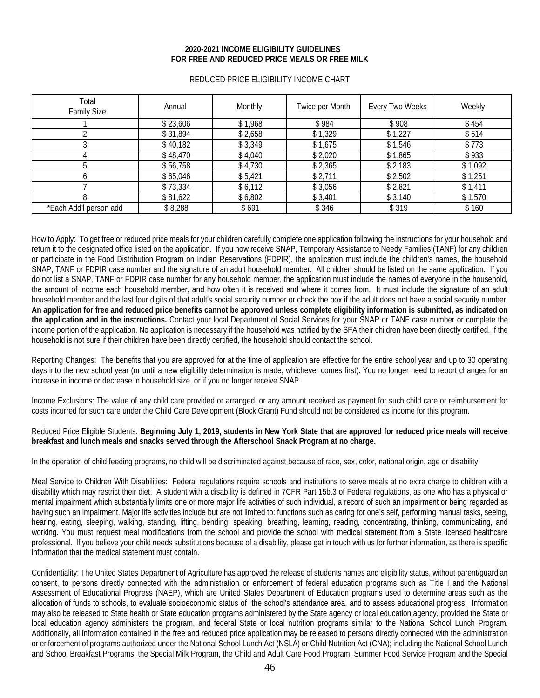#### **2020-2021 INCOME ELIGIBILITY GUIDELINES FOR FREE AND REDUCED PRICE MEALS OR FREE MILK**

| Total<br><b>Family Size</b> | Annual   | Monthly | Twice per Month | Every Two Weeks | Weekly  |
|-----------------------------|----------|---------|-----------------|-----------------|---------|
|                             | \$23,606 | \$1,968 | \$984           | \$908           | \$454   |
|                             | \$31,894 | \$2,658 | \$1,329         | \$1,227         | \$614   |
|                             | \$40,182 | \$3,349 | \$1,675         | \$1,546         | \$773   |
|                             | \$48,470 | \$4,040 | \$2,020         | \$1,865         | \$933   |
|                             | \$56,758 | \$4,730 | \$2,365         | \$2,183         | \$1,092 |
|                             | \$65,046 | \$5,421 | \$2,711         | \$2,502         | \$1,251 |
|                             | \$73,334 | \$6,112 | \$3,056         | \$2,821         | \$1,411 |
|                             | \$81,622 | \$6,802 | \$3,401         | \$3,140         | \$1,570 |
| *Each Add'l person add      | \$8,288  | \$691   | \$346           | \$319           | \$160   |

#### REDUCED PRICE ELIGIBILITY INCOME CHART

How to Apply: To get free or reduced price meals for your children carefully complete one application following the instructions for your household and return it to the designated office listed on the application. If you now receive SNAP, Temporary Assistance to Needy Families (TANF) for any children or participate in the Food Distribution Program on Indian Reservations (FDPIR), the application must include the children's names, the household SNAP, TANF or FDPIR case number and the signature of an adult household member. All children should be listed on the same application. If you do not list a SNAP, TANF or FDPIR case number for any household member, the application must include the names of everyone in the household, the amount of income each household member, and how often it is received and where it comes from. It must include the signature of an adult household member and the last four digits of that adult's social security number or check the box if the adult does not have a social security number. **An application for free and reduced price benefits cannot be approved unless complete eligibility information is submitted, as indicated on the application and in the instructions.** Contact your local Department of Social Services for your SNAP or TANF case number or complete the income portion of the application. No application is necessary if the household was notified by the SFA their children have been directly certified. If the household is not sure if their children have been directly certified, the household should contact the school.

Reporting Changes: The benefits that you are approved for at the time of application are effective for the entire school year and up to 30 operating days into the new school year (or until a new eligibility determination is made, whichever comes first). You no longer need to report changes for an increase in income or decrease in household size, or if you no longer receive SNAP.

Income Exclusions: The value of any child care provided or arranged, or any amount received as payment for such child care or reimbursement for costs incurred for such care under the Child Care Development (Block Grant) Fund should not be considered as income for this program.

#### Reduced Price Eligible Students: **Beginning July 1, 2019, students in New York State that are approved for reduced price meals will receive breakfast and lunch meals and snacks served through the Afterschool Snack Program at no charge.**

In the operation of child feeding programs, no child will be discriminated against because of race, sex, color, national origin, age or disability

Meal Service to Children With Disabilities: Federal regulations require schools and institutions to serve meals at no extra charge to children with a disability which may restrict their diet. A student with a disability is defined in 7CFR Part 15b.3 of Federal regulations, as one who has a physical or mental impairment which substantially limits one or more major life activities of such individual, a record of such an impairment or being regarded as having such an impairment. Major life activities include but are not limited to: functions such as caring for one's self, performing manual tasks, seeing, hearing, eating, sleeping, walking, standing, lifting, bending, speaking, breathing, learning, reading, concentrating, thinking, communicating, and working. You must request meal modifications from the school and provide the school with medical statement from a State licensed healthcare professional. If you believe your child needs substitutions because of a disability, please get in touch with us for further information, as there is specific information that the medical statement must contain.

Confidentiality: The United States Department of Agriculture has approved the release of students names and eligibility status, without parent/guardian consent, to persons directly connected with the administration or enforcement of federal education programs such as Title I and the National Assessment of Educational Progress (NAEP), which are United States Department of Education programs used to determine areas such as the allocation of funds to schools, to evaluate socioeconomic status of the school's attendance area, and to assess educational progress. Information may also be released to State health or State education programs administered by the State agency or local education agency, provided the State or local education agency administers the program, and federal State or local nutrition programs similar to the National School Lunch Program. Additionally, all information contained in the free and reduced price application may be released to persons directly connected with the administration or enforcement of programs authorized under the National School Lunch Act (NSLA) or Child Nutrition Act (CNA); including the National School Lunch and School Breakfast Programs, the Special Milk Program, the Child and Adult Care Food Program, Summer Food Service Program and the Special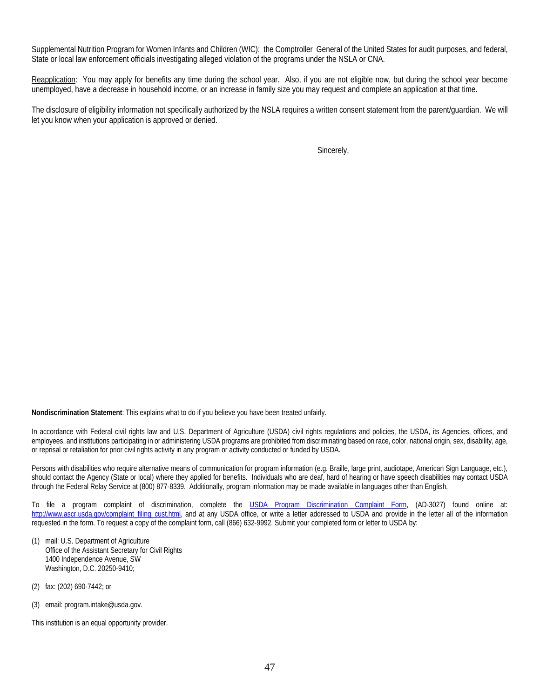Supplemental Nutrition Program for Women Infants and Children (WIC); the Comptroller General of the United States for audit purposes, and federal, State or local law enforcement officials investigating alleged violation of the programs under the NSLA or CNA.

Reapplication: You may apply for benefits any time during the school year. Also, if you are not eligible now, but during the school year become unemployed, have a decrease in household income, or an increase in family size you may request and complete an application at that time.

The disclosure of eligibility information not specifically authorized by the NSLA requires a written consent statement from the parent/guardian. We will let you know when your application is approved or denied.

Sincerely,

**Nondiscrimination Statement**: This explains what to do if you believe you have been treated unfairly.

In accordance with Federal civil rights law and U.S. Department of Agriculture (USDA) civil rights regulations and policies, the USDA, its Agencies, offices, and employees, and institutions participating in or administering USDA programs are prohibited from discriminating based on race, color, national origin, sex, disability, age, or reprisal or retaliation for prior civil rights activity in any program or activity conducted or funded by USDA.

Persons with disabilities who require alternative means of communication for program information (e.g. Braille, large print, audiotape, American Sign Language, etc.), should contact the Agency (State or local) where they applied for benefits. Individuals who are deaf, hard of hearing or have speech disabilities may contact USDA through the Federal Relay Service at (800) 877-8339. Additionally, program information may be made available in languages other than English.

To file a program complaint of discrimination, complete the [USDA Program Discrimination Complaint Form,](http://www.ocio.usda.gov/sites/default/files/docs/2012/Complain_combined_6_8_12.pdf) (AD-3027) found online at: [http://www.ascr.usda.gov/complaint\\_filing\\_cust.html,](http://www.ascr.usda.gov/complaint_filing_cust.html) and at any USDA office, or write a letter addressed to USDA and provide in the letter all of the information requested in the form. To request a copy of the complaint form, call (866) 632-9992. Submit your completed form or letter to USDA by:

- (1) mail: U.S. Department of Agriculture Office of the Assistant Secretary for Civil Rights 1400 Independence Avenue, SW Washington, D.C. 20250-9410;
- (2) fax: (202) 690-7442; or
- (3) email: program.intake@usda.gov.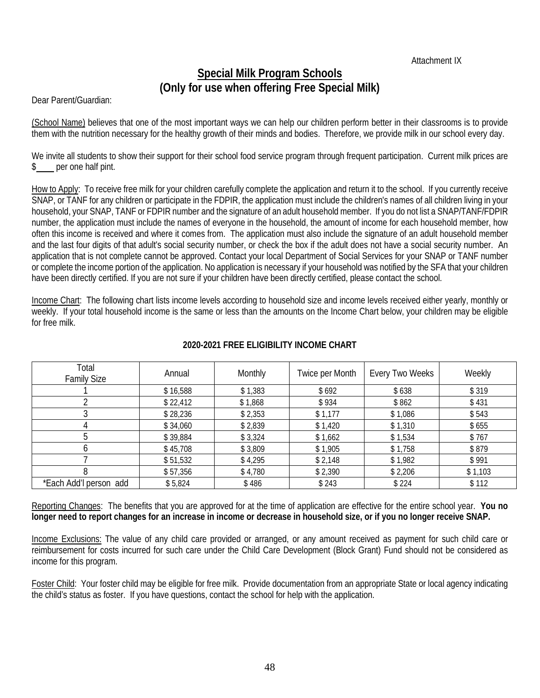Attachment IX

# **Special Milk Program Schools (Only for use when offering Free Special Milk)**

Dear Parent/Guardian:

(School Name) believes that one of the most important ways we can help our children perform better in their classrooms is to provide them with the nutrition necessary for the healthy growth of their minds and bodies. Therefore, we provide milk in our school every day.

We invite all students to show their support for their school food service program through frequent participation. Current milk prices are \$ per one half pint.

How to Apply: To receive free milk for your children carefully complete the application and return it to the school. If you currently receive SNAP, or TANF for any children or participate in the FDPIR, the application must include the children's names of all children living in your household, your SNAP, TANF or FDPIR number and the signature of an adult household member. If you do not list a SNAP/TANF/FDPIR number, the application must include the names of everyone in the household, the amount of income for each household member, how often this income is received and where it comes from. The application must also include the signature of an adult household member and the last four digits of that adult's social security number, or check the box if the adult does not have a social security number. An application that is not complete cannot be approved. Contact your local Department of Social Services for your SNAP or TANF number or complete the income portion of the application. No application is necessary if your household was notified by the SFA that your children have been directly certified. If you are not sure if your children have been directly certified, please contact the school.

Income Chart: The following chart lists income levels according to household size and income levels received either yearly, monthly or weekly. If your total household income is the same or less than the amounts on the Income Chart below, your children may be eligible for free milk.

| Total<br><b>Family Size</b> | Annual   | Monthly | Twice per Month | Every Two Weeks | Weekly  |
|-----------------------------|----------|---------|-----------------|-----------------|---------|
|                             | \$16,588 | \$1,383 | \$692           | \$638           | \$319   |
|                             | \$22,412 | \$1,868 | \$934           | \$862           | \$431   |
|                             | \$28,236 | \$2,353 | \$1,177         | \$1,086         | \$543   |
| 4                           | \$34,060 | \$2,839 | \$1,420         | \$1,310         | \$655   |
| 5                           | \$39,884 | \$3,324 | \$1,662         | \$1,534         | \$767   |
| b                           | \$45,708 | \$3,809 | \$1,905         | \$1,758         | \$879   |
|                             | \$51,532 | \$4,295 | \$2,148         | \$1,982         | \$991   |
| 8                           | \$57,356 | \$4,780 | \$2,390         | \$2,206         | \$1,103 |
| *Each Add'l person add      | \$5,824  | \$486   | \$243           | \$224           | \$112   |

# **2020-2021 FREE ELIGIBILITY INCOME CHART**

Reporting Changes: The benefits that you are approved for at the time of application are effective for the entire school year. **You no longer need to report changes for an increase in income or decrease in household size, or if you no longer receive SNAP.**

Income Exclusions: The value of any child care provided or arranged, or any amount received as payment for such child care or reimbursement for costs incurred for such care under the Child Care Development (Block Grant) Fund should not be considered as income for this program.

Foster Child: Your foster child may be eligible for free milk. Provide documentation from an appropriate State or local agency indicating the child's status as foster. If you have questions, contact the school for help with the application.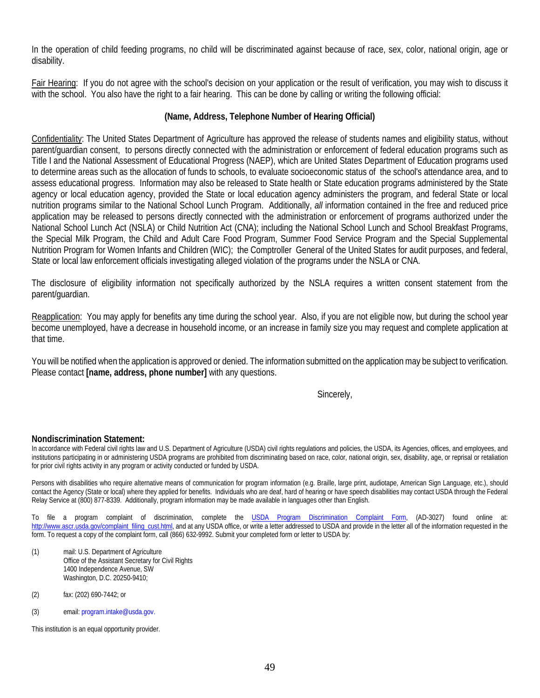In the operation of child feeding programs, no child will be discriminated against because of race, sex, color, national origin, age or disability.

Fair Hearing: If you do not agree with the school's decision on your application or the result of verification, you may wish to discuss it with the school. You also have the right to a fair hearing. This can be done by calling or writing the following official:

### **(Name, Address, Telephone Number of Hearing Official)**

Confidentiality: The United States Department of Agriculture has approved the release of students names and eligibility status, without parent/guardian consent, to persons directly connected with the administration or enforcement of federal education programs such as Title I and the National Assessment of Educational Progress (NAEP), which are United States Department of Education programs used to determine areas such as the allocation of funds to schools, to evaluate socioeconomic status of the school's attendance area, and to assess educational progress. Information may also be released to State health or State education programs administered by the State agency or local education agency, provided the State or local education agency administers the program, and federal State or local nutrition programs similar to the National School Lunch Program. Additionally, *all* information contained in the free and reduced price application may be released to persons directly connected with the administration or enforcement of programs authorized under the National School Lunch Act (NSLA) or Child Nutrition Act (CNA); including the National School Lunch and School Breakfast Programs, the Special Milk Program, the Child and Adult Care Food Program, Summer Food Service Program and the Special Supplemental Nutrition Program for Women Infants and Children (WIC); the Comptroller General of the United States for audit purposes, and federal, State or local law enforcement officials investigating alleged violation of the programs under the NSLA or CNA.

The disclosure of eligibility information not specifically authorized by the NSLA requires a written consent statement from the parent/guardian.

Reapplication: You may apply for benefits any time during the school year. Also, if you are not eligible now, but during the school year become unemployed, have a decrease in household income, or an increase in family size you may request and complete application at that time.

You will be notified when the application is approved or denied. The information submitted on the application may be subject to verification. Please contact **[name, address, phone number]** with any questions.

Sincerely,

#### **Nondiscrimination Statement:**

In accordance with Federal civil rights law and U.S. Department of Agriculture (USDA) civil rights regulations and policies, the USDA, its Agencies, offices, and employees, and institutions participating in or administering USDA programs are prohibited from discriminating based on race, color, national origin, sex, disability, age, or reprisal or retaliation for prior civil rights activity in any program or activity conducted or funded by USDA.

Persons with disabilities who require alternative means of communication for program information (e.g. Braille, large print, audiotape, American Sign Language, etc.), should contact the Agency (State or local) where they applied for benefits. Individuals who are deaf, hard of hearing or have speech disabilities may contact USDA through the Federal Relay Service at (800) 877-8339. Additionally, program information may be made available in languages other than English.

To file a program complaint of discrimination, complete the [USDA Program Discrimination Complaint Form,](http://www.ocio.usda.gov/sites/default/files/docs/2012/Complain_combined_6_8_12.pdf) (AD-3027) found online at: [http://www.ascr.usda.gov/complaint\\_filing\\_cust.html,](http://www.ascr.usda.gov/complaint_filing_cust.html) and at any USDA office, or write a letter addressed to USDA and provide in the letter all of the information requested in the form. To request a copy of the complaint form, call (866) 632-9992. Submit your completed form or letter to USDA by:

- (1) mail: U.S. Department of Agriculture Office of the Assistant Secretary for Civil Rights 1400 Independence Avenue, SW Washington, D.C. 20250-9410;
- (2) fax: (202) 690-7442; or
- (3) email: program.intake@usda.gov.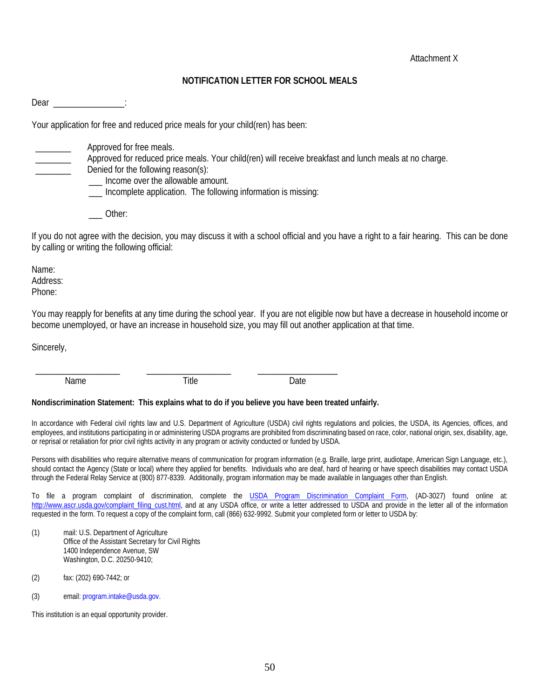### **NOTIFICATION LETTER FOR SCHOOL MEALS**

Dear in the contract of the contract of the contract of the contract of the contract of the contract of the contract of the contract of the contract of the contract of the contract of the contract of the contract of the co

Your application for free and reduced price meals for your child(ren) has been:

Approved for free meals.

\_\_\_\_\_\_\_\_ Approved for reduced price meals. Your child(ren) will receive breakfast and lunch meals at no charge.

Denied for the following reason(s):

Income over the allowable amount.

\_\_\_ Incomplete application. The following information is missing:

\_\_\_ Other:

If you do not agree with the decision, you may discuss it with a school official and you have a right to a fair hearing. This can be done by calling or writing the following official:

Name: Address: Phone:

You may reapply for benefits at any time during the school year. If you are not eligible now but have a decrease in household income or become unemployed, or have an increase in household size, you may fill out another application at that time.

Sincerely,

Name Date **Name** Date

\_\_\_\_\_\_\_\_\_\_\_\_\_\_\_\_\_\_\_ \_\_\_\_\_\_\_\_\_\_\_\_\_\_\_\_\_\_\_ \_\_\_\_\_\_\_\_\_\_\_\_\_\_\_\_\_\_

#### **Nondiscrimination Statement: This explains what to do if you believe you have been treated unfairly.**

In accordance with Federal civil rights law and U.S. Department of Agriculture (USDA) civil rights regulations and policies, the USDA, its Agencies, offices, and employees, and institutions participating in or administering USDA programs are prohibited from discriminating based on race, color, national origin, sex, disability, age, or reprisal or retaliation for prior civil rights activity in any program or activity conducted or funded by USDA.

Persons with disabilities who require alternative means of communication for program information (e.g. Braille, large print, audiotape, American Sign Language, etc.), should contact the Agency (State or local) where they applied for benefits. Individuals who are deaf, hard of hearing or have speech disabilities may contact USDA through the Federal Relay Service at (800) 877-8339. Additionally, program information may be made available in languages other than English.

To file a program complaint of discrimination, complete the [USDA Program Discrimination Complaint Form,](http://www.ocio.usda.gov/sites/default/files/docs/2012/Complain_combined_6_8_12.pdf) (AD-3027) found online at: [http://www.ascr.usda.gov/complaint\\_filing\\_cust.html,](http://www.ascr.usda.gov/complaint_filing_cust.html) and at any USDA office, or write a letter addressed to USDA and provide in the letter all of the information requested in the form. To request a copy of the complaint form, call (866) 632-9992. Submit your completed form or letter to USDA by:

- (1) mail: U.S. Department of Agriculture Office of the Assistant Secretary for Civil Rights 1400 Independence Avenue, SW Washington, D.C. 20250-9410;
- (2) fax: (202) 690-7442; or
- (3) email: program.intake@usda.gov.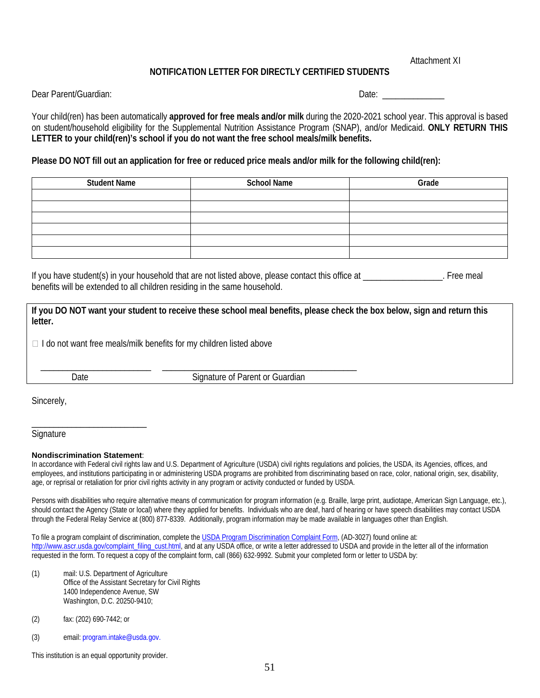Attachment XI

### **NOTIFICATION LETTER FOR DIRECTLY CERTIFIED STUDENTS**

Dear Parent/Guardian: Date: \_\_\_\_\_\_\_\_\_\_\_\_\_\_

Your child(ren) has been automatically **approved for free meals and/or milk** during the 2020-2021 school year. This approval is based on student/household eligibility for the Supplemental Nutrition Assistance Program (SNAP), and/or Medicaid. **ONLY RETURN THIS LETTER to your child(ren)'s school if you do not want the free school meals/milk benefits.** 

#### **Please DO NOT fill out an application for free or reduced price meals and/or milk for the following child(ren):**

| <b>Student Name</b> | <b>School Name</b> | Grade |
|---------------------|--------------------|-------|
|                     |                    |       |
|                     |                    |       |
|                     |                    |       |
|                     |                    |       |
|                     |                    |       |
|                     |                    |       |

If you have student(s) in your household that are not listed above, please contact this office at \_\_\_\_\_\_\_\_\_\_\_\_\_\_\_\_. Free meal benefits will be extended to all children residing in the same household.

**If you DO NOT want your student to receive these school meal benefits, please check the box below, sign and return this letter.**

 $\Box$  I do not want free meals/milk benefits for my children listed above

\_\_\_\_\_\_\_\_\_\_\_\_\_\_\_\_\_\_\_\_\_\_\_\_\_ \_\_\_\_\_\_\_\_\_\_\_\_\_\_\_\_\_\_\_\_\_\_\_\_\_\_\_\_\_\_\_\_\_\_\_\_\_\_\_\_\_\_\_\_

Date **Signature of Parent or Guardian** 

Sincerely,

**Signature** 

#### **Nondiscrimination Statement**:

\_\_\_\_\_\_\_\_\_\_\_\_\_\_\_\_\_\_\_\_\_\_\_\_\_\_

In accordance with Federal civil rights law and U.S. Department of Agriculture (USDA) civil rights regulations and policies, the USDA, its Agencies, offices, and employees, and institutions participating in or administering USDA programs are prohibited from discriminating based on race, color, national origin, sex, disability, age, or reprisal or retaliation for prior civil rights activity in any program or activity conducted or funded by USDA.

Persons with disabilities who require alternative means of communication for program information (e.g. Braille, large print, audiotape, American Sign Language, etc.), should contact the Agency (State or local) where they applied for benefits. Individuals who are deaf, hard of hearing or have speech disabilities may contact USDA through the Federal Relay Service at (800) 877-8339. Additionally, program information may be made available in languages other than English.

To file a program complaint of discrimination, complete th[e USDA Program Discrimination Complaint Form,](http://www.ocio.usda.gov/sites/default/files/docs/2012/Complain_combined_6_8_12.pdf) (AD-3027) found online at: [http://www.ascr.usda.gov/complaint\\_filing\\_cust.html,](http://www.ascr.usda.gov/complaint_filing_cust.html) and at any USDA office, or write a letter addressed to USDA and provide in the letter all of the information requested in the form. To request a copy of the complaint form, call (866) 632-9992. Submit your completed form or letter to USDA by:

- (1) mail: U.S. Department of Agriculture Office of the Assistant Secretary for Civil Rights 1400 Independence Avenue, SW Washington, D.C. 20250-9410;
- (2) fax: (202) 690-7442; or
- (3) email: program.intake@usda.gov.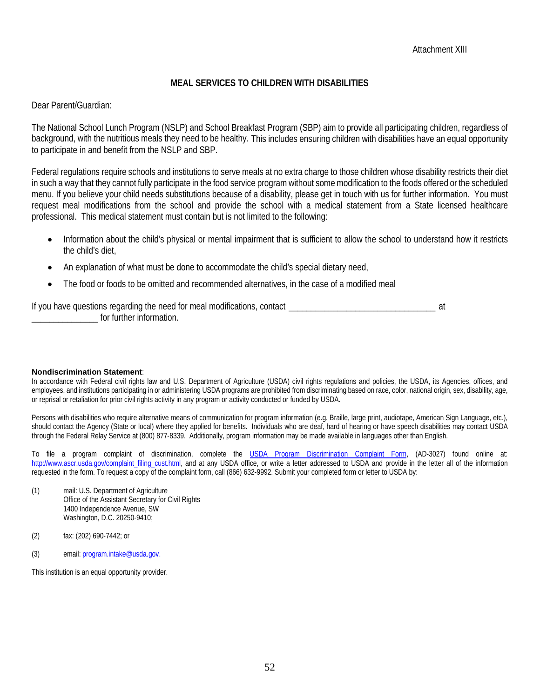# **MEAL SERVICES TO CHILDREN WITH DISABILITIES**

Dear Parent/Guardian:

The National School Lunch Program (NSLP) and School Breakfast Program (SBP) aim to provide all participating children, regardless of background, with the nutritious meals they need to be healthy. This includes ensuring children with disabilities have an equal opportunity to participate in and benefit from the NSLP and SBP.

Federal regulations require schools and institutions to serve meals at no extra charge to those children whose disability restricts their diet in such a way that they cannot fully participate in the food service program without some modification to the foods offered or the scheduled menu. If you believe your child needs substitutions because of a disability, please get in touch with us for further information. You must request meal modifications from the school and provide the school with a medical statement from a State licensed healthcare professional. This medical statement must contain but is not limited to the following:

- Information about the child's physical or mental impairment that is sufficient to allow the school to understand how it restricts the child's diet,
- An explanation of what must be done to accommodate the child's special dietary need,
- The food or foods to be omitted and recommended alternatives, in the case of a modified meal

If you have questions regarding the need for meal modifications, contact \_\_\_\_\_\_\_\_\_\_\_\_\_\_\_\_\_\_\_\_\_\_\_\_\_\_\_\_\_\_\_\_\_ at \_\_\_\_\_\_\_\_\_\_\_\_\_\_\_ for further information.

#### **Nondiscrimination Statement**:

In accordance with Federal civil rights law and U.S. Department of Agriculture (USDA) civil rights regulations and policies, the USDA, its Agencies, offices, and employees, and institutions participating in or administering USDA programs are prohibited from discriminating based on race, color, national origin, sex, disability, age, or reprisal or retaliation for prior civil rights activity in any program or activity conducted or funded by USDA.

Persons with disabilities who require alternative means of communication for program information (e.g. Braille, large print, audiotape, American Sign Language, etc.), should contact the Agency (State or local) where they applied for benefits. Individuals who are deaf, hard of hearing or have speech disabilities may contact USDA through the Federal Relay Service at (800) 877-8339. Additionally, program information may be made available in languages other than English.

To file a program complaint of discrimination, complete the [USDA Program Discrimination Complaint Form,](http://www.ocio.usda.gov/sites/default/files/docs/2012/Complain_combined_6_8_12.pdf) (AD-3027) found online at: [http://www.ascr.usda.gov/complaint\\_filing\\_cust.html,](http://www.ascr.usda.gov/complaint_filing_cust.html) and at any USDA office, or write a letter addressed to USDA and provide in the letter all of the information requested in the form. To request a copy of the complaint form, call (866) 632-9992. Submit your completed form or letter to USDA by:

- (1) mail: U.S. Department of Agriculture Office of the Assistant Secretary for Civil Rights 1400 Independence Avenue, SW Washington, D.C. 20250-9410;
- (2) fax: (202) 690-7442; or
- (3) email: program.intake@usda.gov.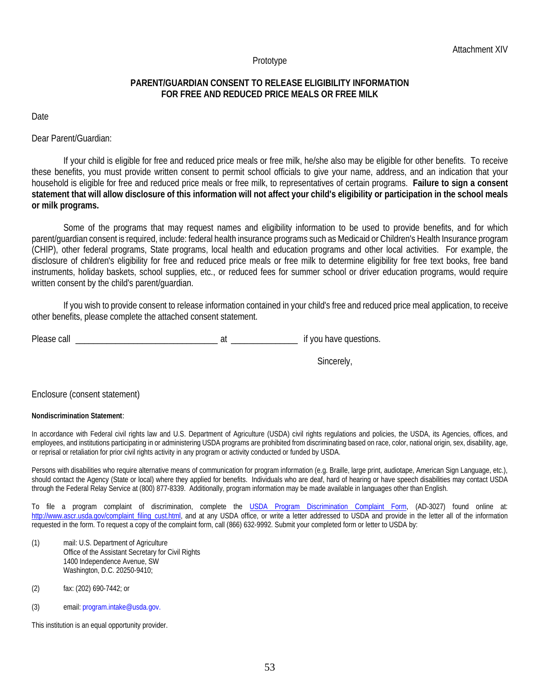#### Prototype

### **PARENT/GUARDIAN CONSENT TO RELEASE ELIGIBILITY INFORMATION FOR FREE AND REDUCED PRICE MEALS OR FREE MILK**

Date

Dear Parent/Guardian:

If your child is eligible for free and reduced price meals or free milk, he/she also may be eligible for other benefits. To receive these benefits, you must provide written consent to permit school officials to give your name, address, and an indication that your household is eligible for free and reduced price meals or free milk, to representatives of certain programs. **Failure to sign a consent statement that will allow disclosure of this information will not affect your child's eligibility or participation in the school meals or milk programs.**

Some of the programs that may request names and eligibility information to be used to provide benefits, and for which parent/guardian consent is required, include: federal health insurance programs such as Medicaid or Children's Health Insurance program (CHIP), other federal programs, State programs, local health and education programs and other local activities. For example, the disclosure of children's eligibility for free and reduced price meals or free milk to determine eligibility for free text books, free band instruments, holiday baskets, school supplies, etc., or reduced fees for summer school or driver education programs, would require written consent by the child's parent/guardian.

If you wish to provide consent to release information contained in your child's free and reduced price meal application, to receive other benefits, please complete the attached consent statement.

Please call \_\_\_\_\_\_\_\_\_\_\_\_\_\_\_\_\_\_\_\_\_\_\_\_\_\_\_\_\_\_\_\_ at \_\_\_\_\_\_\_\_\_\_\_\_\_\_\_ if you have questions.

Sincerely,

#### Enclosure (consent statement)

#### **Nondiscrimination Statement**:

In accordance with Federal civil rights law and U.S. Department of Agriculture (USDA) civil rights regulations and policies, the USDA, its Agencies, offices, and employees, and institutions participating in or administering USDA programs are prohibited from discriminating based on race, color, national origin, sex, disability, age, or reprisal or retaliation for prior civil rights activity in any program or activity conducted or funded by USDA.

Persons with disabilities who require alternative means of communication for program information (e.g. Braille, large print, audiotape, American Sign Language, etc.), should contact the Agency (State or local) where they applied for benefits. Individuals who are deaf, hard of hearing or have speech disabilities may contact USDA through the Federal Relay Service at (800) 877-8339. Additionally, program information may be made available in languages other than English.

To file a program complaint of discrimination, complete the [USDA Program Discrimination Complaint Form,](http://www.ocio.usda.gov/sites/default/files/docs/2012/Complain_combined_6_8_12.pdf) (AD-3027) found online at: http://www.ascr.usda.gov/complaint filing cust.html, and at any USDA office, or write a letter addressed to USDA and provide in the letter all of the information requested in the form. To request a copy of the complaint form, call (866) 632-9992. Submit your completed form or letter to USDA by:

- (1) mail: U.S. Department of Agriculture Office of the Assistant Secretary for Civil Rights 1400 Independence Avenue, SW Washington, D.C. 20250-9410;
- (2) fax: (202) 690-7442; or
- (3) email: program.intake@usda.gov.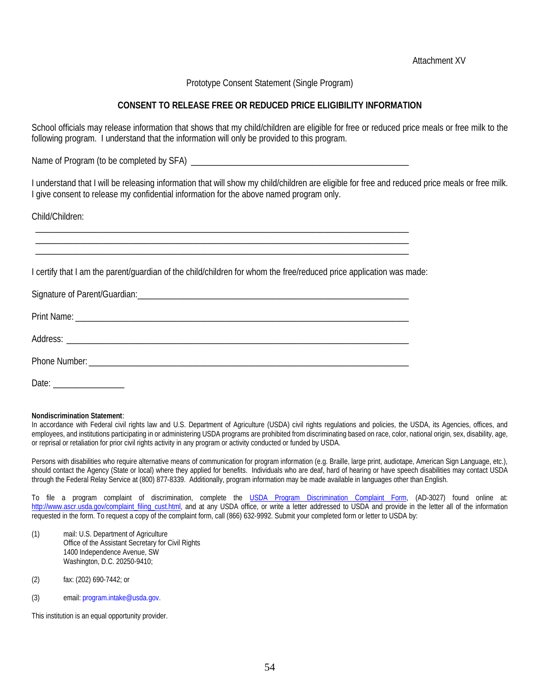Attachment XV

Prototype Consent Statement (Single Program)

### **CONSENT TO RELEASE FREE OR REDUCED PRICE ELIGIBILITY INFORMATION**

School officials may release information that shows that my child/children are eligible for free or reduced price meals or free milk to the following program. I understand that the information will only be provided to this program.

Name of Program (to be completed by SFA)

\_\_\_\_\_\_\_\_\_\_\_\_\_\_\_\_\_\_\_\_\_\_\_\_\_\_\_\_\_\_\_\_\_\_\_\_\_\_\_\_\_\_\_\_\_\_\_\_\_\_\_\_\_\_\_\_\_\_\_\_\_\_\_\_\_\_\_\_\_\_\_\_\_\_\_\_\_\_\_\_\_\_\_\_ \_\_\_\_\_\_\_\_\_\_\_\_\_\_\_\_\_\_\_\_\_\_\_\_\_\_\_\_\_\_\_\_\_\_\_\_\_\_\_\_\_\_\_\_\_\_\_\_\_\_\_\_\_\_\_\_\_\_\_\_\_\_\_\_\_\_\_\_\_\_\_\_\_\_\_\_\_\_\_\_\_\_\_\_ \_\_\_\_\_\_\_\_\_\_\_\_\_\_\_\_\_\_\_\_\_\_\_\_\_\_\_\_\_\_\_\_\_\_\_\_\_\_\_\_\_\_\_\_\_\_\_\_\_\_\_\_\_\_\_\_\_\_\_\_\_\_\_\_\_\_\_\_\_\_\_\_\_\_\_\_\_\_\_\_\_\_\_\_

I understand that I will be releasing information that will show my child/children are eligible for free and reduced price meals or free milk. I give consent to release my confidential information for the above named program only.

Child/Children:

I certify that I am the parent/guardian of the child/children for whom the free/reduced price application was made:

| Date: |
|-------|

#### **Nondiscrimination Statement**:

In accordance with Federal civil rights law and U.S. Department of Agriculture (USDA) civil rights regulations and policies, the USDA, its Agencies, offices, and employees, and institutions participating in or administering USDA programs are prohibited from discriminating based on race, color, national origin, sex, disability, age, or reprisal or retaliation for prior civil rights activity in any program or activity conducted or funded by USDA.

Persons with disabilities who require alternative means of communication for program information (e.g. Braille, large print, audiotape, American Sign Language, etc.), should contact the Agency (State or local) where they applied for benefits. Individuals who are deaf, hard of hearing or have speech disabilities may contact USDA through the Federal Relay Service at (800) 877-8339. Additionally, program information may be made available in languages other than English.

To file a program complaint of discrimination, complete the [USDA Program Discrimination Complaint Form,](http://www.ocio.usda.gov/sites/default/files/docs/2012/Complain_combined_6_8_12.pdf) (AD-3027) found online at: [http://www.ascr.usda.gov/complaint\\_filing\\_cust.html,](http://www.ascr.usda.gov/complaint_filing_cust.html) and at any USDA office, or write a letter addressed to USDA and provide in the letter all of the information requested in the form. To request a copy of the complaint form, call (866) 632-9992. Submit your completed form or letter to USDA by:

- (1) mail: U.S. Department of Agriculture Office of the Assistant Secretary for Civil Rights 1400 Independence Avenue, SW Washington, D.C. 20250-9410;
- (2) fax: (202) 690-7442; or
- (3) email: program.intake@usda.gov.